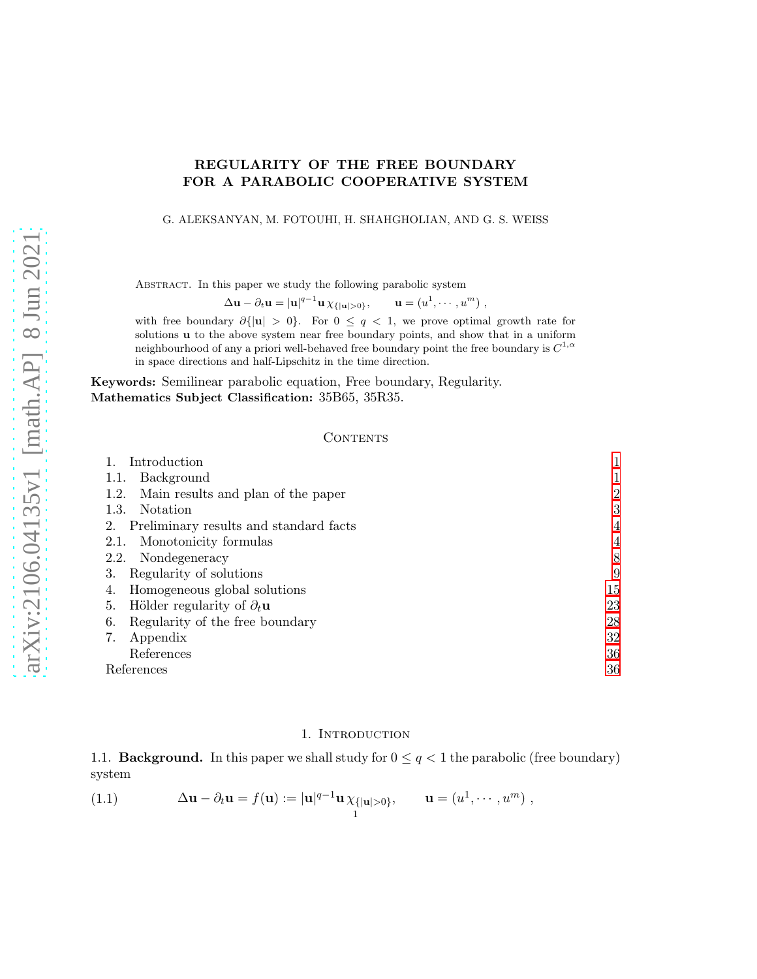# REGULARITY OF THE FREE BOUNDARY FOR A PARABOLIC COOPERATIVE SYSTEM

#### G. ALEKSANYAN, M. FOTOUHI, H. SHAHGHOLIAN, AND G. S. WEISS

ABSTRACT. In this paper we study the following parabolic system

 $\Delta \mathbf{u} - \partial_t \mathbf{u} = |\mathbf{u}|^{q-1} \mathbf{u} \chi_{\{|\mathbf{u}|>0\}}, \qquad \mathbf{u} = (u^1, \cdots, u^m)$ 

with free boundary  $\partial\{|u| > 0\}$ . For  $0 \le q < 1$ , we prove optimal growth rate for solutions u to the above system near free boundary points, and show that in a uniform neighbourhood of any a priori well-behaved free boundary point the free boundary is  $C^{1,\alpha}$ in space directions and half-Lipschitz in the time direction.

Keywords: Semilinear parabolic equation, Free boundary, Regularity. Mathematics Subject Classification: 35B65, 35R35.

### **CONTENTS**

| Introduction                                     |    |
|--------------------------------------------------|----|
| Background<br>1.1.                               |    |
| Main results and plan of the paper<br>1.2.       | 2  |
| Notation<br>1.3.                                 | 3  |
| 2. Preliminary results and standard facts        | 4  |
| Monotonicity formulas<br>2.1.                    | 4  |
| Nondegeneracy<br>2.2.                            | 8  |
| Regularity of solutions<br>З.                    | 9  |
| Homogeneous global solutions<br>4.               | 15 |
| Hölder regularity of $\partial_t$ <b>u</b><br>5. | 23 |
| Regularity of the free boundary<br>6.            | 28 |
| 7.<br>Appendix                                   | 32 |
| References                                       | 36 |
| References                                       | 36 |

### 1. INTRODUCTION

<span id="page-0-1"></span><span id="page-0-0"></span>1.1. **Background.** In this paper we shall study for  $0 \leq q < 1$  the parabolic (free boundary) system

<span id="page-0-2"></span>(1.1) 
$$
\Delta \mathbf{u} - \partial_t \mathbf{u} = f(\mathbf{u}) := |\mathbf{u}|^{q-1} \mathbf{u} \chi_{\{|\mathbf{u}| > 0\}}, \qquad \mathbf{u} = (u^1, \cdots, u^m) ,
$$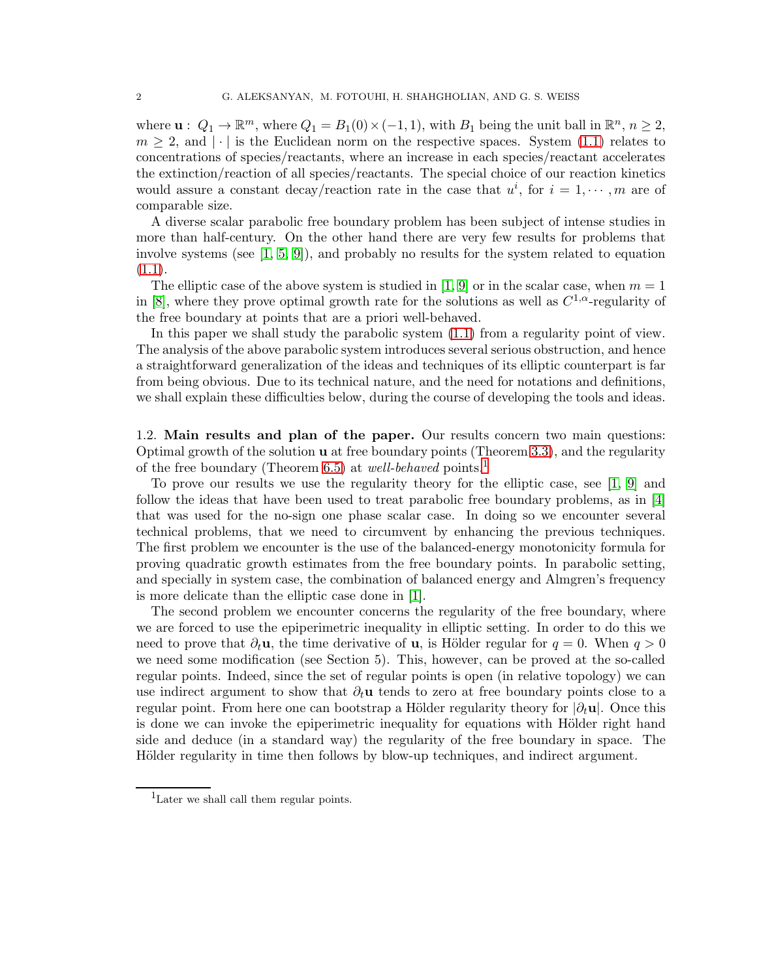where  $\mathbf{u}: Q_1 \to \mathbb{R}^m$ , where  $Q_1 = B_1(0) \times (-1, 1)$ , with  $B_1$  being the unit ball in  $\mathbb{R}^n$ ,  $n \geq 2$ ,  $m \geq 2$ , and  $|\cdot|$  is the Euclidean norm on the respective spaces. System [\(1.1\)](#page-0-2) relates to concentrations of species/reactants, where an increase in each species/reactant accelerates the extinction/reaction of all species/reactants. The special choice of our reaction kinetics would assure a constant decay/reaction rate in the case that  $u^i$ , for  $i = 1, \dots, m$  are of comparable size.

A diverse scalar parabolic free boundary problem has been subject of intense studies in more than half-century. On the other hand there are very few results for problems that involve systems (see  $[1, 5, 9]$  $[1, 5, 9]$  $[1, 5, 9]$ ), and probably no results for the system related to equation  $(1.1).$  $(1.1).$ 

The elliptic case of the above system is studied in [\[1,](#page-35-2) [9\]](#page-36-0) or in the scalar case, when  $m = 1$ in [\[8\]](#page-35-4), where they prove optimal growth rate for the solutions as well as  $C^{1,\alpha}$ -regularity of the free boundary at points that are a priori well-behaved.

In this paper we shall study the parabolic system [\(1.1\)](#page-0-2) from a regularity point of view. The analysis of the above parabolic system introduces several serious obstruction, and hence a straightforward generalization of the ideas and techniques of its elliptic counterpart is far from being obvious. Due to its technical nature, and the need for notations and definitions, we shall explain these difficulties below, during the course of developing the tools and ideas.

<span id="page-1-0"></span>1.2. Main results and plan of the paper. Our results concern two main questions: Optimal growth of the solution u at free boundary points (Theorem [3.3\)](#page-9-0), and the regularity of the free boundary (Theorem [6.5\)](#page-31-1) at *well-behaved* points.[1](#page-1-1)

To prove our results we use the regularity theory for the elliptic case, see [\[1,](#page-35-2) [9\]](#page-36-0) and follow the ideas that have been used to treat parabolic free boundary problems, as in [\[4\]](#page-35-5) that was used for the no-sign one phase scalar case. In doing so we encounter several technical problems, that we need to circumvent by enhancing the previous techniques. The first problem we encounter is the use of the balanced-energy monotonicity formula for proving quadratic growth estimates from the free boundary points. In parabolic setting, and specially in system case, the combination of balanced energy and Almgren's frequency is more delicate than the elliptic case done in [\[1\]](#page-35-2).

The second problem we encounter concerns the regularity of the free boundary, where we are forced to use the epiperimetric inequality in elliptic setting. In order to do this we need to prove that  $\partial_t \mathbf{u}$ , the time derivative of **u**, is Hölder regular for  $q = 0$ . When  $q > 0$ we need some modification (see Section 5). This, however, can be proved at the so-called regular points. Indeed, since the set of regular points is open (in relative topology) we can use indirect argument to show that  $\partial_t \mathbf{u}$  tends to zero at free boundary points close to a regular point. From here one can bootstrap a Hölder regularity theory for  $|\partial_t \mathbf{u}|$ . Once this is done we can invoke the epiperimetric inequality for equations with Hölder right hand side and deduce (in a standard way) the regularity of the free boundary in space. The Hölder regularity in time then follows by blow-up techniques, and indirect argument.

<span id="page-1-1"></span><sup>1</sup>Later we shall call them regular points.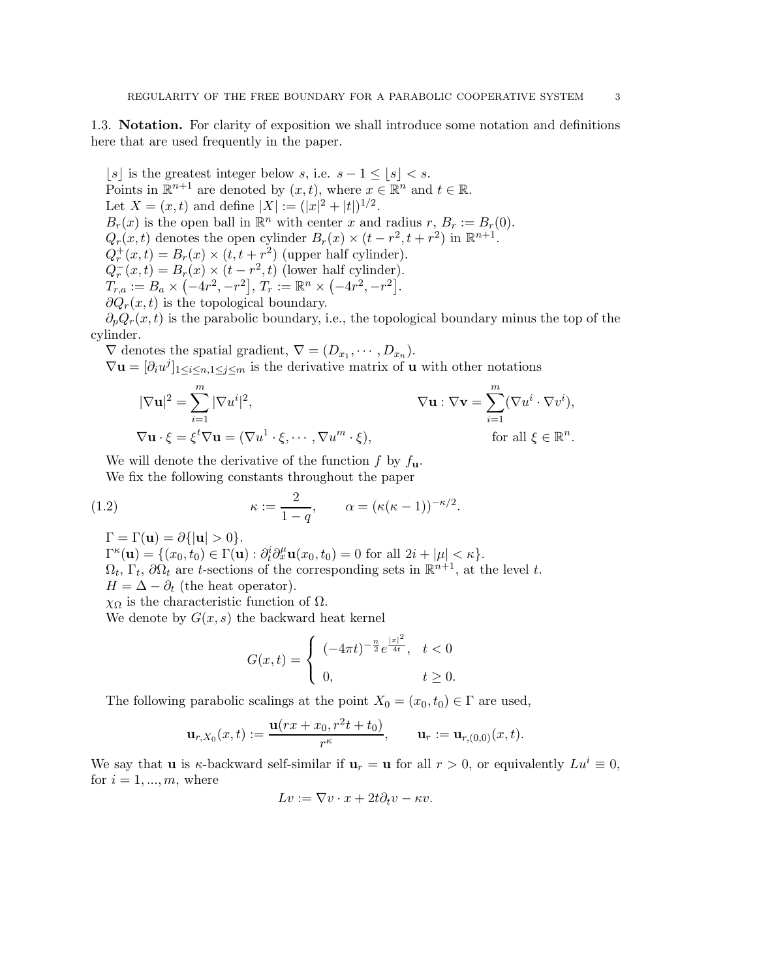<span id="page-2-0"></span>1.3. Notation. For clarity of exposition we shall introduce some notation and definitions here that are used frequently in the paper.

|s| is the greatest integer below s, i.e. s − 1 ≤ |s| < s. Points in  $\mathbb{R}^{n+1}$  are denoted by  $(x, t)$ , where  $x \in \mathbb{R}^n$  and  $t \in \mathbb{R}$ . Let  $X = (x, t)$  and define  $|X| := (|x|^2 + |t|)^{1/2}$ .  $B_r(x)$  is the open ball in  $\mathbb{R}^n$  with center x and radius  $r, B_r := B_r(0)$ .  $Q_r(x,t)$  denotes the open cylinder  $B_r(x) \times (t - r^2, t + r^2)$  in  $\mathbb{R}^{n+1}$ .  $Q_r^+(x,t) = B_r(x) \times (t, t + r^2)$  (upper half cylinder).  $Q_r^-(x,t) = B_r(x) \times (t - r^2, t)$  (lower half cylinder).  $T_{r,a} := B_a \times (-4r^2, -r^2], T_r := \mathbb{R}^n \times (-4r^2, -r^2].$  $\partial Q_r(x,t)$  is the topological boundary.

 $\partial_p Q_r(x,t)$  is the parabolic boundary, i.e., the topological boundary minus the top of the cylinder.

 $\nabla$  denotes the spatial gradient,  $\nabla = (D_{x_1}, \cdots, D_{x_n}).$  $\nabla$ **u** =  $[\partial_i u^j]_{1 \le i \le n, 1 \le j \le m}$  is the derivative matrix of **u** with other notations

$$
|\nabla \mathbf{u}|^2 = \sum_{i=1}^m |\nabla u^i|^2,
$$
  
\n
$$
\nabla \mathbf{u} : \nabla \mathbf{v} = \sum_{i=1}^m (\nabla u^i \cdot \nabla v^i),
$$
  
\n
$$
\nabla \mathbf{u} : \nabla \mathbf{v} = \sum_{i=1}^m (\nabla u^i \cdot \nabla v^i),
$$
  
\nfor all  $\xi \in \mathbb{R}^n$ .

We will denote the derivative of the function  $f$  by  $f_{\mathbf{u}}$ .

We fix the following constants throughout the paper

(1.2) 
$$
\kappa := \frac{2}{1-q}, \qquad \alpha = (\kappa(\kappa - 1))^{-\kappa/2}.
$$

 $\Gamma = \Gamma(\mathbf{u}) = \partial \{| \mathbf{u} | > 0 \}.$ 

 $\Gamma^{\kappa}(\mathbf{u}) = \{ (x_0, t_0) \in \Gamma(\mathbf{u}) : \partial_t^i \partial_x^{\mu} \mathbf{u}(x_0, t_0) = 0 \text{ for all } 2i + |\mu| < \kappa \}.$  $\Omega_t, \Gamma_t, \partial \Omega_t$  are t-sections of the corresponding sets in  $\mathbb{R}^{n+1}$ , at the level t.  $H = \Delta - \partial_t$  (the heat operator).

 $χΩ$  is the characteristic function of  $Ω$ .

We denote by  $G(x, s)$  the backward heat kernel

<span id="page-2-1"></span>
$$
G(x,t) = \begin{cases} (-4\pi t)^{-\frac{n}{2}} e^{\frac{|x|^2}{4t}}, & t < 0\\ 0, & t \ge 0. \end{cases}
$$

The following parabolic scalings at the point  $X_0 = (x_0, t_0) \in \Gamma$  are used,

$$
\mathbf{u}_{r,X_0}(x,t):=\frac{\mathbf{u}(rx+x_0,r^2t+t_0)}{r^{\kappa}},\qquad \mathbf{u}_r:=\mathbf{u}_{r,(0,0)}(x,t).
$$

We say that **u** is  $\kappa$ -backward self-similar if  $\mathbf{u}_r = \mathbf{u}$  for all  $r > 0$ , or equivalently  $Lu^i \equiv 0$ , for  $i = 1, \ldots, m$ , where

$$
Lv := \nabla v \cdot x + 2t \partial_t v - \kappa v.
$$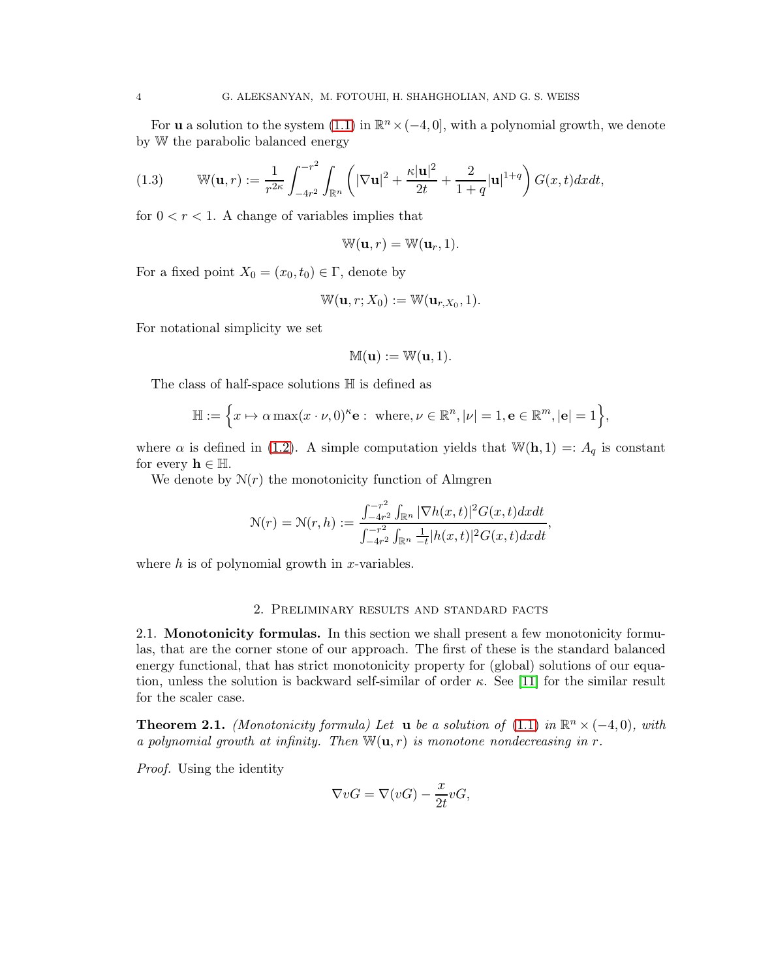For **u** a solution to the system  $(1.1)$  in  $\mathbb{R}^n \times (-4, 0]$ , with a polynomial growth, we denote by W the parabolic balanced energy

(1.3) 
$$
\mathbb{W}(\mathbf{u},r) := \frac{1}{r^{2\kappa}} \int_{-4r^2}^{-r^2} \int_{\mathbb{R}^n} \left( |\nabla \mathbf{u}|^2 + \frac{\kappa |\mathbf{u}|^2}{2t} + \frac{2}{1+q} |\mathbf{u}|^{1+q} \right) G(x,t) dx dt,
$$

for  $0 < r < 1$ . A change of variables implies that

$$
\mathbb{W}(\mathbf{u},r)=\mathbb{W}(\mathbf{u}_r,1).
$$

For a fixed point  $X_0 = (x_0, t_0) \in \Gamma$ , denote by

$$
\mathbb{W}(\mathbf{u},r;X_0):=\mathbb{W}(\mathbf{u}_{r,X_0},1).
$$

For notational simplicity we set

$$
\mathbb{M}(\mathbf{u}) := \mathbb{W}(\mathbf{u}, 1).
$$

The class of half-space solutions H is defined as

$$
\mathbb{H} := \left\{ x \mapsto \alpha \max(x \cdot \nu, 0)^{\kappa} \mathbf{e} : \text{ where, } \nu \in \mathbb{R}^n, |\nu| = 1, \mathbf{e} \in \mathbb{R}^m, |\mathbf{e}| = 1 \right\},\
$$

where  $\alpha$  is defined in [\(1.2\)](#page-2-1). A simple computation yields that  $\mathbb{W}(\mathbf{h}, 1) =: A_q$  is constant for every  $h \in \mathbb{H}$ .

We denote by  $N(r)$  the monotonicity function of Almgren

$$
\mathcal{N}(r) = \mathcal{N}(r,h) := \frac{\int_{-4r^2}^{-r^2} \int_{\mathbb{R}^n} |\nabla h(x,t)|^2 G(x,t) dx dt}{\int_{-4r^2}^{-r^2} \int_{\mathbb{R}^n} \frac{1}{-t} |h(x,t)|^2 G(x,t) dx dt},
$$

<span id="page-3-0"></span>where  $h$  is of polynomial growth in x-variables.

#### 2. Preliminary results and standard facts

<span id="page-3-1"></span>2.1. Monotonicity formulas. In this section we shall present a few monotonicity formulas, that are the corner stone of our approach. The first of these is the standard balanced energy functional, that has strict monotonicity property for (global) solutions of our equation, unless the solution is backward self-similar of order  $\kappa$ . See [\[11\]](#page-36-1) for the similar result for the scaler case.

**Theorem 2.1.** *(Monotonicity formula) Let* **u** *be a solution of* [\(1.1\)](#page-0-2) *in*  $\mathbb{R}^n \times (-4,0)$ *, with a polynomial growth at infinity. Then*  $\mathbb{W}(\mathbf{u}, r)$  *is monotone nondecreasing in* r.

*Proof.* Using the identity

$$
\nabla vG = \nabla(vG) - \frac{x}{2t}vG,
$$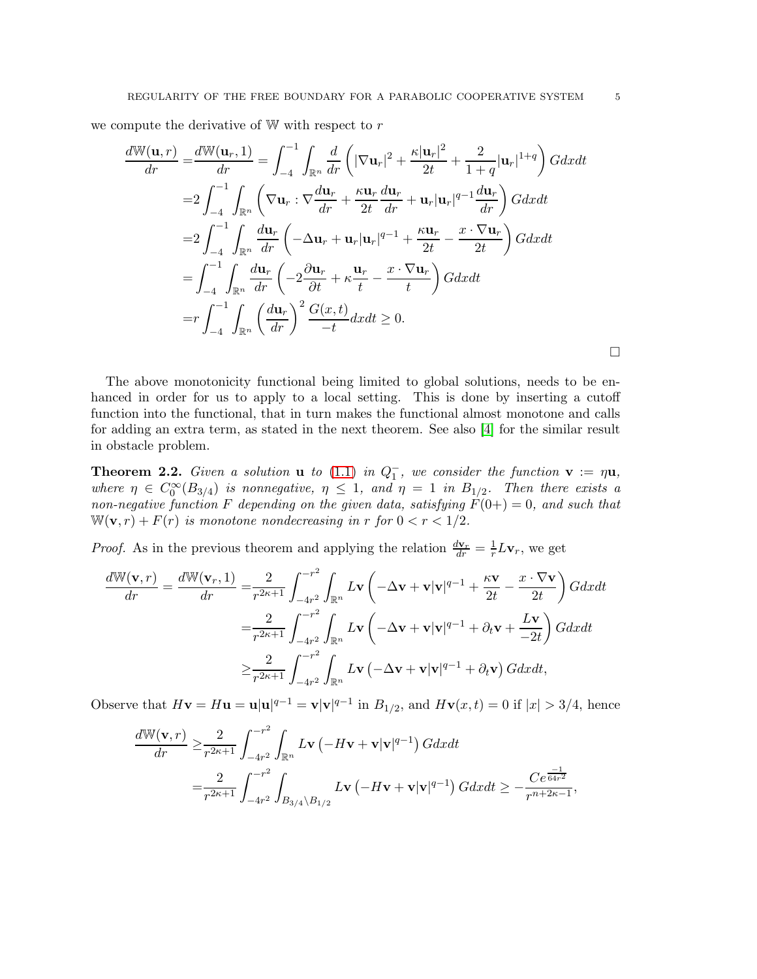we compute the derivative of  $W$  with respect to  $r$ 

$$
\frac{d\mathbb{W}(\mathbf{u},r)}{dr} = \frac{d\mathbb{W}(\mathbf{u}_r,1)}{dr} = \int_{-4}^{-1} \int_{\mathbb{R}^n} \frac{d}{dr} \left( |\nabla \mathbf{u}_r|^2 + \frac{\kappa |\mathbf{u}_r|^2}{2t} + \frac{2}{1+q} |\mathbf{u}_r|^{1+q} \right) G dx dt
$$
  
\n
$$
= 2 \int_{-4}^{-1} \int_{\mathbb{R}^n} \left( \nabla \mathbf{u}_r : \nabla \frac{d\mathbf{u}_r}{dr} + \frac{\kappa \mathbf{u}_r}{2t} \frac{d\mathbf{u}_r}{dr} + \mathbf{u}_r |\mathbf{u}_r|^{q-1} \frac{d\mathbf{u}_r}{dr} \right) G dx dt
$$
  
\n
$$
= 2 \int_{-4}^{-1} \int_{\mathbb{R}^n} \frac{d\mathbf{u}_r}{dr} \left( -\Delta \mathbf{u}_r + \mathbf{u}_r |\mathbf{u}_r|^{q-1} + \frac{\kappa \mathbf{u}_r}{2t} - \frac{x \cdot \nabla \mathbf{u}_r}{2t} \right) G dx dt
$$
  
\n
$$
= \int_{-4}^{-1} \int_{\mathbb{R}^n} \frac{d\mathbf{u}_r}{dr} \left( -2 \frac{\partial \mathbf{u}_r}{\partial t} + \kappa \frac{\mathbf{u}_r}{t} - \frac{x \cdot \nabla \mathbf{u}_r}{t} \right) G dx dt
$$
  
\n
$$
= r \int_{-4}^{-1} \int_{\mathbb{R}^n} \left( \frac{d\mathbf{u}_r}{dr} \right)^2 \frac{G(x,t)}{-t} dx dt \ge 0.
$$

The above monotonicity functional being limited to global solutions, needs to be enhanced in order for us to apply to a local setting. This is done by inserting a cutoff function into the functional, that in turn makes the functional almost monotone and calls for adding an extra term, as stated in the next theorem. See also [\[4\]](#page-35-5) for the similar result in obstacle problem.

<span id="page-4-0"></span>**Theorem 2.2.** *Given a solution* **u** *to* [\(1.1\)](#page-0-2) *in*  $Q_1^-$ *, we consider the function*  $\mathbf{v} := \eta \mathbf{u}$ *,* where  $\eta \in C_0^{\infty}(B_{3/4})$  *is nonnegative*,  $\eta \leq 1$ , and  $\eta = 1$  *in*  $B_{1/2}$ . Then there exists a *non-negative function* F depending on the given data, satisfying  $F(0+) = 0$ , and such that  $W(\mathbf{v}, r) + F(r)$  *is monotone nondecreasing in* r *for*  $0 < r < 1/2$ *.* 

*Proof.* As in the previous theorem and applying the relation  $\frac{d\mathbf{v}_r}{dr} = \frac{1}{r}$  $\frac{1}{r}L\mathbf{v}_r$ , we get

$$
\frac{d\mathbb{W}(\mathbf{v},r)}{dr} = \frac{d\mathbb{W}(\mathbf{v}_r,1)}{dr} = \frac{2}{r^{2\kappa+1}} \int_{-4r^2}^{-r^2} \int_{\mathbb{R}^n} L\mathbf{v} \left( -\Delta \mathbf{v} + \mathbf{v}|\mathbf{v}|^{q-1} + \frac{\kappa \mathbf{v}}{2t} - \frac{x \cdot \nabla \mathbf{v}}{2t} \right) G dx dt
$$

$$
= \frac{2}{r^{2\kappa+1}} \int_{-4r^2}^{-r^2} \int_{\mathbb{R}^n} L\mathbf{v} \left( -\Delta \mathbf{v} + \mathbf{v}|\mathbf{v}|^{q-1} + \partial_t \mathbf{v} + \frac{L\mathbf{v}}{-2t} \right) G dx dt
$$

$$
\geq \frac{2}{r^{2\kappa+1}} \int_{-4r^2}^{-r^2} \int_{\mathbb{R}^n} L\mathbf{v} \left( -\Delta \mathbf{v} + \mathbf{v}|\mathbf{v}|^{q-1} + \partial_t \mathbf{v} \right) G dx dt,
$$

Observe that  $H\mathbf{v} = H\mathbf{u} = \mathbf{u}|\mathbf{u}|^{q-1} = \mathbf{v}|\mathbf{v}|^{q-1}$  in  $B_{1/2}$ , and  $H\mathbf{v}(x,t) = 0$  if  $|x| > 3/4$ , hence

$$
\frac{d\mathbb{W}(\mathbf{v},r)}{dr} \geq \frac{2}{r^{2\kappa+1}} \int_{-4r^2}^{-r^2} \int_{\mathbb{R}^n} L \mathbf{v} \left( -H \mathbf{v} + \mathbf{v} |\mathbf{v}|^{q-1} \right) G dx dt
$$
  
= 
$$
\frac{2}{r^{2\kappa+1}} \int_{-4r^2}^{-r^2} \int_{B_{3/4} \setminus B_{1/2}} L \mathbf{v} \left( -H \mathbf{v} + \mathbf{v} |\mathbf{v}|^{q-1} \right) G dx dt \geq -\frac{C e^{\frac{-1}{64r^2}}}{r^{n+2\kappa-1}},
$$

 $\Box$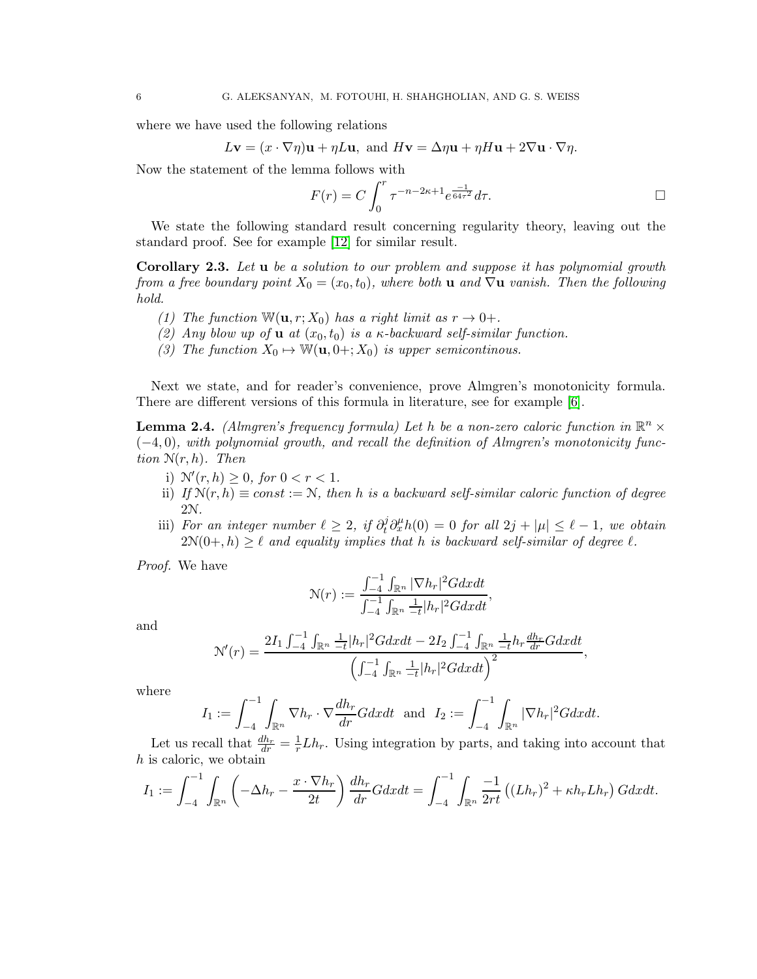where we have used the following relations

$$
L\mathbf{v} = (x \cdot \nabla \eta)\mathbf{u} + \eta L\mathbf{u}, \text{ and } H\mathbf{v} = \Delta \eta \mathbf{u} + \eta H\mathbf{u} + 2\nabla \mathbf{u} \cdot \nabla \eta.
$$

Now the statement of the lemma follows with

$$
F(r) = C \int_0^r \tau^{-n-2\kappa+1} e^{\frac{-1}{64\tau^2}} d\tau.
$$

We state the following standard result concerning regularity theory, leaving out the standard proof. See for example [\[12\]](#page-36-2) for similar result.

Corollary 2.3. *Let* u *be a solution to our problem and suppose it has polynomial growth from a free boundary point*  $X_0 = (x_0, t_0)$ *, where both* u *and*  $\nabla$ u *vanish. Then the following hold.*

- *(1)* The function  $W(\mathbf{u}, r; X_0)$  has a right limit as  $r \to 0+$ .
- *(2) Any blow up of* **u** *at*  $(x_0, t_0)$  *is a*  $\kappa$ *-backward self-similar function.*
- *(3) The function*  $X_0 \mapsto \mathbb{W}(\mathbf{u}, 0+; X_0)$  *is upper semicontinous.*

Next we state, and for reader's convenience, prove Almgren's monotonicity formula. There are different versions of this formula in literature, see for example [\[6\]](#page-35-6).

<span id="page-5-0"></span>**Lemma 2.4.** *(Almgren's frequency formula) Let*  $h$  *be a non-zero caloric function in*  $\mathbb{R}^n \times$ (−4, 0)*, with polynomial growth, and recall the definition of Almgren's monotonicity function* N(r, h)*. Then*

- i)  $\mathcal{N}'(r, h) \geq 0$ , for  $0 < r < 1$ .
- ii) *If*  $\mathcal{N}(r, h) \equiv const := \mathcal{N}$ , then h is a backward self-similar caloric function of degree 2N*.*
- iii) *For an integer number*  $\ell \geq 2$ , if  $\partial_t^j \partial_x^{\mu} h(0) = 0$  *for all*  $2j + |\mu| \leq \ell 1$ , we obtain  $2\mathcal{N}(0+,h) > \ell$  *and equality implies that* h *is backward self-similar of degree*  $\ell$ *.*

*Proof.* We have

$$
\mathcal{N}(r) := \frac{\int_{-4}^{-1} \int_{\mathbb{R}^n} |\nabla h_r|^2 G dx dt}{\int_{-4}^{-1} \int_{\mathbb{R}^n} \frac{1}{-t} |h_r|^2 G dx dt},
$$

and

$$
\mathcal{N}'(r) = \frac{2I_1 \int_{-4}^{-1} \int_{\mathbb{R}^n} \frac{1}{-t} |h_r|^2 G dx dt - 2I_2 \int_{-4}^{-1} \int_{\mathbb{R}^n} \frac{1}{-t} h_r \frac{dh_r}{dr} G dx dt}{\left(\int_{-4}^{-1} \int_{\mathbb{R}^n} \frac{1}{-t} |h_r|^2 G dx dt\right)^2},
$$

where

$$
I_1 := \int_{-4}^{-1} \int_{\mathbb{R}^n} \nabla h_r \cdot \nabla \frac{dh_r}{dr} G dx dt \text{ and } I_2 := \int_{-4}^{-1} \int_{\mathbb{R}^n} |\nabla h_r|^2 G dx dt.
$$

Let us recall that  $\frac{dh_r}{dr} = \frac{1}{r}$  $\frac{1}{r} L h_r$ . Using integration by parts, and taking into account that h is caloric, we obtain

$$
I_1 := \int_{-4}^{-1} \int_{\mathbb{R}^n} \left( -\Delta h_r - \frac{x \cdot \nabla h_r}{2t} \right) \frac{dh_r}{dr} G dx dt = \int_{-4}^{-1} \int_{\mathbb{R}^n} \frac{-1}{2rt} \left( (Lh_r)^2 + \kappa h_r Lh_r \right) G dx dt.
$$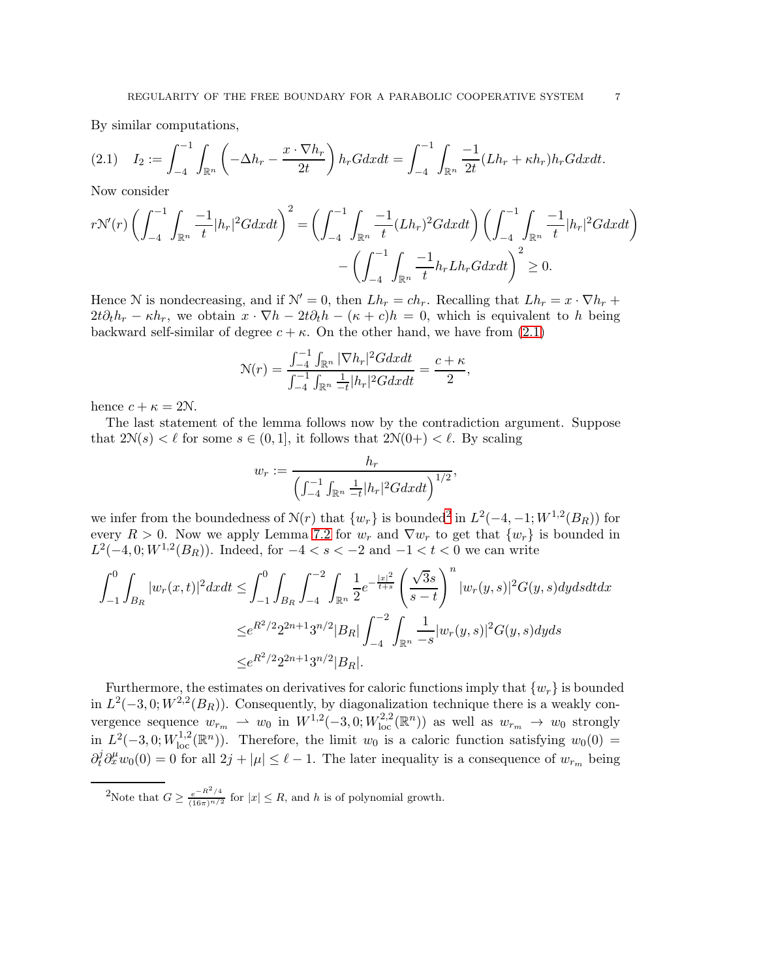By similar computations,

<span id="page-6-0"></span>
$$
(2.1) \quad I_2 := \int_{-4}^{-1} \int_{\mathbb{R}^n} \left( -\Delta h_r - \frac{x \cdot \nabla h_r}{2t} \right) h_r G dx dt = \int_{-4}^{-1} \int_{\mathbb{R}^n} \frac{-1}{2t} (Lh_r + \kappa h_r) h_r G dx dt.
$$

Now consider

$$
r\mathcal{N}'(r)\left(\int_{-4}^{-1}\int_{\mathbb{R}^n}\frac{-1}{t}|h_r|^2Gdxdt\right)^2 = \left(\int_{-4}^{-1}\int_{\mathbb{R}^n}\frac{-1}{t}(Lh_r)^2Gdxdt\right)\left(\int_{-4}^{-1}\int_{\mathbb{R}^n}\frac{-1}{t}|h_r|^2Gdxdt\right) - \left(\int_{-4}^{-1}\int_{\mathbb{R}^n}\frac{-1}{t}h_rLh_rGdxdt\right)^2 \ge 0.
$$

Hence N is nondecreasing, and if  $\mathcal{N}' = 0$ , then  $L h_r = c h_r$ . Recalling that  $L h_r = x \cdot \nabla h_r +$  $2t\partial_t h_r - \kappa h_r$ , we obtain  $x \cdot \nabla h - 2t\partial_t h - (\kappa + c)h = 0$ , which is equivalent to h being backward self-similar of degree  $c + \kappa$ . On the other hand, we have from [\(2.1\)](#page-6-0)

$$
\mathcal{N}(r) = \frac{\int_{-4}^{-1} \int_{\mathbb{R}^n} |\nabla h_r|^2 G dx dt}{\int_{-4}^{-1} \int_{\mathbb{R}^n} \frac{1}{-t} |h_r|^2 G dx dt} = \frac{c + \kappa}{2},
$$

hence  $c + \kappa = 2N$ .

The last statement of the lemma follows now by the contradiction argument. Suppose that  $2\mathcal{N}(s) < l$  for some  $s \in (0, 1]$ , it follows that  $2\mathcal{N}(0+) < l$ . By scaling

$$
w_r := \frac{h_r}{\left(\int_{-4}^{-1} \int_{\mathbb{R}^n} \frac{1}{-t} |h_r|^2 G dx dt\right)^{1/2}},
$$

we infer from the boundedness of  $N(r)$  that  $\{w_r\}$  is bounded<sup>[2](#page-6-1)</sup> in  $L^2(-4, -1; W^{1,2}(B_R))$  for every  $R > 0$ . Now we apply Lemma [7.2](#page-32-0) for  $w_r$  and  $\nabla w_r$  to get that  $\{w_r\}$  is bounded in  $L^2(-4,0;W^{1,2}(B_R))$ . Indeed, for  $-4 < s < -2$  and  $-1 < t < 0$  we can write

$$
\int_{-1}^{0} \int_{B_R} |w_r(x,t)|^2 dxdt \le \int_{-1}^{0} \int_{B_R} \int_{-4}^{-2} \int_{\mathbb{R}^n} \frac{1}{2} e^{-\frac{|x|^2}{t+s}} \left(\frac{\sqrt{3}s}{s-t}\right)^n |w_r(y,s)|^2 G(y,s) dydsdt dx
$$
  

$$
\le e^{R^2/2} 2^{2n+1} 3^{n/2} |B_R| \int_{-4}^{-2} \int_{\mathbb{R}^n} \frac{1}{-s} |w_r(y,s)|^2 G(y,s) dyds
$$
  

$$
\le e^{R^2/2} 2^{2n+1} 3^{n/2} |B_R|.
$$

Furthermore, the estimates on derivatives for caloric functions imply that  $\{w_r\}$  is bounded in  $L^2(-3,0;W^{2,2}(B_R))$ . Consequently, by diagonalization technique there is a weakly convergence sequence  $w_{r_m} \rightharpoonup w_0$  in  $W^{1,2}(-3,0;W^{2,2}_{loc}(\mathbb{R}^n))$  as well as  $w_{r_m} \rightharpoonup w_0$  strongly in  $L^2(-3,0;W^{1,2}_{loc}(\mathbb{R}^n))$ . Therefore, the limit  $w_0$  is a caloric function satisfying  $w_0(0)$  =  $\partial_t^j \partial_x^{\mu} w_0(0) = 0$  for all  $2j + |\mu| \leq \ell - 1$ . The later inequality is a consequence of  $w_{r_m}$  being

<span id="page-6-1"></span><sup>&</sup>lt;sup>2</sup>Note that  $G \ge \frac{e^{-R^2/4}}{(16\pi)^{n/2}}$  for  $|x| \le R$ , and h is of polynomial growth.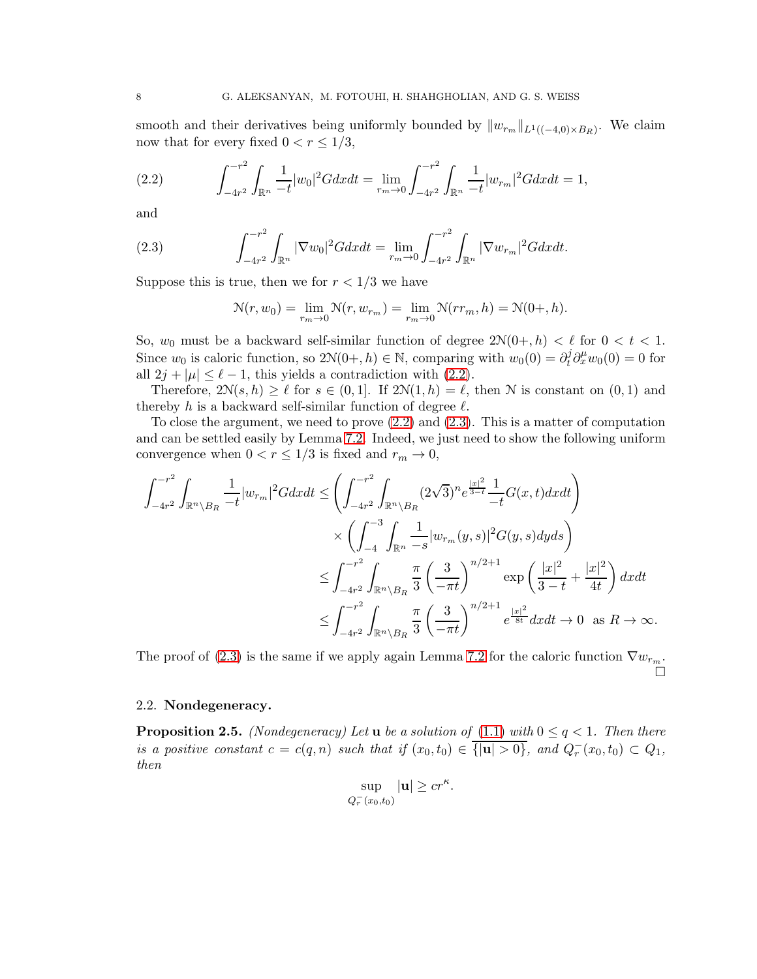smooth and their derivatives being uniformly bounded by  $||w_{r_m}||_{L^1((-4,0)\times B_R)}$ . We claim now that for every fixed  $0 < r \leq 1/3$ ,

<span id="page-7-1"></span>(2.2) 
$$
\int_{-4r^2}^{-r^2} \int_{\mathbb{R}^n} \frac{1}{-t} |w_0|^2 G dx dt = \lim_{r_m \to 0} \int_{-4r^2}^{-r^2} \int_{\mathbb{R}^n} \frac{1}{-t} |w_{r_m}|^2 G dx dt = 1,
$$

and

(2.3) 
$$
\int_{-4r^2}^{-r^2} \int_{\mathbb{R}^n} |\nabla w_0|^2 G dx dt = \lim_{r_m \to 0} \int_{-4r^2}^{-r^2} \int_{\mathbb{R}^n} |\nabla w_{r_m}|^2 G dx dt.
$$

Suppose this is true, then we for  $r < 1/3$  we have

<span id="page-7-2"></span>
$$
\mathcal{N}(r, w_0) = \lim_{r_m \to 0} \mathcal{N}(r, w_{r_m}) = \lim_{r_m \to 0} \mathcal{N}(rr_m, h) = \mathcal{N}(0+, h).
$$

So,  $w_0$  must be a backward self-similar function of degree  $2\mathcal{N}(0+, h) < \ell$  for  $0 < t < 1$ . Since  $w_0$  is caloric function, so  $2\mathcal{N}(0+,h) \in \mathbb{N}$ , comparing with  $w_0(0) = \partial_t^j \partial_x^{\mu} w_0(0) = 0$  for all  $2j + |\mu| \leq \ell - 1$ , this yields a contradiction with [\(2.2\)](#page-7-1).

Therefore,  $2\mathcal{N}(s, h) \geq \ell$  for  $s \in (0, 1]$ . If  $2\mathcal{N}(1, h) = \ell$ , then  $\mathcal N$  is constant on  $(0, 1)$  and thereby h is a backward self-similar function of degree  $\ell$ .

To close the argument, we need to prove  $(2.2)$  and  $(2.3)$ . This is a matter of computation and can be settled easily by Lemma [7.2.](#page-32-0) Indeed, we just need to show the following uniform convergence when  $0 < r \leq 1/3$  is fixed and  $r_m \to 0$ ,

$$
\int_{-4r^2}^{-r^2} \int_{\mathbb{R}^n \setminus B_R} \frac{1}{-t} |w_{r_m}|^2 G dx dt \le \left( \int_{-4r^2}^{-r^2} \int_{\mathbb{R}^n \setminus B_R} (2\sqrt{3})^n e^{\frac{|x|^2}{3-t}} \frac{1}{-t} G(x, t) dx dt \right) \times \left( \int_{-4}^{-3} \int_{\mathbb{R}^n} \frac{1}{-s} |w_{r_m}(y, s)|^2 G(y, s) dy ds \right) \le \int_{-4r^2}^{-r^2} \int_{\mathbb{R}^n \setminus B_R} \frac{\pi}{3} \left( \frac{3}{-\pi t} \right)^{n/2+1} \exp \left( \frac{|x|^2}{3-t} + \frac{|x|^2}{4t} \right) dx dt \le \int_{-4r^2}^{-r^2} \int_{\mathbb{R}^n \setminus B_R} \frac{\pi}{3} \left( \frac{3}{-\pi t} \right)^{n/2+1} e^{\frac{|x|^2}{8t}} dx dt \to 0 \text{ as } R \to \infty.
$$

The proof of [\(2.3\)](#page-7-2) is the same if we apply again Lemma [7.2](#page-32-0) for the caloric function  $\nabla w_{r_m}$ .  $\Box$ 

### <span id="page-7-0"></span>2.2. Nondegeneracy.

<span id="page-7-3"></span>**Proposition 2.5.** *(Nondegeneracy) Let* **u** *be a solution of* [\(1.1\)](#page-0-2) *with*  $0 \leq q < 1$ *. Then there is a positive constant*  $c = c(q, n)$  *such that if*  $(x_0, t_0) \in \overline{\{|u| > 0\}}$ *, and*  $Q_r^-(x_0, t_0) \subset Q_1$ *, then*

$$
\sup_{Q_r^-(x_0,t_0)} |\mathbf{u}| \geq c r^{\kappa}.
$$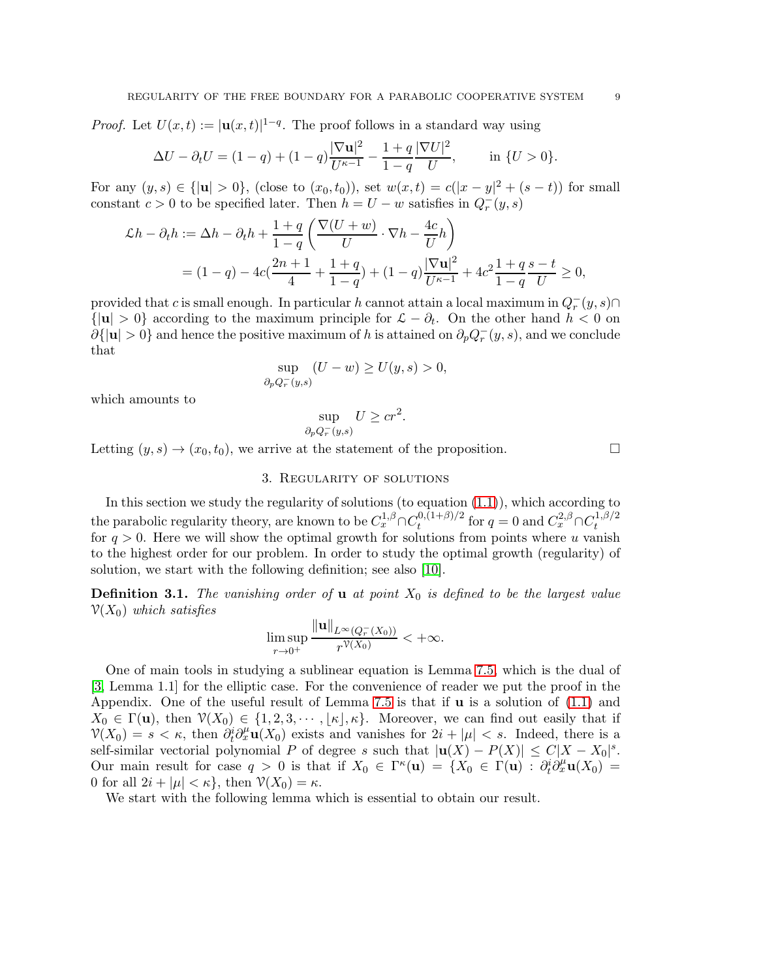*Proof.* Let  $U(x,t) := |\mathbf{u}(x,t)|^{1-q}$ . The proof follows in a standard way using

$$
\Delta U - \partial_t U = (1 - q) + (1 - q) \frac{|\nabla \mathbf{u}|^2}{U^{\kappa - 1}} - \frac{1 + q}{1 - q} \frac{|\nabla U|^2}{U}, \quad \text{in } \{U > 0\}.
$$

For any  $(y, s) \in \{|\mathbf{u}| > 0\}$ , (close to  $(x_0, t_0)$ ), set  $w(x,t) = c(|x - y|^2 + (s - t))$  for small constant  $c > 0$  to be specified later. Then  $h = U - w$  satisfies in  $Q_r^-(y, s)$ 

$$
\mathcal{L}h - \partial_t h := \Delta h - \partial_t h + \frac{1+q}{1-q} \left( \frac{\nabla (U+w)}{U} \cdot \nabla h - \frac{4c}{U} h \right)
$$
  
=  $(1-q) - 4c \left( \frac{2n+1}{4} + \frac{1+q}{1-q} \right) + (1-q) \frac{|\nabla \mathbf{u}|^2}{U^{k-1}} + 4c^2 \frac{1+q}{1-q} \frac{s-t}{U} \ge 0,$ 

provided that c is small enough. In particular h cannot attain a local maximum in  $Q_r^-(y, s) \cap$  $\{|u| > 0\}$  according to the maximum principle for  $\mathcal{L} - \partial_t$ . On the other hand  $h < 0$  on  $\partial\{|u|>0\}$  and hence the positive maximum of h is attained on  $\partial_p Q^-_r(y,s)$ , and we conclude that

$$
\sup_{\partial_p Q_r^-(y,s)} (U - w) \ge U(y,s) > 0,
$$

which amounts to

$$
\sup_{\partial_p Q_r^-(y,s)} U \ge cr^2.
$$

<span id="page-8-0"></span>Letting  $(y, s) \rightarrow (x_0, t_0)$ , we arrive at the statement of the proposition.

#### 3. Regularity of solutions

In this section we study the regularity of solutions (to equation  $(1.1)$ ), which according to the parabolic regularity theory, are known to be  $C_x^{1,\beta} \cap C_t^{0,(1+\beta)/2}$  $\int_{t}^{0,(1+\beta)/2}$  for  $q=0$  and  $C_x^{2,\beta} \cap C_t^{1,\beta/2}$ t for  $q > 0$ . Here we will show the optimal growth for solutions from points where u vanish to the highest order for our problem. In order to study the optimal growth (regularity) of solution, we start with the following definition; see also [\[10\]](#page-36-3).

**Definition 3.1.** The vanishing order of **u** at point  $X_0$  is defined to be the largest value  $V(X_0)$  *which satisfies*  $H = ∞ H$ 

$$
\limsup_{r\to 0^+}\frac{\|\mathbf{u}\|_{L^\infty(Q_r^-(X_0))}}{r^{\mathcal{V}(X_0)}}<+\infty.
$$

One of main tools in studying a sublinear equation is Lemma [7.5,](#page-34-0) which is the dual of [\[3,](#page-35-7) Lemma 1.1] for the elliptic case. For the convenience of reader we put the proof in the Appendix. One of the useful result of Lemma [7.5](#page-34-0) is that if  $\bf{u}$  is a solution of [\(1.1\)](#page-0-2) and  $X_0 \in \Gamma(\mathbf{u}),$  then  $\mathcal{V}(X_0) \in \{1, 2, 3, \cdots, \lfloor \kappa \rfloor, \kappa\}.$  Moreover, we can find out easily that if  $\mathcal{V}(X_0) = s < \kappa$ , then  $\partial_t^i \partial_x^{\mu} \mathbf{u}(X_0)$  exists and vanishes for  $2i + |\mu| < s$ . Indeed, there is a self-similar vectorial polynomial P of degree s such that  $|u(X) - P(X)| \leq C|X - X_0|^s$ . Our main result for case  $q > 0$  is that if  $X_0 \in \Gamma^{\kappa}(\mathbf{u}) = \{X_0 \in \Gamma(\mathbf{u}) : \partial_t^i \partial_x^{\mu} \mathbf{u}(X_0) =$ 0 for all  $2i + |\mu| < \kappa$ , then  $\mathcal{V}(X_0) = \kappa$ .

We start with the following lemma which is essential to obtain our result.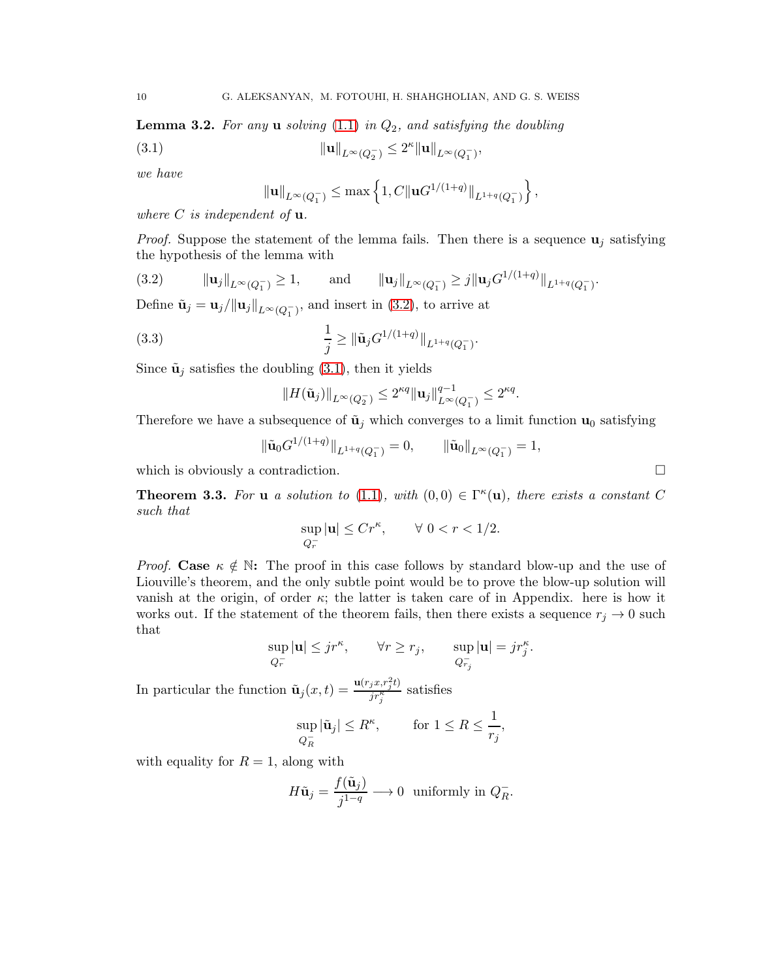<span id="page-9-3"></span>Lemma 3.2. *For any* u *solving* [\(1.1\)](#page-0-2) *in* Q2*, and satisfying the doubling*

(3.1) 
$$
\| \mathbf{u} \|_{L^{\infty}(Q_{2}^{-})} \leq 2^{\kappa} \| \mathbf{u} \|_{L^{\infty}(Q_{1}^{-})},
$$

*we have*

<span id="page-9-2"></span>
$$
\|\mathbf{u}\|_{L^{\infty}(Q_{1}^{-})}\leq \max\left\{1, C\|\mathbf{u}G^{1/(1+q)}\|_{L^{1+q}(Q_{1}^{-})}\right\},\,
$$

*where* C *is independent of* u*.*

*Proof.* Suppose the statement of the lemma fails. Then there is a sequence  $\mathbf{u}_i$  satisfying the hypothesis of the lemma with

<span id="page-9-1"></span>
$$
(3.2) \t\t\t\t||\mathbf{u}_j||_{L^{\infty}(Q_1^-)} \ge 1, \t\t\t\t\t\text{and}\t\t\t\t||\mathbf{u}_j||_{L^{\infty}(Q_1^-)} \ge j||\mathbf{u}_j G^{1/(1+q)}||_{L^{1+q}(Q_1^-)}.
$$

Define  $\tilde{\mathbf{u}}_j = \mathbf{u}_j / ||\mathbf{u}_j||_{L^{\infty}(Q_1^-)}$ , and insert in [\(3.2\)](#page-9-1), to arrive at

(3.3) 
$$
\frac{1}{j} \geq \|\tilde{\mathbf{u}}_j G^{1/(1+q)}\|_{L^{1+q}(Q_1^-)}.
$$

Since  $\tilde{\mathbf{u}}_i$  satisfies the doubling [\(3.1\)](#page-9-2), then it yields

$$
||H(\tilde{\mathbf{u}}_j)||_{L^{\infty}(Q_2^-)} \leq 2^{\kappa q} ||\mathbf{u}_j||_{L^{\infty}(Q_1^-)}^{q-1} \leq 2^{\kappa q}.
$$

Therefore we have a subsequence of  $\tilde{\mathbf{u}}_j$  which converges to a limit function  $\mathbf{u}_0$  satisfying

$$
\|\tilde{\mathbf{u}}_0 G^{1/(1+q)}\|_{L^{1+q}(Q_1^-)} = 0, \qquad \|\tilde{\mathbf{u}}_0\|_{L^{\infty}(Q_1^-)} = 1,
$$

which is obviously a contradiction.

<span id="page-9-0"></span>**Theorem 3.3.** For **u** *a* solution to [\(1.1\)](#page-0-2), with  $(0,0) \in \Gamma^{\kappa}(\mathbf{u})$ , there exists a constant C *such that*

$$
\sup_{Q_r^-} |{\mathbf u}|\le Cr^\kappa, \qquad \forall\; 0
$$

*Proof.* Case  $\kappa \notin \mathbb{N}$ : The proof in this case follows by standard blow-up and the use of Liouville's theorem, and the only subtle point would be to prove the blow-up solution will vanish at the origin, of order  $\kappa$ ; the latter is taken care of in Appendix. here is how it works out. If the statement of the theorem fails, then there exists a sequence  $r_j \to 0$  such that

$$
\sup_{Q_r^-} |\mathbf{u}| \leq j r^{\kappa}, \qquad \forall r \geq r_j, \qquad \sup_{Q_{r_j}^-} |\mathbf{u}| = j r_j^{\kappa}.
$$

In particular the function  $\tilde{\mathbf{u}}_j(x,t) = \frac{\mathbf{u}(r_j x, r_j^2 t)}{ir^{\kappa}}$  $\frac{j\pi_j^{k}}{j\tau_j^k}$  satisfies

$$
\sup_{Q_R^-} |\tilde{\mathbf{u}}_j| \le R^{\kappa}, \qquad \text{for } 1 \le R \le \frac{1}{r_j},
$$

with equality for  $R = 1$ , along with

$$
H\tilde{\mathbf{u}}_j = \frac{f(\tilde{\mathbf{u}}_j)}{j^{1-q}} \longrightarrow 0 \text{ uniformly in } Q_R^-.
$$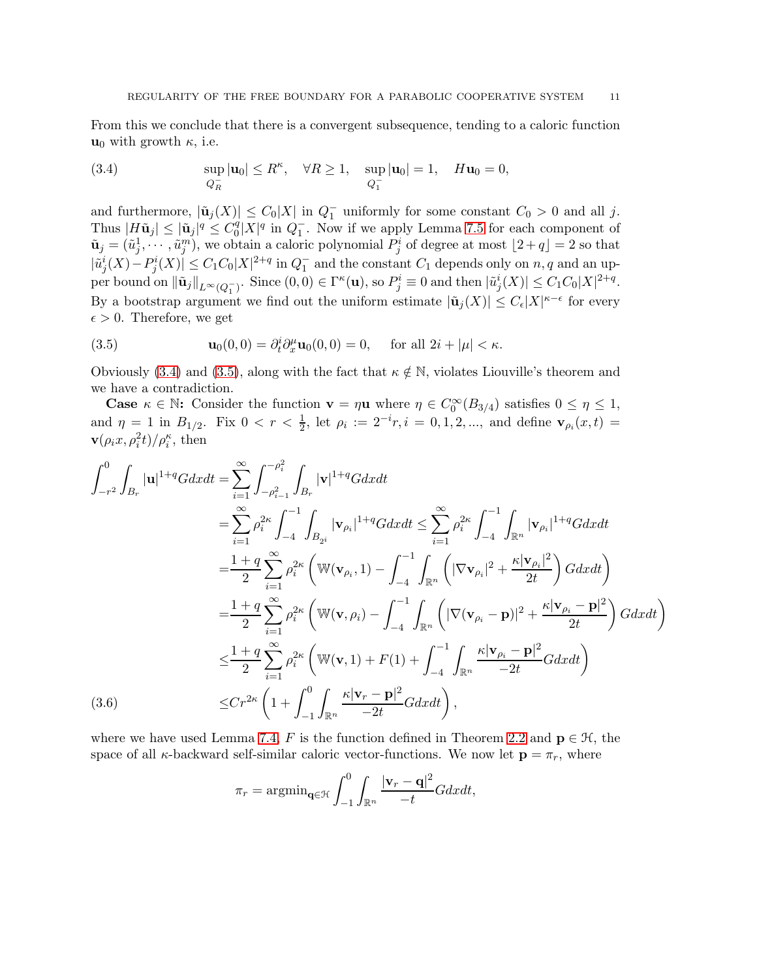From this we conclude that there is a convergent subsequence, tending to a caloric function  $u_0$  with growth  $\kappa$ , i.e.

<span id="page-10-0"></span>(3.4) 
$$
\sup_{Q_R^-} |\mathbf{u}_0| \le R^{\kappa}, \quad \forall R \ge 1, \quad \sup_{Q_1^-} |\mathbf{u}_0| = 1, \quad H\mathbf{u}_0 = 0,
$$

and furthermore,  $|\tilde{\mathbf{u}}_j(X)| \leq C_0 |X|$  in  $Q_1^-$  uniformly for some constant  $C_0 > 0$  and all j. Thus  $|H\tilde{\mathbf{u}}_j| \leq |\tilde{\mathbf{u}}_j|^q \leq C_0^q$  $\binom{q}{0}$   $X$ <sup>| $q$ </sup> in  $Q$ <sub>1</sub><sup>-</sup>. Now if we apply Lemma [7.5](#page-34-0) for each component of  $\tilde{\mathbf{u}}_j = (\tilde{u}_j^1, \dots, \tilde{u}_j^m)$ , we obtain a caloric polynomial  $P_j^i$  of degree at most  $\lfloor 2 + q \rfloor = 2$  so that  $|\tilde{u}_j^i(X) - P_j^i(X)| \leq C_1 C_0 |X|^{2+q}$  in  $Q_1^-$  and the constant  $C_1$  depends only on  $n, q$  and an upper bound on  $\|\tilde{\mathbf{u}}_j\|_{L^{\infty}(Q_1^-)}$ . Since  $(0,0) \in \Gamma^{\kappa}(\mathbf{u})$ , so  $P^i_j \equiv 0$  and then  $|\tilde{u}^i_j(X)| \leq C_1 C_0 |X|^{2+q}$ . By a bootstrap argument we find out the uniform estimate  $|\tilde{\mathbf{u}}_j(X)| \leq C_{\epsilon}|X|^{\kappa-\epsilon}$  for every  $\epsilon > 0$ . Therefore, we get

<span id="page-10-1"></span>(3.5) 
$$
\mathbf{u}_0(0,0) = \partial_t^i \partial_x^{\mu} \mathbf{u}_0(0,0) = 0, \quad \text{for all } 2i + |\mu| < \kappa.
$$

Obviously [\(3.4\)](#page-10-0) and [\(3.5\)](#page-10-1), along with the fact that  $\kappa \notin \mathbb{N}$ , violates Liouville's theorem and we have a contradiction.

**Case**  $\kappa \in \mathbb{N}$ : Consider the function  $\mathbf{v} = \eta \mathbf{u}$  where  $\eta \in C_0^{\infty}(B_{3/4})$  satisfies  $0 \leq \eta \leq 1$ , and  $\eta = 1$  in  $B_{1/2}$ . Fix  $0 < r < \frac{1}{2}$ , let  $\rho_i := 2^{-i}r, i = 0, 1, 2, \dots$ , and define  $\mathbf{v}_{\rho_i}(x, t) =$  $\mathbf{v}(\rho_i x, \rho_i^2 t)/\rho_i^{\kappa}$ , then

$$
\int_{-r^{2}}^{0} \int_{B_{r}} |\mathbf{u}|^{1+q} G dx dt = \sum_{i=1}^{\infty} \int_{-\rho_{i-1}^{2}}^{-\rho_{i}^{2}} \int_{B_{r}} |\mathbf{v}|^{1+q} G dx dt
$$
  
\n
$$
= \sum_{i=1}^{\infty} \rho_{i}^{2\kappa} \int_{-4}^{-1} \int_{B_{2}i} |\mathbf{v}_{\rho_{i}}|^{1+q} G dx dt \leq \sum_{i=1}^{\infty} \rho_{i}^{2\kappa} \int_{-4}^{-1} \int_{\mathbb{R}^{n}} |\mathbf{v}_{\rho_{i}}|^{1+q} G dx dt
$$
  
\n
$$
= \frac{1+q}{2} \sum_{i=1}^{\infty} \rho_{i}^{2\kappa} \left( \mathbb{W}(\mathbf{v}_{\rho_{i}}, 1) - \int_{-4}^{-1} \int_{\mathbb{R}^{n}} \left( |\nabla \mathbf{v}_{\rho_{i}}|^{2} + \frac{\kappa |\mathbf{v}_{\rho_{i}}|^{2}}{2t} \right) G dx dt \right)
$$
  
\n
$$
= \frac{1+q}{2} \sum_{i=1}^{\infty} \rho_{i}^{2\kappa} \left( \mathbb{W}(\mathbf{v}, \rho_{i}) - \int_{-4}^{-1} \int_{\mathbb{R}^{n}} \left( |\nabla (\mathbf{v}_{\rho_{i}} - \mathbf{p})|^{2} + \frac{\kappa |\mathbf{v}_{\rho_{i}} - \mathbf{p}|^{2}}{2t} \right) G dx dt \right)
$$
  
\n
$$
\leq \frac{1+q}{2} \sum_{i=1}^{\infty} \rho_{i}^{2\kappa} \left( \mathbb{W}(\mathbf{v}, 1) + F(1) + \int_{-4}^{-1} \int_{\mathbb{R}^{n}} \frac{\kappa |\mathbf{v}_{\rho_{i}} - \mathbf{p}|^{2}}{-2t} G dx dt \right)
$$
  
\n(3.6)  
\n
$$
\leq C r^{2\kappa} \left( 1 + \int_{-1}^{0} \int_{\mathbb{R}^{n}} \frac{\kappa |\mathbf{v}_{r} - \mathbf{p}|^{2}}{-2t} G dx dt \right),
$$

<span id="page-10-2"></span>where we have used Lemma [7.4,](#page-33-0) F is the function defined in Theorem [2.2](#page-4-0) and  $\mathbf{p} \in \mathcal{H}$ , the space of all  $\kappa$ -backward self-similar caloric vector-functions. We now let  $\mathbf{p} = \pi_r$ , where

$$
\pi_r = \operatorname{argmin}_{\mathbf{q} \in \mathcal{H}} \int_{-1}^{0} \int_{\mathbb{R}^n} \frac{|\mathbf{v}_r - \mathbf{q}|^2}{-t} G dx dt,
$$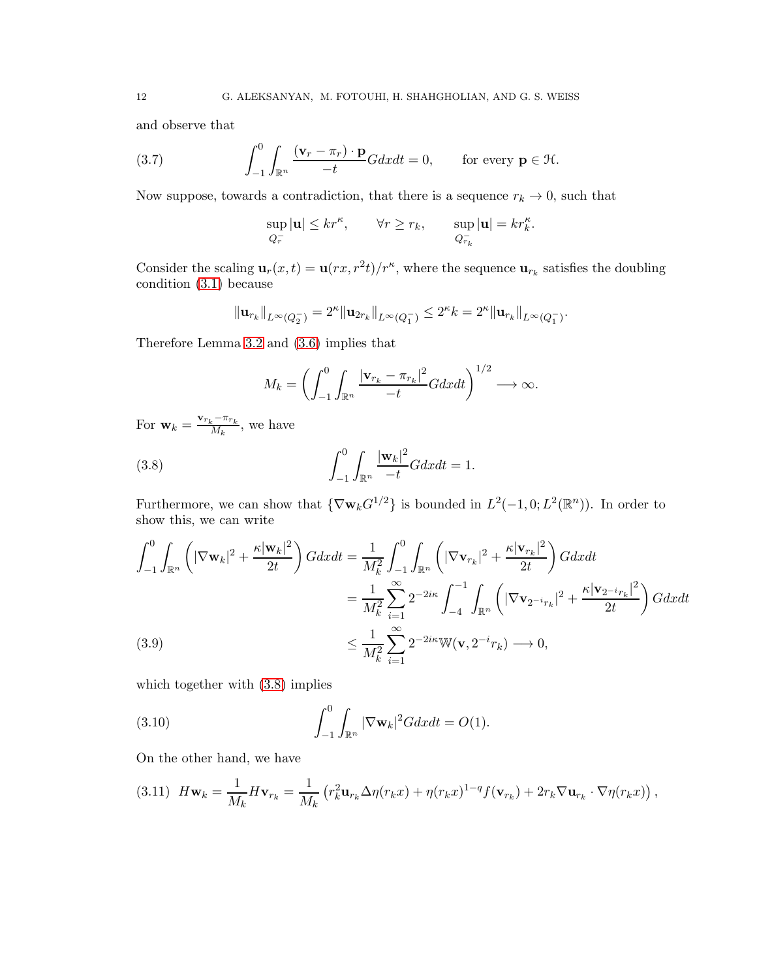and observe that

(3.7) 
$$
\int_{-1}^{0} \int_{\mathbb{R}^n} \frac{(\mathbf{v}_r - \pi_r) \cdot \mathbf{p}}{-t} G dx dt = 0, \quad \text{for every } \mathbf{p} \in \mathcal{H}.
$$

Now suppose, towards a contradiction, that there is a sequence  $r_k \to 0$ , such that

<span id="page-11-3"></span>
$$
\sup_{Q_r^-} |{\bf u}|\le kr^\kappa, \qquad \forall r\ge r_k, \qquad \sup_{Q_{r_k}^-} |{\bf u}|=kr^\kappa_k.
$$

Consider the scaling  $\mathbf{u}_r(x,t) = \mathbf{u}(rx, r^2t)/r^{\kappa}$ , where the sequence  $\mathbf{u}_{r_k}$  satisfies the doubling condition [\(3.1\)](#page-9-2) because

$$
\|\mathbf{u}_{r_k}\|_{L^{\infty}(Q_2^-)} = 2^{\kappa} \|\mathbf{u}_{2r_k}\|_{L^{\infty}(Q_1^-)} \le 2^{\kappa} k = 2^{\kappa} \|\mathbf{u}_{r_k}\|_{L^{\infty}(Q_1^-)}.
$$

Therefore Lemma [3.2](#page-9-3) and [\(3.6\)](#page-10-2) implies that

<span id="page-11-0"></span>
$$
M_k = \left(\int_{-1}^0 \int_{\mathbb{R}^n} \frac{|\mathbf{v}_{r_k} - \pi_{r_k}|^2}{-t} G dx dt\right)^{1/2} \longrightarrow \infty.
$$

For  $\mathbf{w}_k = \frac{\mathbf{v}_{r_k} - \pi_{r_k}}{M_k}$  $\frac{k^{n}r_k}{M_k}$ , we have

(3.8) 
$$
\int_{-1}^{0} \int_{\mathbb{R}^n} \frac{|\mathbf{w}_k|^2}{-t} G dx dt = 1.
$$

Furthermore, we can show that  $\{\nabla \mathbf{w}_k G^{1/2}\}\$ is bounded in  $L^2(-1,0;L^2(\mathbb{R}^n))$ . In order to show this, we can write

$$
\int_{-1}^{0} \int_{\mathbb{R}^n} \left( |\nabla \mathbf{w}_k|^2 + \frac{\kappa |\mathbf{w}_k|^2}{2t} \right) G dx dt = \frac{1}{M_k^2} \int_{-1}^{0} \int_{\mathbb{R}^n} \left( |\nabla \mathbf{v}_{r_k}|^2 + \frac{\kappa |\mathbf{v}_{r_k}|^2}{2t} \right) G dx dt
$$
  

$$
= \frac{1}{M_k^2} \sum_{i=1}^{\infty} 2^{-2i\kappa} \int_{-4}^{-1} \int_{\mathbb{R}^n} \left( |\nabla \mathbf{v}_{2^{-i}r_k}|^2 + \frac{\kappa |\mathbf{v}_{2^{-i}r_k}|^2}{2t} \right) G dx dt
$$
  
(3.9)  

$$
\leq \frac{1}{M_k^2} \sum_{i=1}^{\infty} 2^{-2i\kappa} \mathbb{W}(\mathbf{v}, 2^{-i}r_k) \longrightarrow 0,
$$

<span id="page-11-4"></span>which together with  $(3.8)$  implies

<span id="page-11-2"></span>(3.10) 
$$
\int_{-1}^{0} \int_{\mathbb{R}^{n}} |\nabla \mathbf{w}_{k}|^{2} G dx dt = O(1).
$$

On the other hand, we have

<span id="page-11-1"></span>
$$
(3.11) \quad H\mathbf{w}_k = \frac{1}{M_k} H\mathbf{v}_{r_k} = \frac{1}{M_k} \left( r_k^2 \mathbf{u}_{r_k} \Delta \eta(r_k x) + \eta(r_k x)^{1-q} f(\mathbf{v}_{r_k}) + 2r_k \nabla \mathbf{u}_{r_k} \cdot \nabla \eta(r_k x) \right),
$$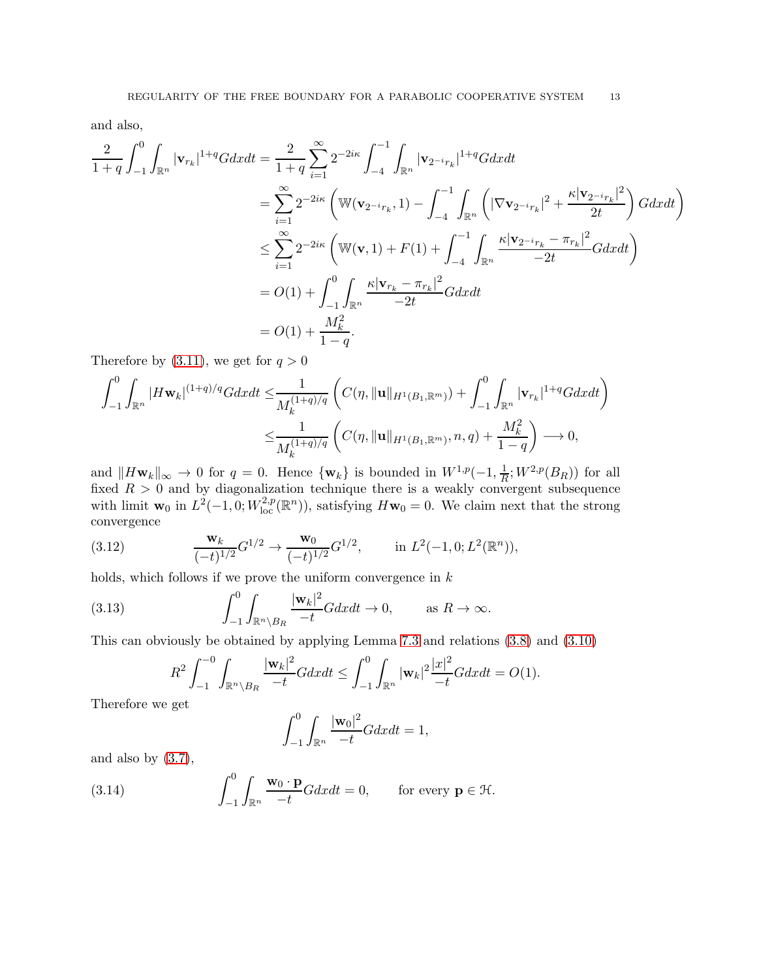and also,

$$
\frac{2}{1+q} \int_{-1}^{0} \int_{\mathbb{R}^{n}} |\mathbf{v}_{r_{k}}|^{1+q} G dx dt = \frac{2}{1+q} \sum_{i=1}^{\infty} 2^{-2i\kappa} \int_{-4}^{-1} \int_{\mathbb{R}^{n}} |\mathbf{v}_{2-i_{r_{k}}}|^{1+q} G dx dt
$$
  
\n
$$
= \sum_{i=1}^{\infty} 2^{-2i\kappa} \left( \mathbb{W}(\mathbf{v}_{2-i_{r_{k}}}, 1) - \int_{-4}^{-1} \int_{\mathbb{R}^{n}} \left( |\nabla \mathbf{v}_{2-i_{r_{k}}}|^{2} + \frac{\kappa |\mathbf{v}_{2-i_{r_{k}}}|^{2}}{2t} \right) G dx dt \right)
$$
  
\n
$$
\leq \sum_{i=1}^{\infty} 2^{-2i\kappa} \left( \mathbb{W}(\mathbf{v}, 1) + F(1) + \int_{-4}^{-1} \int_{\mathbb{R}^{n}} \frac{\kappa |\mathbf{v}_{2-i_{r_{k}}} - \pi_{r_{k}}|^{2}}{-2t} G dx dt \right)
$$
  
\n
$$
= O(1) + \int_{-1}^{0} \int_{\mathbb{R}^{n}} \frac{\kappa |\mathbf{v}_{r_{k}} - \pi_{r_{k}}|^{2}}{-2t} G dx dt
$$
  
\n
$$
= O(1) + \frac{M_{k}^{2}}{1-q}.
$$

Therefore by  $(3.11)$ , we get for  $q > 0$ 

$$
\int_{-1}^{0} \int_{\mathbb{R}^{n}} |H\mathbf{w}_{k}|^{(1+q)/q} G dx dt \leq \frac{1}{M_{k}^{(1+q)/q}} \left( C(\eta, \|\mathbf{u}\|_{H^{1}(B_{1}, \mathbb{R}^{m})}) + \int_{-1}^{0} \int_{\mathbb{R}^{n}} |\mathbf{v}_{r_{k}}|^{1+q} G dx dt \right)
$$
  

$$
\leq \frac{1}{M_{k}^{(1+q)/q}} \left( C(\eta, \|\mathbf{u}\|_{H^{1}(B_{1}, \mathbb{R}^{m})}, n, q) + \frac{M_{k}^{2}}{1-q} \right) \longrightarrow 0,
$$

and  $\|H\mathbf{w}_k\|_{\infty} \to 0$  for  $q = 0$ . Hence  $\{\mathbf{w}_k\}$  is bounded in  $W^{1,p}(-1, \frac{1}{R})$  $\frac{1}{R}$ ;  $W^{2,p}(B_R)$  for all fixed  $R > 0$  and by diagonalization technique there is a weakly convergent subsequence with limit  $\mathbf{w}_0$  in  $L^2(-1,0;W^{2,p}_{loc}(\mathbb{R}^n))$ , satisfying  $H\mathbf{w}_0 = 0$ . We claim next that the strong convergence

<span id="page-12-0"></span>(3.12) 
$$
\frac{\mathbf{w}_k}{(-t)^{1/2}} G^{1/2} \to \frac{\mathbf{w}_0}{(-t)^{1/2}} G^{1/2}, \quad \text{in } L^2(-1,0; L^2(\mathbb{R}^n)),
$$

holds, which follows if we prove the uniform convergence in  $k$ 

(3.13) 
$$
\int_{-1}^{0} \int_{\mathbb{R}^n \setminus B_R} \frac{|\mathbf{w}_k|^2}{-t} G dx dt \to 0, \quad \text{as } R \to \infty.
$$

This can obviously be obtained by applying Lemma [7.3](#page-33-1) and relations [\(3.8\)](#page-11-0) and [\(3.10\)](#page-11-2)

<span id="page-12-2"></span>
$$
R^{2} \int_{-1}^{-0} \int_{\mathbb{R}^{n} \setminus B_{R}} \frac{|\mathbf{w}_{k}|^{2}}{-t} G dx dt \leq \int_{-1}^{0} \int_{\mathbb{R}^{n}} |\mathbf{w}_{k}|^{2} \frac{|x|^{2}}{-t} G dx dt = O(1).
$$

Therefore we get

<span id="page-12-1"></span>
$$
\int_{-1}^{0} \int_{\mathbb{R}^n} \frac{|\mathbf{w}_0|^2}{-t} G dx dt = 1,
$$

and also by  $(3.7)$ ,

(3.14) 
$$
\int_{-1}^{0} \int_{\mathbb{R}^n} \frac{\mathbf{w}_0 \cdot \mathbf{p}}{-t} G dx dt = 0, \quad \text{for every } \mathbf{p} \in \mathcal{H}.
$$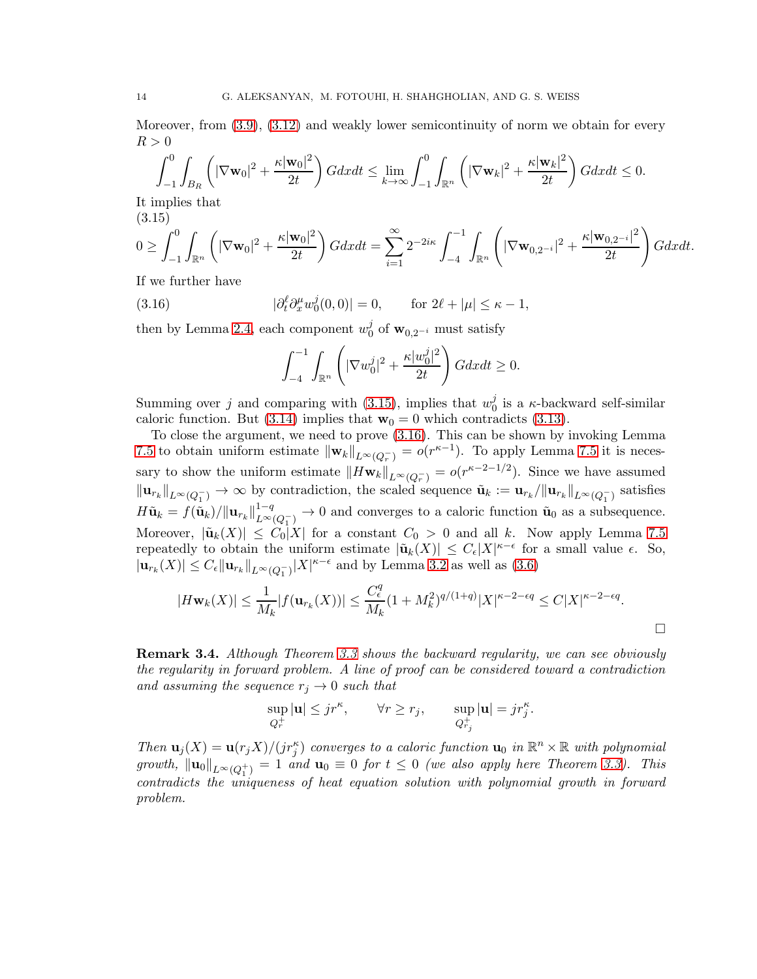Moreover, from [\(3.9\)](#page-11-4), [\(3.12\)](#page-12-0) and weakly lower semicontinuity of norm we obtain for every  $R > 0$ 

$$
\int_{-1}^{0} \int_{B_R} \left( |\nabla \mathbf{w}_0|^2 + \frac{\kappa |\mathbf{w}_0|^2}{2t} \right) G dx dt \le \lim_{k \to \infty} \int_{-1}^{0} \int_{\mathbb{R}^n} \left( |\nabla \mathbf{w}_k|^2 + \frac{\kappa |\mathbf{w}_k|^2}{2t} \right) G dx dt \le 0.
$$

It implies that (3.15)

<span id="page-13-0"></span>
$$
0 \geq \int_{-1}^{0} \int_{\mathbb{R}^n} \left( |\nabla \mathbf{w}_0|^2 + \frac{\kappa |\mathbf{w}_0|^2}{2t} \right) G dx dt = \sum_{i=1}^{\infty} 2^{-2i\kappa} \int_{-4}^{-1} \int_{\mathbb{R}^n} \left( |\nabla \mathbf{w}_{0,2^{-i}}|^2 + \frac{\kappa |\mathbf{w}_{0,2^{-i}}|^2}{2t} \right) G dx dt.
$$

If we further have

(3.16) 
$$
|\partial_t^{\ell} \partial_x^{\mu} w_0^j(0,0)| = 0, \quad \text{for } 2\ell + |\mu| \leq \kappa - 1,
$$

then by Lemma [2.4,](#page-5-0) each component  $w_0^j$  $\int_0^j$  of  $\mathbf{w}_{0,2^{-i}}$  must satisfy

<span id="page-13-1"></span>
$$
\int_{-4}^{-1} \int_{\mathbb{R}^n} \left( |\nabla w_0^j|^2 + \frac{\kappa |w_0^j|^2}{2t} \right) G dx dt \ge 0.
$$

Summing over j and comparing with [\(3.15\)](#page-13-0), implies that  $w_0^j$  $\frac{J}{0}$  is a  $\kappa$ -backward self-similar caloric function. But [\(3.14\)](#page-12-1) implies that  $\mathbf{w}_0 = 0$  which contradicts [\(3.13\)](#page-12-2).

To close the argument, we need to prove [\(3.16\)](#page-13-1). This can be shown by invoking Lemma [7.5](#page-34-0) to obtain uniform estimate  $\|\mathbf{w}_k\|_{L^{\infty}(Q_r^-)} = o(r^{\kappa-1})$ . To apply Lemma [7.5](#page-34-0) it is necessary to show the uniform estimate  $||H\mathbf{w}_k||_{L^{\infty}(Q_r^{-})} = o(r^{\kappa-2-1/2})$ . Since we have assumed  $\|\mathbf{u}_{r_k}\|_{L^{\infty}(Q_1^-)} \to \infty$  by contradiction, the scaled sequence  $\tilde{\mathbf{u}}_k := \mathbf{u}_{r_k}/\|\mathbf{u}_{r_k}\|_{L^{\infty}(Q_1^-)}$  satisfies  $H\tilde{\textbf{u}}_k=f(\tilde{\textbf{u}}_k)/\|\textbf{u}_{r_k}\|_{L^{\infty}}^{1-q}$  $L^{\infty}(Q_1^-) \to 0$  and converges to a caloric function  $\tilde{\mathbf{u}}_0$  as a subsequence. Moreover,  $|\tilde{\mathbf{u}}_k(X)| \leq C_0 |X|$  for a constant  $C_0 > 0$  and all k. Now apply Lemma [7.5](#page-34-0) repeatedly to obtain the uniform estimate  $|\tilde{\mathbf{u}}_k(X)| \leq C_{\epsilon}|X|^{\kappa-\epsilon}$  for a small value  $\epsilon$ . So,  $|\mathbf{u}_{r_k}(X)| \leq C_{\epsilon} ||\mathbf{u}_{r_k}||_{L^{\infty}(Q_1^-)} |X|^{\kappa-\epsilon}$  and by Lemma [3.2](#page-9-3) as well as [\(3.6\)](#page-10-2)

$$
|H\mathbf{w}_k(X)| \le \frac{1}{M_k} |f(\mathbf{u}_{r_k}(X))| \le \frac{C_{\epsilon}^q}{M_k} (1 + M_k^2)^{q/(1+q)} |X|^{\kappa - 2 - \epsilon q} \le C|X|^{\kappa - 2 - \epsilon q}.
$$

<span id="page-13-2"></span>Remark 3.4. *Although Theorem [3.3](#page-9-0) shows the backward regularity, we can see obviously the regularity in forward problem. A line of proof can be considered toward a contradiction and assuming the sequence*  $r_j \rightarrow 0$  *such that* 

$$
\sup_{Q_r^+} |\mathbf{u}| \leq j r^{\kappa}, \qquad \forall r \geq r_j, \qquad \sup_{Q_{r_j}^+} |\mathbf{u}| = j r_j^{\kappa}.
$$

*Then*  $\mathbf{u}_j(X) = \mathbf{u}(r_j X)/(jr_j^{\kappa})$  *converges to a caloric function*  $\mathbf{u}_0$  *in*  $\mathbb{R}^n \times \mathbb{R}$  *with polynomial growth,*  $\|\mathbf{u}_0\|_{L^{\infty}(Q_1^+)} = 1$  *and*  $\mathbf{u}_0 \equiv 0$  *for*  $t \leq 0$  *(we also apply here Theorem [3.3\)](#page-9-0). This contradicts the uniqueness of heat equation solution with polynomial growth in forward problem.*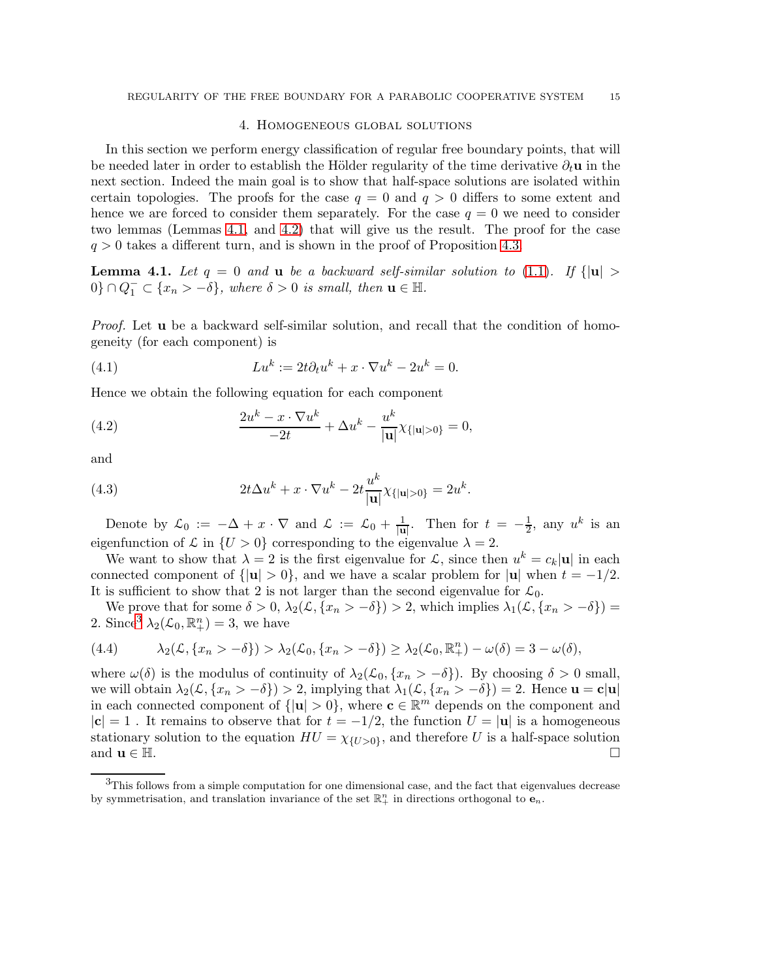#### 4. Homogeneous global solutions

<span id="page-14-0"></span>In this section we perform energy classification of regular free boundary points, that will be needed later in order to establish the Hölder regularity of the time derivative  $\partial_t \mathbf{u}$  in the next section. Indeed the main goal is to show that half-space solutions are isolated within certain topologies. The proofs for the case  $q = 0$  and  $q > 0$  differs to some extent and hence we are forced to consider them separately. For the case  $q = 0$  we need to consider two lemmas (Lemmas [4.1,](#page-14-1) and [4.2\)](#page-15-0) that will give us the result. The proof for the case  $q > 0$  takes a different turn, and is shown in the proof of Proposition [4.3.](#page-15-1)

<span id="page-14-1"></span>**Lemma 4.1.** Let  $q = 0$  and **u** be a backward self-similar solution to [\(1.1\)](#page-0-2). If  $\{|\mathbf{u}| >$  $0\} \cap Q_1^- \subset \{x_n > -\delta\}$ , where  $\delta > 0$  is small, then  $\mathbf{u} \in \mathbb{H}$ .

*Proof.* Let **u** be a backward self-similar solution, and recall that the condition of homogeneity (for each component) is

(4.1) 
$$
Lu^k := 2t\partial_t u^k + x \cdot \nabla u^k - 2u^k = 0.
$$

Hence we obtain the following equation for each component

(4.2) 
$$
\frac{2u^k - x \cdot \nabla u^k}{-2t} + \Delta u^k - \frac{u^k}{|\mathbf{u}|} \chi_{\{|\mathbf{u}| > 0\}} = 0,
$$

and

(4.3) 
$$
2t\Delta u^{k} + x \cdot \nabla u^{k} - 2t \frac{u^{k}}{|\mathbf{u}|} \chi_{\{|\mathbf{u}|>0\}} = 2u^{k}.
$$

Denote by  $\mathcal{L}_0 := -\Delta + x \cdot \nabla$  and  $\mathcal{L} := \mathcal{L}_0 + \frac{1}{|\mathbf{u}|}$ . Then for  $t = -\frac{1}{2}$  $\frac{1}{2}$ , any  $u^k$  is an eigenfunction of  $\mathcal L$  in  $\{U > 0\}$  corresponding to the eigenvalue  $\lambda = 2$ .

We want to show that  $\lambda = 2$  is the first eigenvalue for  $\mathcal{L}$ , since then  $u^k = c_k |u|$  in each connected component of  $\{|u| > 0\}$ , and we have a scalar problem for  $|u|$  when  $t = -1/2$ . It is sufficient to show that 2 is not larger than the second eigenvalue for  $\mathcal{L}_0$ .

We prove that for some  $\delta > 0$ ,  $\lambda_2(\mathcal{L}, \{x_n > -\delta\}) > 2$ , which implies  $\lambda_1(\mathcal{L}, \{x_n > -\delta\}) =$ 2. Since  $\lambda_2(\mathcal{L}_0, \mathbb{R}^n_+) = 3$  $\lambda_2(\mathcal{L}_0, \mathbb{R}^n_+) = 3$ , we have

(4.4) 
$$
\lambda_2(\mathcal{L}, \{x_n > -\delta\}) > \lambda_2(\mathcal{L}_0, \{x_n > -\delta\}) \geq \lambda_2(\mathcal{L}_0, \mathbb{R}^n_+) - \omega(\delta) = 3 - \omega(\delta),
$$

where  $\omega(\delta)$  is the modulus of continuity of  $\lambda_2(\mathcal{L}_0, \{x_n > -\delta\})$ . By choosing  $\delta > 0$  small, we will obtain  $\lambda_2(\mathcal{L}, \{x_n > -\delta\}) > 2$ , implying that  $\lambda_1(\mathcal{L}, \{x_n > -\delta\}) = 2$ . Hence  $\mathbf{u} = \mathbf{c}|\mathbf{u}|$ in each connected component of  $\{|u| > 0\}$ , where  $c \in \mathbb{R}^m$  depends on the component and  $|c| = 1$ . It remains to observe that for  $t = -1/2$ , the function  $U = |u|$  is a homogeneous stationary solution to the equation  $HU = \chi_{\{U>0\}}$ , and therefore U is a half-space solution and  $\mathbf{u} \in \mathbb{H}$ .

<span id="page-14-2"></span> $3$ This follows from a simple computation for one dimensional case, and the fact that eigenvalues decrease by symmetrisation, and translation invariance of the set  $\mathbb{R}^n_+$  in directions orthogonal to  $\mathbf{e}_n$ .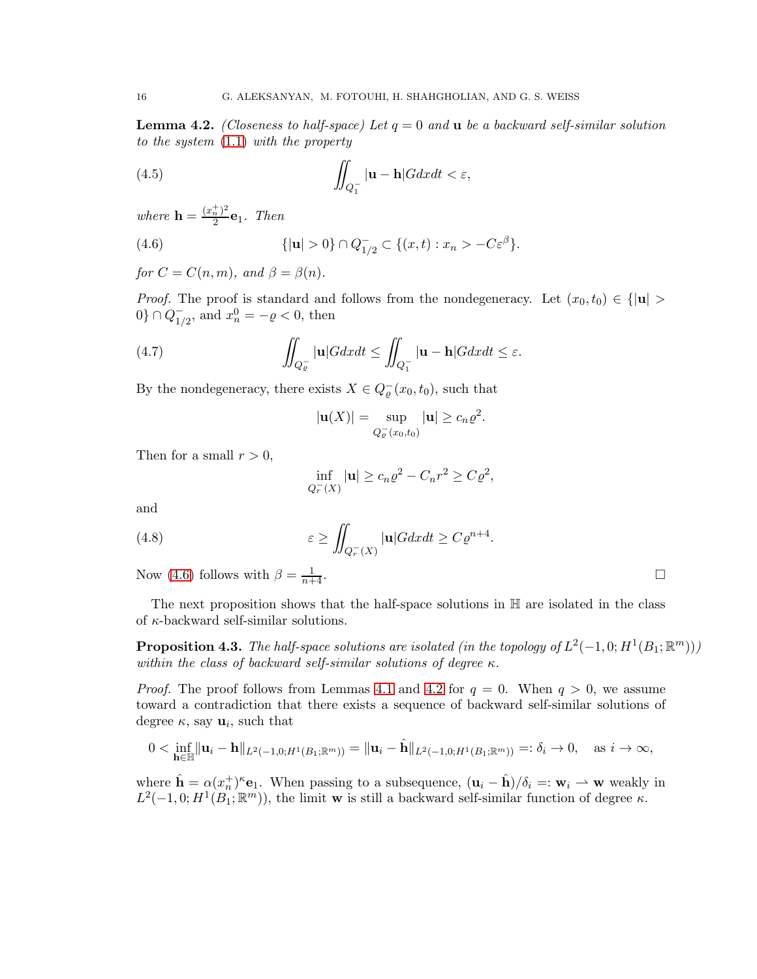<span id="page-15-0"></span>Lemma 4.2. *(Closeness to half-space) Let* q = 0 *and* u *be a backward self-similar solution to the system* [\(1.1\)](#page-0-2) *with the property*

(4.5) 
$$
\iint_{Q_1^-} |\mathbf{u} - \mathbf{h}| G dx dt < \varepsilon,
$$

*where*  $\mathbf{h} = \frac{(x_n^+)^2}{2}$  $\frac{n}{2}$ **e**<sub>1</sub>. Then

<span id="page-15-2"></span>(4.6) 
$$
\{ |u| > 0 \} \cap Q_{1/2}^- \subset \{ (x, t) : x_n > -C\varepsilon^{\beta} \}.
$$

*for*  $C = C(n, m)$ *, and*  $\beta = \beta(n)$ *.* 

*Proof.* The proof is standard and follows from the nondegeneracy. Let  $(x_0, t_0) \in \{|\mathbf{u}| >$  $0\} \cap Q_{1/2}^{-1}$  $^{-}_{1/2}$ , and  $x_n^0 = -\varrho < 0$ , then

(4.7) 
$$
\iint_{Q_{\varrho}^-} |\mathbf{u}| G dx dt \le \iint_{Q_1^-} |\mathbf{u} - \mathbf{h}| G dx dt \le \varepsilon.
$$

By the nondegeneracy, there exists  $X \in Q_{\varrho}^-(x_0, t_0)$ , such that

$$
|\mathbf{u}(X)| = \sup_{Q_{\varrho}^-(x_0,t_0)} |\mathbf{u}| \geq c_n \varrho^2.
$$

Then for a small  $r > 0$ ,

$$
\inf_{Q_r^-(X)} |\mathbf{u}| \ge c_n \varrho^2 - C_n r^2 \ge C \varrho^2,
$$

and

(4.8) 
$$
\varepsilon \ge \iint_{Q_r^-(X)} |\mathbf{u}| G dx dt \ge C \varrho^{n+4}.
$$

Now [\(4.6\)](#page-15-2) follows with  $\beta = \frac{1}{n+1}$  $\frac{1}{n+4}$ .

The next proposition shows that the half-space solutions in  $H$  are isolated in the class of  $\kappa$ -backward self-similar solutions.

<span id="page-15-1"></span>**Proposition 4.3.** The half-space solutions are isolated (in the topology of  $L^2(-1,0;H^1(B_1;\mathbb{R}^m)))$ ) *within the class of backward self-similar solutions of degree* κ*.*

*Proof.* The proof follows from Lemmas [4.1](#page-14-1) and [4.2](#page-15-0) for  $q = 0$ . When  $q > 0$ , we assume toward a contradiction that there exists a sequence of backward self-similar solutions of degree  $\kappa$ , say  $\mathbf{u}_i$ , such that

$$
0 < \inf_{\mathbf{h}\in\mathbb{H}} \|\mathbf{u}_i - \mathbf{h}\|_{L^2(-1,0;H^1(B_1;\mathbb{R}^m))} = \|\mathbf{u}_i - \hat{\mathbf{h}}\|_{L^2(-1,0;H^1(B_1;\mathbb{R}^m))} =: \delta_i \to 0, \quad \text{as } i \to \infty,
$$

where  $\hat{\mathbf{h}} = \alpha(x_n^+)^{\kappa} \mathbf{e}_1$ . When passing to a subsequence,  $(\mathbf{u}_i - \hat{\mathbf{h}})/\delta_i =: \mathbf{w}_i \to \mathbf{w}$  weakly in  $L^2(-1,0;H^1(B_1;\mathbb{R}^m))$ , the limit **w** is still a backward self-similar function of degree  $\kappa$ .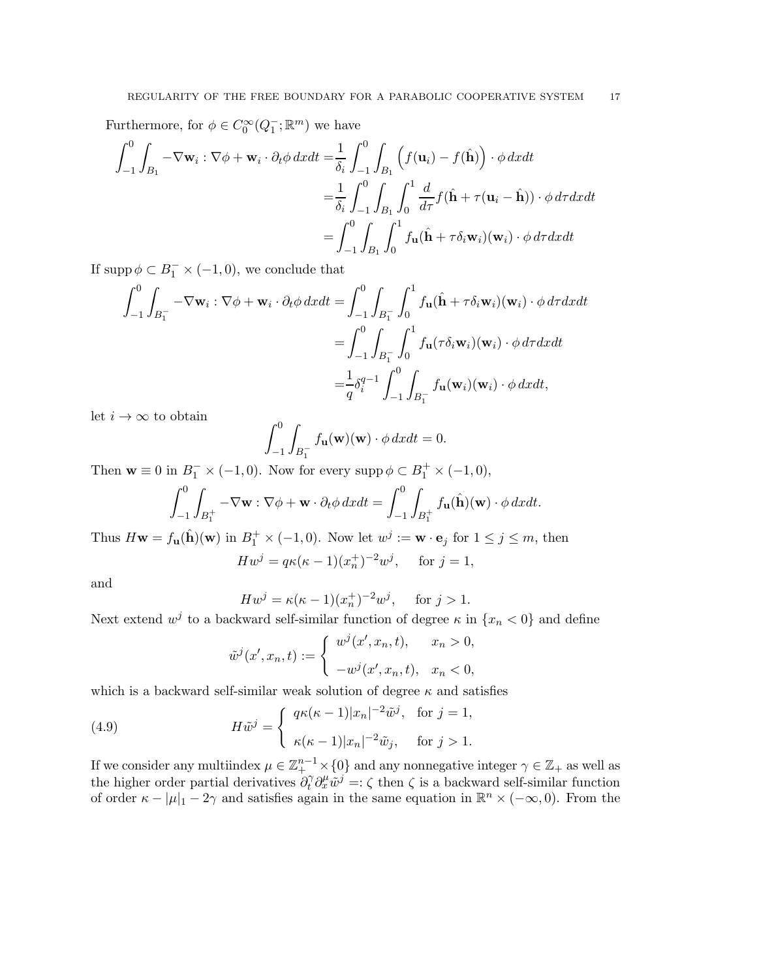Furthermore, for  $\phi \in C_0^{\infty}(Q_1^-; \mathbb{R}^m)$  we have

$$
\int_{-1}^{0} \int_{B_1} -\nabla \mathbf{w}_i : \nabla \phi + \mathbf{w}_i \cdot \partial_t \phi \, dx dt = \frac{1}{\delta_i} \int_{-1}^{0} \int_{B_1} \left( f(\mathbf{u}_i) - f(\hat{\mathbf{h}}) \right) \cdot \phi \, dx dt
$$

$$
= \frac{1}{\delta_i} \int_{-1}^{0} \int_{B_1} \int_{0}^{1} \frac{d}{d\tau} f(\hat{\mathbf{h}} + \tau(\mathbf{u}_i - \hat{\mathbf{h}})) \cdot \phi \, d\tau dx dt
$$

$$
= \int_{-1}^{0} \int_{B_1} \int_{0}^{1} f_{\mathbf{u}}(\hat{\mathbf{h}} + \tau \delta_i \mathbf{w}_i)(\mathbf{w}_i) \cdot \phi \, d\tau dx dt
$$

If  $\text{supp}\,\phi \subset B_1^- \times (-1,0)$ , we conclude that

$$
\int_{-1}^{0} \int_{B_1^-} -\nabla \mathbf{w}_i : \nabla \phi + \mathbf{w}_i \cdot \partial_t \phi \, dx dt = \int_{-1}^{0} \int_{B_1^-} \int_0^1 f_\mathbf{u}(\hat{\mathbf{h}} + \tau \delta_i \mathbf{w}_i)(\mathbf{w}_i) \cdot \phi \, d\tau dx dt
$$

$$
= \int_{-1}^{0} \int_{B_1^-} \int_0^1 f_\mathbf{u}(\tau \delta_i \mathbf{w}_i)(\mathbf{w}_i) \cdot \phi \, d\tau dx dt
$$

$$
= \frac{1}{q} \delta_i^{q-1} \int_{-1}^0 \int_{B_1^-} f_\mathbf{u}(\mathbf{w}_i)(\mathbf{w}_i) \cdot \phi \, dx dt,
$$

let  $i \to \infty$  to obtain

$$
\int_{-1}^{0} \int_{B_1^-} f_{\mathbf{u}}(\mathbf{w})(\mathbf{w}) \cdot \phi \, dx dt = 0.
$$

Then  $\mathbf{w} \equiv 0$  in  $B_1^- \times (-1,0)$ . Now for every supp  $\phi \subset B_1^+ \times (-1,0)$ ,

$$
\int_{-1}^{0} \int_{B_1^+} -\nabla \mathbf{w} : \nabla \phi + \mathbf{w} \cdot \partial_t \phi \, dxdt = \int_{-1}^{0} \int_{B_1^+} f_{\mathbf{u}}(\hat{\mathbf{h}})(\mathbf{w}) \cdot \phi \, dxdt.
$$

Thus  $H\mathbf{w} = f_{\mathbf{u}}(\hat{\mathbf{h}})(\mathbf{w})$  in  $B_1^+ \times (-1,0)$ . Now let  $w^j := \mathbf{w} \cdot \mathbf{e}_j$  for  $1 \le j \le m$ , then

$$
Hw^{j} = q\kappa(\kappa - 1)(x_{n}^{+})^{-2}w^{j}, \text{ for } j = 1,
$$

and

$$
Hw^{j} = \kappa(\kappa - 1)(x_{n}^{+})^{-2}w^{j}, \quad \text{for } j > 1.
$$

Next extend  $w^j$  to a backward self-similar function of degree  $\kappa$  in  $\{x_n < 0\}$  and define

<span id="page-16-0"></span>
$$
\tilde{w}^{j}(x', x_{n}, t) := \begin{cases} w^{j}(x', x_{n}, t), & x_{n} > 0, \\ -w^{j}(x', x_{n}, t), & x_{n} < 0, \end{cases}
$$

which is a backward self-similar weak solution of degree  $\kappa$  and satisfies

(4.9) 
$$
H\tilde{w}^j = \begin{cases} q\kappa(\kappa-1)|x_n|^{-2}\tilde{w}^j, & \text{for } j=1, \\ \kappa(\kappa-1)|x_n|^{-2}\tilde{w}_j, & \text{for } j>1. \end{cases}
$$

If we consider any multiindex  $\mu \in \mathbb{Z}_{+}^{n-1} \times \{0\}$  and any nonnegative integer  $\gamma \in \mathbb{Z}_{+}$  as well as the higher order partial derivatives  $\partial_t^{\gamma} \partial_x^{\mu} \tilde{w}^j =: \zeta$  then  $\zeta$  is a backward self-similar function of order  $\kappa - |\mu|_1 - 2\gamma$  and satisfies again in the same equation in  $\mathbb{R}^n \times (-\infty, 0)$ . From the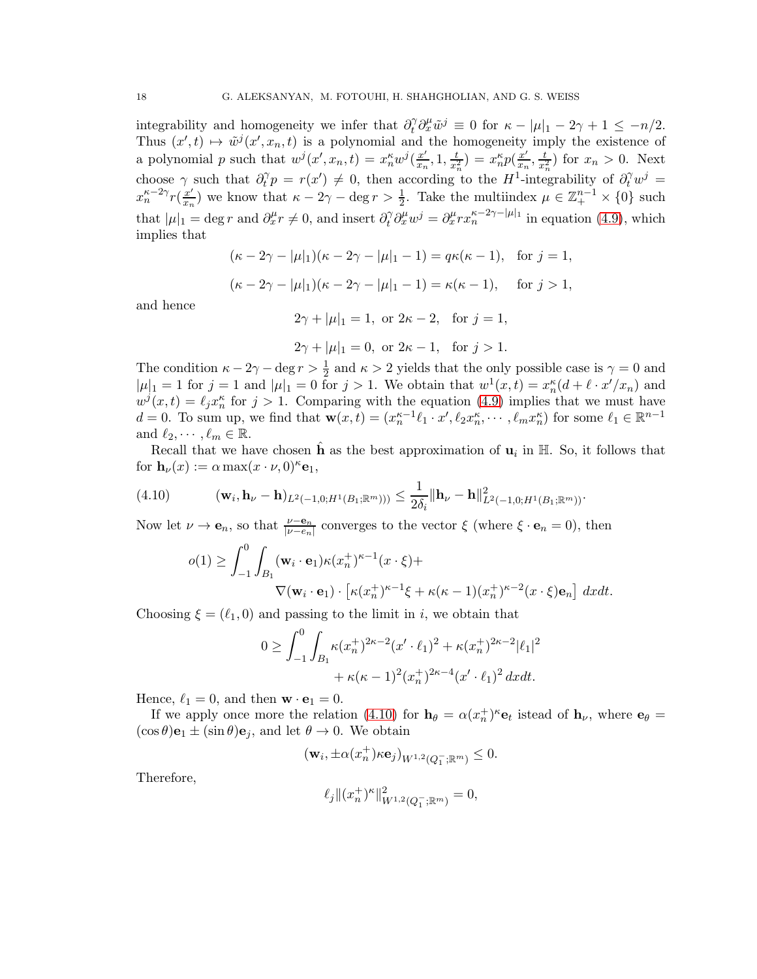integrability and homogeneity we infer that  $\partial_t^{\gamma} \partial_x^{\mu} \tilde{w}^j \equiv 0$  for  $\kappa - |\mu|_1 - 2\gamma + 1 \leq -n/2$ . Thus  $(x',t) \mapsto \tilde{w}^{j}(x',x_n,t)$  is a polynomial and the homogeneity imply the existence of a polynomial p such that  $w^j(x',x_n,t) = x_n^{\kappa} w^j(\frac{x'}{x_n},1,\frac{t}{x_n^2}) = x_n^{\kappa} p(\frac{x'}{x_n},\frac{t}{x_n^2})$  for  $x_n > 0$ . Next choose  $\gamma$  such that  $\partial_t^{\gamma}$  $t_t^{\gamma} p = r(x') \neq 0$ , then according to the H<sup>1</sup>-integrability of  $\partial_t^{\gamma} w^j =$  $x_n^{\kappa-2\gamma} r(\frac{x'}{x_n})$  we know that  $\kappa-2\gamma-\deg r > \frac{1}{2}$ . Take the multiindex  $\mu \in \mathbb{Z}_+^{n-1} \times \{0\}$  such that  $|\mu|_1 = \deg r$  and  $\partial_x^{\mu} r \neq 0$ , and insert  $\partial_t^{\gamma} \partial_x^{\mu} w^j = \partial_x^{\mu} r x_n^{\kappa - 2\gamma - |\mu|_1}$  in equation [\(4.9\)](#page-16-0), which implies that

$$
(\kappa - 2\gamma - |\mu|_1)(\kappa - 2\gamma - |\mu|_1 - 1) = q\kappa(\kappa - 1), \text{ for } j = 1,
$$
  

$$
(\kappa - 2\gamma - |\mu|_1)(\kappa - 2\gamma - |\mu|_1 - 1) = \kappa(\kappa - 1), \text{ for } j > 1,
$$

and hence

 $2\gamma + |\mu|_1 = 1$ , or  $2\kappa - 2$ , for  $j = 1$ ,

$$
2\gamma + |\mu|_1 = 0
$$
, or  $2\kappa - 1$ , for  $j > 1$ .

The condition  $\kappa - 2\gamma - \deg r > \frac{1}{2}$  and  $\kappa > 2$  yields that the only possible case is  $\gamma = 0$  and  $|\mu|_1 = 1$  for  $j = 1$  and  $|\mu|_1 = 0$  for  $j > 1$ . We obtain that  $w^1(x,t) = x_n^{\kappa}(d + \ell \cdot x'/x_n)$  and  $w^{j}(x,t) = \ell_{j}x_{n}^{\kappa}$  for  $j > 1$ . Comparing with the equation [\(4.9\)](#page-16-0) implies that we must have  $d = 0$ . To sum up, we find that  $\mathbf{w}(x, t) = (x_n^{\kappa-1}\ell_1 \cdot x', \ell_2 x_n^{\kappa}, \cdots, \ell_m x_n^{\kappa})$  for some  $\ell_1 \in \mathbb{R}^{n-1}$ and  $\ell_2, \cdots, \ell_m \in \mathbb{R}$ .

Recall that we have chosen  $\hat{\mathbf{h}}$  as the best approximation of  $\mathbf{u}_i$  in  $\mathbb{H}$ . So, it follows that for  $\mathbf{h}_{\nu}(x) := \alpha \max(x \cdot \nu, 0)^{\kappa} \mathbf{e}_1$ ,

$$
(4.10) \qquad (\mathbf{w}_i, \mathbf{h}_\nu - \mathbf{h})_{L^2(-1,0;H^1(B_1; \mathbb{R}^m)))} \leq \frac{1}{2\delta_i} \|\mathbf{h}_\nu - \mathbf{h}\|_{L^2(-1,0;H^1(B_1; \mathbb{R}^m))}^2.
$$

Now let  $\nu \to \mathbf{e}_n$ , so that  $\frac{\nu - \mathbf{e}_n}{|\nu - e_n|}$  converges to the vector  $\xi$  (where  $\xi \cdot \mathbf{e}_n = 0$ ), then

<span id="page-17-0"></span>
$$
o(1) \ge \int_{-1}^{0} \int_{B_1} (\mathbf{w}_i \cdot \mathbf{e}_1) \kappa(x_n^+)^{\kappa - 1} (x \cdot \xi) +
$$
  
 
$$
\nabla(\mathbf{w}_i \cdot \mathbf{e}_1) \cdot \left[ \kappa(x_n^+)^{\kappa - 1} \xi + \kappa(\kappa - 1)(x_n^+)^{\kappa - 2} (x \cdot \xi) \mathbf{e}_n \right] dx dt.
$$

Choosing  $\xi = (\ell_1, 0)$  and passing to the limit in i, we obtain that

$$
0 \geq \int_{-1}^{0} \int_{B_1} \kappa(x_n^{\dagger})^{2\kappa - 2} (x' \cdot \ell_1)^2 + \kappa(x_n^{\dagger})^{2\kappa - 2} |\ell_1|^2
$$
  
+  $\kappa(\kappa - 1)^2 (x_n^{\dagger})^{2\kappa - 4} (x' \cdot \ell_1)^2 dx dt.$ 

Hence,  $\ell_1 = 0$ , and then  $\mathbf{w} \cdot \mathbf{e}_1 = 0$ .

If we apply once more the relation [\(4.10\)](#page-17-0) for  $h_{\theta} = \alpha (x_n^+)^{\kappa} e_t$  istead of  $h_{\nu}$ , where  $e_{\theta} =$  $(\cos \theta)$ **e**<sub>1</sub>  $\pm$  (sin  $\theta$ )**e**<sub>j</sub>, and let  $\theta \rightarrow 0$ . We obtain

$$
(\mathbf{w}_i, \pm \alpha(x_n^+) \kappa \mathbf{e}_j)_{W^{1,2}(Q_1^-; \mathbb{R}^m)} \leq 0.
$$

Therefore,

$$
\ell_j \|(x_n^+)^\kappa\|_{W^{1,2}(Q_1^-; \mathbb{R}^m)}^2 = 0,
$$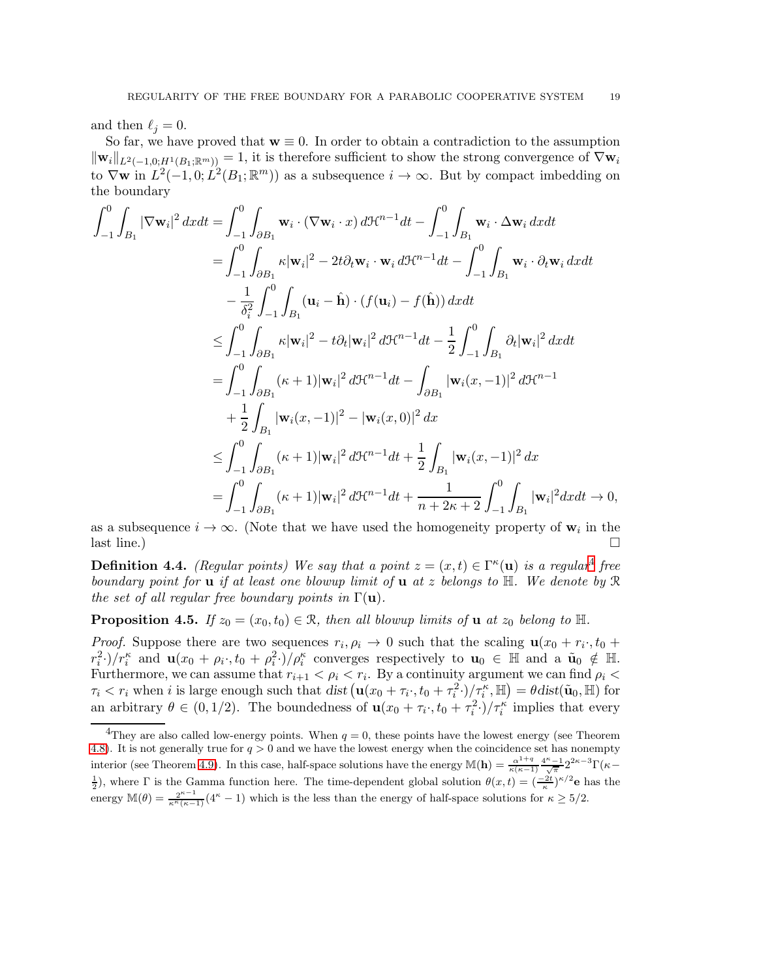and then  $\ell_i = 0$ .

So far, we have proved that  $w \equiv 0$ . In order to obtain a contradiction to the assumption  $\|\mathbf{w}_i\|_{L^2(-1,0;H^1(B_1;\mathbb{R}^m))} = 1$ , it is therefore sufficient to show the strong convergence of  $\nabla \mathbf{w}_i$ to  $\nabla$ **w** in  $L^2(-1,0; L^2(B_1; \mathbb{R}^m))$  as a subsequence  $i \to \infty$ . But by compact imbedding on the boundary

$$
\int_{-1}^{0} \int_{B_1} |\nabla \mathbf{w}_i|^2 dx dt = \int_{-1}^{0} \int_{\partial B_1} \mathbf{w}_i \cdot (\nabla \mathbf{w}_i \cdot x) d\mathcal{H}^{n-1} dt - \int_{-1}^{0} \int_{B_1} \mathbf{w}_i \cdot \Delta \mathbf{w}_i dx dt
$$
  
\n
$$
= \int_{-1}^{0} \int_{\partial B_1} \kappa |\mathbf{w}_i|^2 - 2t \partial_t \mathbf{w}_i \cdot \mathbf{w}_i d\mathcal{H}^{n-1} dt - \int_{-1}^{0} \int_{B_1} \mathbf{w}_i \cdot \partial_t \mathbf{w}_i dx dt
$$
  
\n
$$
- \frac{1}{\delta_i^2} \int_{-1}^{0} \int_{B_1} (\mathbf{u}_i - \hat{\mathbf{h}}) \cdot (f(\mathbf{u}_i) - f(\hat{\mathbf{h}})) dx dt
$$
  
\n
$$
\leq \int_{-1}^{0} \int_{\partial B_1} \kappa |\mathbf{w}_i|^2 - t \partial_t |\mathbf{w}_i|^2 d\mathcal{H}^{n-1} dt - \frac{1}{2} \int_{-1}^{0} \int_{B_1} \partial_t |\mathbf{w}_i|^2 dx dt
$$
  
\n
$$
= \int_{-1}^{0} \int_{\partial B_1} (\kappa + 1) |\mathbf{w}_i|^2 d\mathcal{H}^{n-1} dt - \int_{\partial B_1} |\mathbf{w}_i(x, -1)|^2 d\mathcal{H}^{n-1}
$$
  
\n
$$
+ \frac{1}{2} \int_{B_1} |\mathbf{w}_i(x, -1)|^2 - |\mathbf{w}_i(x, 0)|^2 dx
$$
  
\n
$$
\leq \int_{-1}^{0} \int_{\partial B_1} (\kappa + 1) |\mathbf{w}_i|^2 d\mathcal{H}^{n-1} dt + \frac{1}{2} \int_{B_1} |\mathbf{w}_i(x, -1)|^2 dx
$$
  
\n
$$
= \int_{-1}^{0} \int_{\partial B_1} (\kappa + 1) |\mathbf{w}_i|^2 d\mathcal{H}^{n-1} dt + \frac{1}{n + 2\kappa + 2} \int_{-1}^{0
$$

as a subsequence  $i \to \infty$ . (Note that we have used the homogeneity property of  $\mathbf{w}_i$  in the  $\Box$  last line.)

 $\overline{0}$ ,

**Definition [4](#page-18-0).4.** *(Regular points)* We say that a point  $z = (x, t) \in \Gamma^{\kappa}(\mathbf{u})$  is a regular<sup>4</sup> free *boundary point for* u *if at least one blowup limit of* u *at* z *belongs to* H*. We denote by* R *the set of all regular free boundary points in*  $\Gamma(\mathbf{u})$ *.* 

**Proposition 4.5.** *If*  $z_0 = (x_0, t_0) \in \mathbb{R}$ *, then all blowup limits of* **u** *at*  $z_0$  *belong to*  $\mathbb{H}$ *.* 

*Proof.* Suppose there are two sequences  $r_i, \rho_i \to 0$  such that the scaling  $\mathbf{u}(x_0 + r_i, t_0 + \rho_i)$  $r_i^2$ ·)/ $r_i^{\kappa}$  and  $\mathbf{u}(x_0 + \rho_i \cdot, t_0 + \rho_i^2 \cdot)/\rho_i^{\kappa}$  converges respectively to  $\mathbf{u}_0 \in \mathbb{H}$  and a  $\tilde{\mathbf{u}}_0 \notin \mathbb{H}$ . Furthermore, we can assume that  $r_{i+1} < \rho_i < r_i$ . By a continuity argument we can find  $\rho_i <$  $\tau_i < r_i$  when *i* is large enough such that dist  $(\mathbf{u}(x_0 + \tau_i, t_0 + \tau_i^2)/\tau_i^{\kappa}, \mathbb{H}) = \theta \text{dist}(\tilde{\mathbf{u}}_0, \mathbb{H})$  for an arbitrary  $\theta \in (0, 1/2)$ . The boundedness of  $\mathbf{u}(x_0 + \tau_i, t_0 + \tau_i^2) / \tau_i^{\kappa}$  implies that every

<span id="page-18-0"></span><sup>&</sup>lt;sup>4</sup>They are also called low-energy points. When  $q = 0$ , these points have the lowest energy (see Theorem [4.8\)](#page-19-0). It is not generally true for  $q > 0$  and we have the lowest energy when the coincidence set has nonempty interior (see Theorem [4.9\)](#page-20-0). In this case, half-space solutions have the energy  $\mathbb{M}(\mathbf{h}) = \frac{\alpha^{1+q}}{\kappa(\kappa-1)}$  $\frac{\alpha^{1+q}}{\kappa(\kappa-1)}\frac{4^\kappa-1}{\sqrt{\pi}}2^{2\kappa-3}\Gamma(\kappa-$ <sup>1</sup>/<sub>2</sub>), where Γ is the Gamma function here. The time-dependent global solution  $\theta(x,t) = \left(\frac{-2t}{\kappa}\right)^{\kappa/2}$ **e** has the energy  $\mathbb{M}(\theta) = \frac{2^{\kappa-1}}{\kappa^{\kappa}(\kappa-1)}(4^{\kappa}-1)$  which is the less than the energy of half-space solutions for  $\kappa \ge 5/2$ .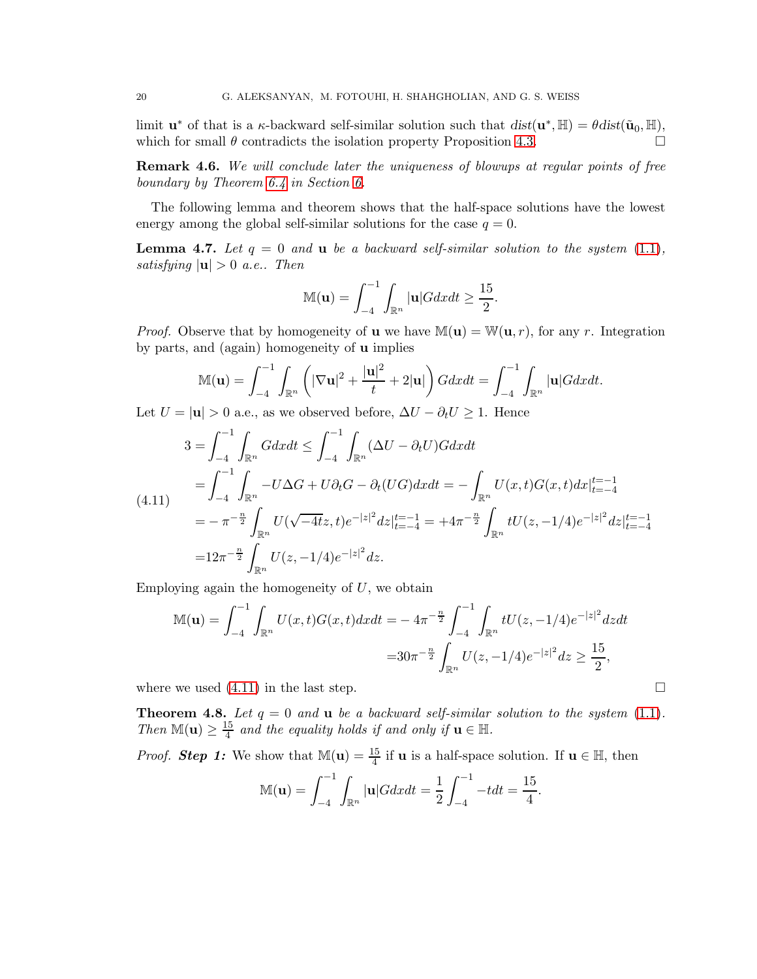limit  $\mathbf{u}^*$  of that is a  $\kappa$ -backward self-similar solution such that  $dist(\mathbf{u}^*, \mathbb{H}) = \theta dist(\tilde{\mathbf{u}}_0, \mathbb{H}),$ which for small  $\theta$  contradicts the isolation property Proposition [4.3.](#page-15-1)

Remark 4.6. *We will conclude later the uniqueness of blowups at regular points of free boundary by Theorem [6.4](#page-31-2) in Section [6.](#page-27-0)*

The following lemma and theorem shows that the half-space solutions have the lowest energy among the global self-similar solutions for the case  $q = 0$ .

<span id="page-19-2"></span>**Lemma 4.7.** Let  $q = 0$  and **u** be a backward self-similar solution to the system  $(1.1)$ , *satisfying*  $|\mathbf{u}| > 0$  *a.e..* Then

$$
\mathbb{M}(\mathbf{u}) = \int_{-4}^{-1} \int_{\mathbb{R}^n} |\mathbf{u}| G dx dt \ge \frac{15}{2}.
$$

*Proof.* Observe that by homogeneity of **u** we have  $\mathbb{M}(\mathbf{u}) = \mathbb{W}(\mathbf{u}, r)$ , for any r. Integration by parts, and (again) homogeneity of u implies

$$
\mathbb{M}(\mathbf{u}) = \int_{-4}^{-1} \int_{\mathbb{R}^n} \left( |\nabla \mathbf{u}|^2 + \frac{|\mathbf{u}|^2}{t} + 2|\mathbf{u}| \right) G dx dt = \int_{-4}^{-1} \int_{\mathbb{R}^n} |\mathbf{u}| G dx dt.
$$

Let  $U = |\mathbf{u}| > 0$  a.e., as we observed before,  $\Delta U - \partial_t U \geq 1$ . Hence

<span id="page-19-1"></span>
$$
3 = \int_{-4}^{-1} \int_{\mathbb{R}^n} G dx dt \le \int_{-4}^{-1} \int_{\mathbb{R}^n} (\Delta U - \partial_t U) G dx dt
$$
  
\n
$$
= \int_{-4}^{-1} \int_{\mathbb{R}^n} -U \Delta G + U \partial_t G - \partial_t (U G) dx dt = - \int_{\mathbb{R}^n} U(x, t) G(x, t) dx|_{t=-4}^{t=-1}
$$
  
\n
$$
= - \pi^{-\frac{n}{2}} \int_{\mathbb{R}^n} U(\sqrt{-4t}z, t) e^{-|z|^2} dz|_{t=-4}^{t=-1} = +4\pi^{-\frac{n}{2}} \int_{\mathbb{R}^n} tU(z, -1/4) e^{-|z|^2} dz|_{t=-4}^{t=-1}
$$
  
\n
$$
= 12\pi^{-\frac{n}{2}} \int_{\mathbb{R}^n} U(z, -1/4) e^{-|z|^2} dz.
$$

Employing again the homogeneity of  $U$ , we obtain

$$
\mathbb{M}(\mathbf{u}) = \int_{-4}^{-1} \int_{\mathbb{R}^n} U(x, t) G(x, t) dx dt = -4\pi^{-\frac{n}{2}} \int_{-4}^{-1} \int_{\mathbb{R}^n} tU(z, -1/4) e^{-|z|^2} dz dt
$$
  
= 
$$
30\pi^{-\frac{n}{2}} \int_{\mathbb{R}^n} U(z, -1/4) e^{-|z|^2} dz \ge \frac{15}{2},
$$

where we used  $(4.11)$  in the last step.

<span id="page-19-0"></span>**Theorem 4.8.** Let  $q = 0$  and **u** be a backward self-similar solution to the system  $(1.1)$ . *Then*  $\mathbb{M}(\mathbf{u}) \geq \frac{15}{4}$  $\frac{15}{4}$  and the equality holds if and only if  $\mathbf{u} \in \mathbb{H}$ .

*Proof.* **Step 1:** We show that  $\mathbb{M}(\mathbf{u}) = \frac{15}{4}$  if **u** is a half-space solution. If  $\mathbf{u} \in \mathbb{H}$ , then

$$
\mathbb{M}(\mathbf{u}) = \int_{-4}^{-1} \int_{\mathbb{R}^n} |\mathbf{u}| G dx dt = \frac{1}{2} \int_{-4}^{-1} -t dt = \frac{15}{4}.
$$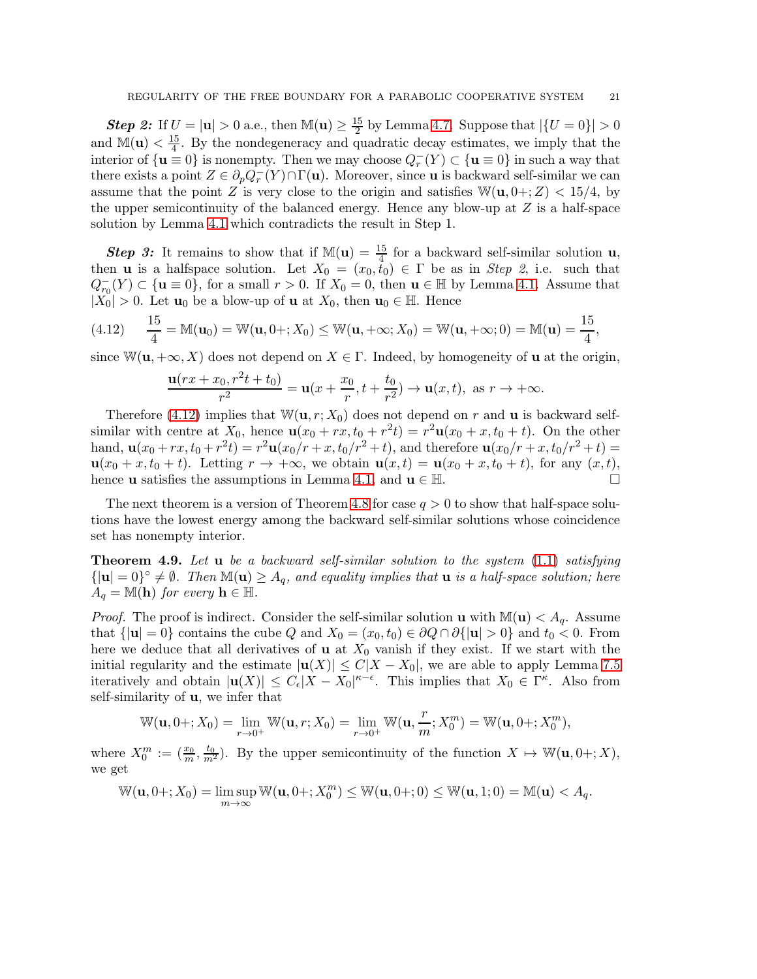**Step 2:** If  $U = |\mathbf{u}| > 0$  a.e., then  $\mathbb{M}(\mathbf{u}) \ge \frac{15}{2}$  $\frac{15}{2}$  by Lemma [4.7.](#page-19-2) Suppose that  $|\{U = 0\}| > 0$ and  $\mathbb{M}(\mathbf{u}) < \frac{15}{4}$  $\frac{15}{4}$ . By the nondegeneracy and quadratic decay estimates, we imply that the interior of  $\{u \equiv 0\}$  is nonempty. Then we may choose  $Q_r^-(Y) \subset \{u \equiv 0\}$  in such a way that there exists a point  $Z \in \partial_p Q^-_r(Y) \cap \Gamma(\mathbf{u})$ . Moreover, since **u** is backward self-similar we can assume that the point Z is very close to the origin and satisfies  $\mathbb{W}(\mathbf{u}, 0+;Z) < 15/4$ , by the upper semicontinuity of the balanced energy. Hence any blow-up at  $Z$  is a half-space solution by Lemma [4.1](#page-14-1) which contradicts the result in Step 1.

**Step 3:** It remains to show that if  $\mathbb{M}(\mathbf{u}) = \frac{15}{4}$  for a backward self-similar solution **u**, then **u** is a halfspace solution. Let  $X_0 = (x_0, t_0) \in \Gamma$  be as in *Step 2*, i.e. such that  $Q_{r_0}^-(Y) \subset \{ \mathbf{u} \equiv 0 \}$ , for a small  $r > 0$ . If  $X_0 = 0$ , then  $\mathbf{u} \in \mathbb{H}$  by Lemma [4.1.](#page-14-1) Assume that  $|X_0| > 0$ . Let  $\mathbf{u}_0$  be a blow-up of **u** at  $X_0$ , then  $\mathbf{u}_0 \in \mathbb{H}$ . Hence

<span id="page-20-1"></span>
$$
(4.12) \quad \frac{15}{4} = \mathbb{M}(\mathbf{u}_0) = \mathbb{W}(\mathbf{u}, 0 +; X_0) \le \mathbb{W}(\mathbf{u}, +\infty; X_0) = \mathbb{W}(\mathbf{u}, +\infty; 0) = \mathbb{M}(\mathbf{u}) = \frac{15}{4},
$$

since  $\mathbb{W}(\mathbf{u}, +\infty, X)$  does not depend on  $X \in \Gamma$ . Indeed, by homogeneity of **u** at the origin,

$$
\frac{\mathbf{u}(rx + x_0, r^2t + t_0)}{r^2} = \mathbf{u}(x + \frac{x_0}{r}, t + \frac{t_0}{r^2}) \to \mathbf{u}(x, t), \text{ as } r \to +\infty.
$$

Therefore [\(4.12\)](#page-20-1) implies that  $W(\mathbf{u}, r; X_0)$  does not depend on r and **u** is backward selfsimilar with centre at  $X_0$ , hence  $\mathbf{u}(x_0 + rx, t_0 + r^2t) = r^2\mathbf{u}(x_0 + x, t_0 + t)$ . On the other hand,  $\mathbf{u}(x_0 + rx, t_0 + r^2t) = r^2 \mathbf{u}(x_0/r + x, t_0/r^2 + t)$ , and therefore  $\mathbf{u}(x_0/r + x, t_0/r^2 + t) =$  $u(x_0 + x, t_0 + t)$ . Letting  $r \to +\infty$ , we obtain  $u(x, t) = u(x_0 + x, t_0 + t)$ , for any  $(x, t)$ , hence **u** satisfies the assumptions in Lemma 4.1, and  $u \in \mathbb{H}$ . hence **u** satisfies the assumptions in Lemma [4.1,](#page-14-1) and  $\mathbf{u} \in \mathbb{H}$ .

The next theorem is a version of Theorem [4.8](#page-19-0) for case  $q > 0$  to show that half-space solutions have the lowest energy among the backward self-similar solutions whose coincidence set has nonempty interior.

<span id="page-20-0"></span>Theorem 4.9. *Let* u *be a backward self-similar solution to the system* [\(1.1\)](#page-0-2) *satisfying*  ${ |u| = 0 }^{\circ} \neq \emptyset$ . Then  $\mathbb{M}(u) \geq A_q$ , and equality implies that **u** is a half-space solution; here  $A_q = \mathbb{M}(\mathbf{h})$  *for every*  $\mathbf{h} \in \mathbb{H}$ .

*Proof.* The proof is indirect. Consider the self-similar solution **u** with  $\mathbb{M}(\mathbf{u}) < A_q$ . Assume that  $\{|\mathbf{u}| = 0\}$  contains the cube Q and  $X_0 = (x_0, t_0) \in \partial Q \cap \partial {\{\mathbf{u}| > 0\}}$  and  $t_0 < 0$ . From here we deduce that all derivatives of **u** at  $X_0$  vanish if they exist. If we start with the initial regularity and the estimate  $|u(X)| \leq C|X - X_0|$ , we are able to apply Lemma [7.5](#page-34-0) iteratively and obtain  $|\mathbf{u}(X)| \leq C_{\epsilon}|X - X_0|^{\kappa - \epsilon}$ . This implies that  $X_0 \in \Gamma^{\kappa}$ . Also from self-similarity of u, we infer that

$$
\mathbb{W}(\mathbf{u},0+;X_0)=\lim_{r\to 0^+}\mathbb{W}(\mathbf{u},r;X_0)=\lim_{r\to 0^+}\mathbb{W}(\mathbf{u},\frac{r}{m};X_0^m)=\mathbb{W}(\mathbf{u},0+;X_0^m),
$$

where  $X_0^m := (\frac{x_0}{m}, \frac{t_0}{m^2})$ . By the upper semicontinuity of the function  $X \mapsto \mathbb{W}(\mathbf{u}, 0+, X)$ , we get

$$
\mathbb{W}(\mathbf{u},0+;X_0)=\limsup_{m\to\infty}\mathbb{W}(\mathbf{u},0+;X_0^m)\leq \mathbb{W}(\mathbf{u},0+;0)\leq \mathbb{W}(\mathbf{u},1;0)=\mathbb{M}(\mathbf{u})
$$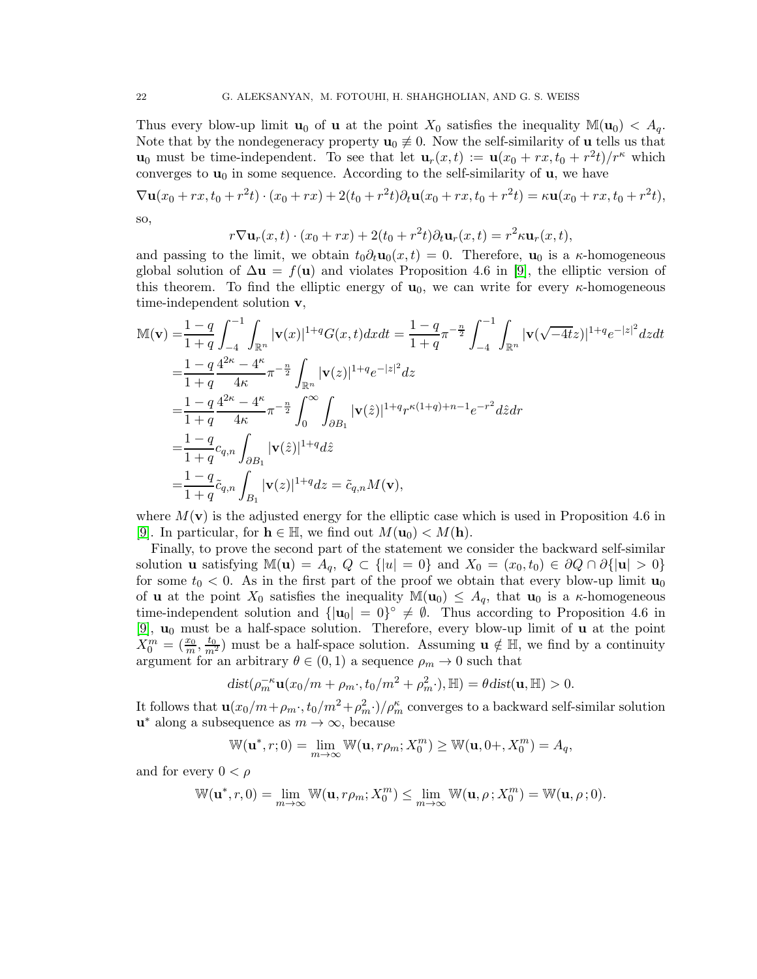Thus every blow-up limit  $\mathbf{u}_0$  of  $\mathbf{u}$  at the point  $X_0$  satisfies the inequality  $\mathbb{M}(\mathbf{u}_0) < A_q$ . Note that by the nondegeneracy property  $\mathbf{u}_0 \neq 0$ . Now the self-similarity of **u** tells us that  $\mathbf{u}_0$  must be time-independent. To see that let  $\mathbf{u}_r(x,t) := \mathbf{u}(x_0 + rx, t_0 + r^2t)/r^{\kappa}$  which converges to  $\mathbf{u}_0$  in some sequence. According to the self-similarity of  $\mathbf{u}$ , we have

 $\nabla$ **u**(x<sub>0</sub> + rx, t<sub>0</sub> + r<sup>2</sup>t) · (x<sub>0</sub> + rx) + 2(t<sub>0</sub> + r<sup>2</sup>t) $\partial_t$ **u**(x<sub>0</sub> + rx, t<sub>0</sub> + r<sup>2</sup>t) =  $\kappa$ **u**(x<sub>0</sub> + rx, t<sub>0</sub> + r<sup>2</sup>t), so,

$$
r\nabla \mathbf{u}_r(x,t)\cdot (x_0+rx)+2(t_0+r^2t)\partial_t\mathbf{u}_r(x,t)=r^2\kappa\mathbf{u}_r(x,t),
$$

and passing to the limit, we obtain  $t_0 \partial_t \mathbf{u}_0(x,t) = 0$ . Therefore,  $\mathbf{u}_0$  is a  $\kappa$ -homogeneous global solution of  $\Delta u = f(u)$  and violates Proposition 4.6 in [\[9\]](#page-36-0), the elliptic version of this theorem. To find the elliptic energy of  $\mathbf{u}_0$ , we can write for every  $\kappa$ -homogeneous time-independent solution v,

$$
\begin{split} &\mathbb{M}(\mathbf{v}) = & \frac{1-q}{1+q} \int_{-4}^{-1} \int_{\mathbb{R}^n} |\mathbf{v}(x)|^{1+q} G(x,t) dx dt = \frac{1-q}{1+q} \pi^{-\frac{n}{2}} \int_{-4}^{-1} \int_{\mathbb{R}^n} |\mathbf{v}(\sqrt{-4t}z)|^{1+q} e^{-|z|^2} dz dt \\ & = \frac{1-q}{1+q} \frac{4^{2\kappa}-4^{\kappa}}{4\kappa} \pi^{-\frac{n}{2}} \int_{\mathbb{R}^n} |\mathbf{v}(z)|^{1+q} e^{-|z|^2} dz \\ & = \frac{1-q}{1+q} \frac{4^{2\kappa}-4^{\kappa}}{4\kappa} \pi^{-\frac{n}{2}} \int_{0}^{\infty} \int_{\partial B_1} |\mathbf{v}(\hat{z})|^{1+q} r^{\kappa(1+q)+n-1} e^{-r^2} d\hat{z} dr \\ & = \frac{1-q}{1+q} c_{q,n} \int_{\partial B_1} |\mathbf{v}(\hat{z})|^{1+q} d\hat{z} \\ & = \frac{1-q}{1+q} \tilde{c}_{q,n} \int_{B_1} |\mathbf{v}(z)|^{1+q} dz = \tilde{c}_{q,n} M(\mathbf{v}), \end{split}
$$

where  $M(\mathbf{v})$  is the adjusted energy for the elliptic case which is used in Proposition 4.6 in [\[9\]](#page-36-0). In particular, for  $\mathbf{h} \in \mathbb{H}$ , we find out  $M(\mathbf{u}_0) < M(\mathbf{h})$ .

Finally, to prove the second part of the statement we consider the backward self-similar solution **u** satisfying  $M(u) = A_q$ ,  $Q \subset \{ |u| = 0 \}$  and  $X_0 = (x_0, t_0) \in \partial Q \cap \partial \{ |u| > 0 \}$ for some  $t_0 < 0$ . As in the first part of the proof we obtain that every blow-up limit  $\mathbf{u}_0$ of **u** at the point  $X_0$  satisfies the inequality  $\mathbb{M}(\mathbf{u}_0) \leq A_q$ , that  $\mathbf{u}_0$  is a  $\kappa$ -homogeneous time-independent solution and  $\{|\mathbf{u}_0| = 0\}^\circ \neq \emptyset$ . Thus according to Proposition 4.6 in [\[9\]](#page-36-0),  $\mathbf{u}_0$  must be a half-space solution. Therefore, every blow-up limit of  $\mathbf{u}$  at the point  $X_0^m = (\frac{x_0}{m}, \frac{t_0}{m^2})$  must be a half-space solution. Assuming  $\mathbf{u} \notin \mathbb{H}$ , we find by a continuity argument for an arbitrary  $\theta \in (0,1)$  a sequence  $\rho_m \to 0$  such that

$$
dist(\rho_m^{-\kappa} \mathbf{u}(x_0/m + \rho_m \cdot, t_0/m^2 + \rho_m^2 \cdot), \mathbb{H}) = \theta dist(\mathbf{u}, \mathbb{H}) > 0.
$$

It follows that  $\mathbf{u}(x_0/m+\rho_m \cdot, t_0/m^2+\rho_m^2 \cdot)/\rho_m^{\kappa}$  converges to a backward self-similar solution  $\mathbf{u}^*$  along a subsequence as  $m\to\infty,$  because

 $W(\mathbf{u}^*, r; 0) = \lim_{m \to \infty} W(\mathbf{u}, r \rho_m; X_0^m) \ge W(\mathbf{u}, 0+, X_0^m) = A_q,$ 

and for every  $0 < \rho$ 

$$
\mathbb{W}(\mathbf{u}^*, r, 0) = \lim_{m \to \infty} \mathbb{W}(\mathbf{u}, r\rho_m; X_0^m) \le \lim_{m \to \infty} \mathbb{W}(\mathbf{u}, \rho; X_0^m) = \mathbb{W}(\mathbf{u}, \rho; 0).
$$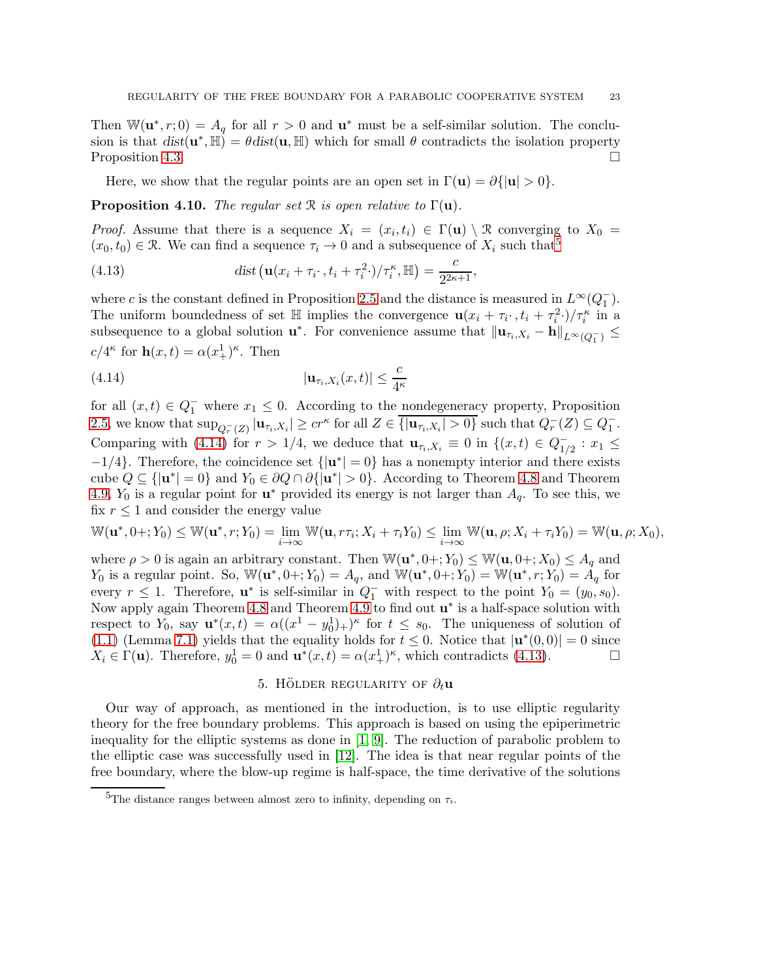Then  $\mathbb{W}(\mathbf{u}^*, r; 0) = A_q$  for all  $r > 0$  and  $\mathbf{u}^*$  must be a self-similar solution. The conclusion is that  $dist(\mathbf{u}^*, \mathbb{H}) = \theta dist(\mathbf{u}, \mathbb{H})$  which for small  $\theta$  contradicts the isolation property Proposition [4.3.](#page-15-1)

Here, we show that the regular points are an open set in  $\Gamma(\mathbf{u}) = \partial {\{\mathbf{u}\}\}\ 0}.$ 

<span id="page-22-4"></span>**Proposition 4.10.** *The regular set*  $\mathcal{R}$  *is open relative to*  $\Gamma(\mathbf{u})$ *.* 

*Proof.* Assume that there is a sequence  $X_i = (x_i, t_i) \in \Gamma(\mathbf{u}) \setminus \mathcal{R}$  converging to  $X_0 =$  $(x_0, t_0) \in \mathcal{R}$ . We can find a sequence  $\tau_i \to 0$  and a subsequence of  $X_i$  such that<sup>[5](#page-22-1)</sup>

<span id="page-22-3"></span>(4.13) 
$$
\operatorname{dist}\left(\mathbf{u}(x_i+\tau_i\cdot,t_i+\tau_i^2\cdot)/\tau_i^{\kappa},\mathbb{H}\right)=\frac{c}{2^{2\kappa+1}},
$$

where c is the constant defined in Proposition [2.5](#page-7-3) and the distance is measured in  $L^{\infty}(Q_1^-)$ . The uniform boundedness of set  $\mathbb{H}$  implies the convergence  $\mathbf{u}(x_i + \tau_i, t_i + \tau_i^2)/\tau_i^{\kappa}$  in a subsequence to a global solution  $\mathbf{u}^*$ . For convenience assume that  $\|\mathbf{u}_{\tau_i,X_i} - \mathbf{h}\|_{L^{\infty}(Q_1^-)} \leq$  $c/4^{\kappa}$  for  $\mathbf{h}(x,t) = \alpha (x_+^1)^{\kappa}$ . Then

<span id="page-22-2"></span>
$$
(4.14) \t\t\t  $|\mathbf{u}_{\tau_i,X_i}(x,t)| \leq \frac{c}{4^{\kappa}}$
$$

for all  $(x,t) \in Q_1^-$  where  $x_1 \leq 0$ . According to the nondegeneracy property, Proposition [2.5,](#page-7-3) we know that  $\sup_{Q_r^-(Z)} |\mathbf{u}_{\tau_i,X_i}| \geq c r^{\kappa}$  for all  $Z \in \overline{\{|\mathbf{u}_{\tau_i,X_i}| > 0\}}$  such that  $Q_r^-(Z) \subseteq Q_1^-$ . Comparing with [\(4.14\)](#page-22-2) for  $r > 1/4$ , we deduce that  $\mathbf{u}_{\tau_i,X_i} \equiv 0$  in  $\{(x,t) \in Q_{1/4}^- \}$  $\frac{1}{1/2}$ :  $x_1 \leq$  $-1/4$ }. Therefore, the coincidence set  $\{|u^*| = 0\}$  has a nonempty interior and there exists cube  $Q \subseteq {\{\mathbf{u}^*\} = 0\}$  and  $Y_0 \in \partial Q \cap \partial {\{\mathbf{u}^*\} > 0\}$ . According to Theorem [4.8](#page-19-0) and Theorem [4.9,](#page-20-0)  $Y_0$  is a regular point for  $\mathbf{u}^*$  provided its energy is not larger than  $A_q$ . To see this, we fix  $r \leq 1$  and consider the energy value

$$
\mathbb{W}(\mathbf{u}^*, 0+; Y_0) \leq \mathbb{W}(\mathbf{u}^*, r; Y_0) = \lim_{i \to \infty} \mathbb{W}(\mathbf{u}, r\tau_i; X_i + \tau_i Y_0) \leq \lim_{i \to \infty} \mathbb{W}(\mathbf{u}, \rho; X_i + \tau_i Y_0) = \mathbb{W}(\mathbf{u}, \rho; X_0),
$$

where  $\rho > 0$  is again an arbitrary constant. Then  $\mathbb{W}(\mathbf{u}^*, 0 +; Y_0) \leq \mathbb{W}(\mathbf{u}, 0 +; X_0) \leq A_q$  and  $Y_0$  is a regular point. So,  $\mathbb{W}(\mathbf{u}^*, 0 +; Y_0) = A_q$ , and  $\mathbb{W}(\mathbf{u}^*, 0 +; Y_0) = \mathbb{W}(\mathbf{u}^*, r; Y_0) = A_q$  for every  $r \leq 1$ . Therefore,  $\mathbf{u}^*$  is self-similar in  $Q_1^-$  with respect to the point  $Y_0 = (y_0, s_0)$ . Now apply again Theorem [4.8](#page-19-0) and Theorem [4.9](#page-20-0) to find out  $\mathbf{u}^*$  is a half-space solution with respect to  $Y_0$ , say  $\mathbf{u}^*(x,t) = \alpha((x^1 - y_0^1)_+)^\kappa$  for  $t \leq s_0$ . The uniqueness of solution of [\(1.1\)](#page-0-2) (Lemma [7.1\)](#page-31-3) yields that the equality holds for  $t \leq 0$ . Notice that  $|\mathbf{u}^*(0,0)| = 0$  since  $X_i \in \Gamma(\mathbf{u})$ . Therefore,  $y_0^1 = 0$  and  $\mathbf{u}^*(x,t) = \alpha (x_+^1)^{\kappa}$ , which contradicts [\(4.13\)](#page-22-3).

# 5. HÖLDER REGULARITY OF  $\partial_t$ **u**

<span id="page-22-0"></span>Our way of approach, as mentioned in the introduction, is to use elliptic regularity theory for the free boundary problems. This approach is based on using the epiperimetric inequality for the elliptic systems as done in [\[1,](#page-35-2) [9\]](#page-36-0). The reduction of parabolic problem to the elliptic case was successfully used in [\[12\]](#page-36-2). The idea is that near regular points of the free boundary, where the blow-up regime is half-space, the time derivative of the solutions

<span id="page-22-1"></span><sup>&</sup>lt;sup>5</sup>The distance ranges between almost zero to infinity, depending on  $\tau_i$ .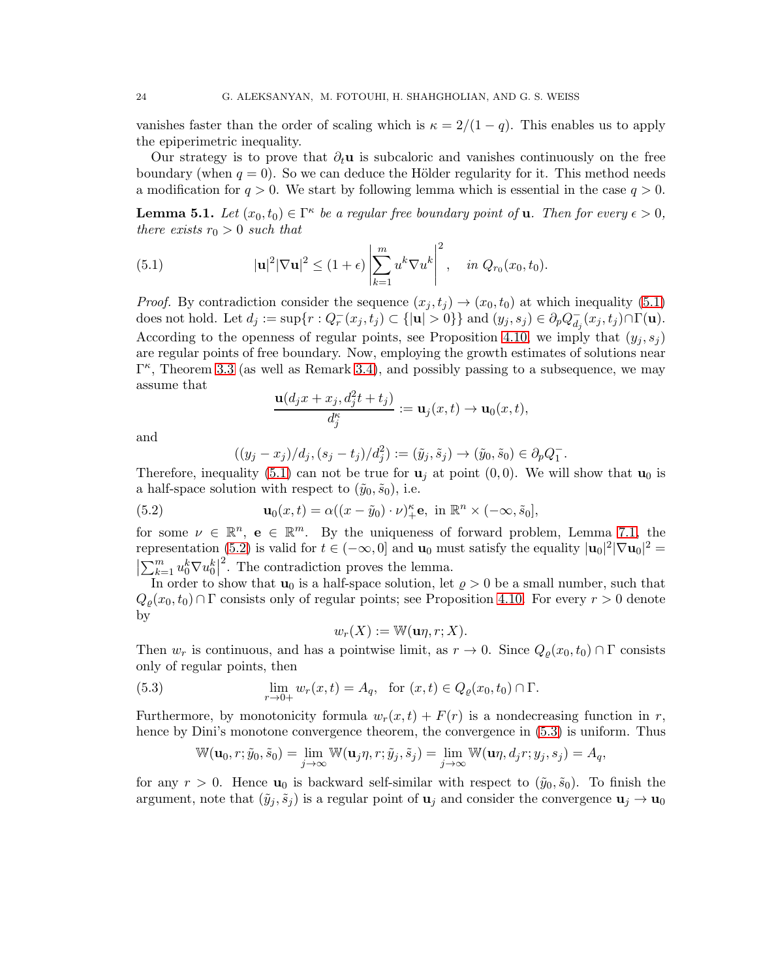vanishes faster than the order of scaling which is  $\kappa = 2/(1-q)$ . This enables us to apply the epiperimetric inequality.

Our strategy is to prove that  $\partial_t \mathbf{u}$  is subcaloric and vanishes continuously on the free boundary (when  $q = 0$ ). So we can deduce the Hölder regularity for it. This method needs a modification for  $q > 0$ . We start by following lemma which is essential in the case  $q > 0$ .

<span id="page-23-3"></span>**Lemma 5.1.** Let  $(x_0, t_0) \in \Gamma^{\kappa}$  be a regular free boundary point of **u**. Then for every  $\epsilon > 0$ , *there exists*  $r_0 > 0$  *such that* 

<span id="page-23-0"></span>(5.1) 
$$
|\mathbf{u}|^2 |\nabla \mathbf{u}|^2 \le (1+\epsilon) \left| \sum_{k=1}^m u^k \nabla u^k \right|^2, \text{ in } Q_{r_0}(x_0, t_0).
$$

*Proof.* By contradiction consider the sequence  $(x_j, t_j) \rightarrow (x_0, t_0)$  at which inequality [\(5.1\)](#page-23-0) does not hold. Let  $d_j := \sup\{r : Q_r^-(x_j, t_j) \subset \{|\mathbf{u}| > 0\}\}\$ and  $(y_j, s_j) \in \partial_p Q_{d_j}^ \bar{d}_j(x_j,t_j) \cap \Gamma(\mathbf{u}).$ According to the openness of regular points, see Proposition [4.10,](#page-22-4) we imply that  $(y_i, s_j)$ are regular points of free boundary. Now, employing the growth estimates of solutions near  $\Gamma^{\kappa}$ , Theorem [3.3](#page-9-0) (as well as Remark [3.4\)](#page-13-2), and possibly passing to a subsequence, we may assume that

$$
\frac{\mathbf{u}(d_jx + x_j, d_j^2t + t_j)}{d_j^{\kappa}} := \mathbf{u}_j(x, t) \to \mathbf{u}_0(x, t),
$$

and

<span id="page-23-1"></span>
$$
((y_j - x_j)/d_j, (s_j - t_j)/d_j^2) := (\tilde{y}_j, \tilde{s}_j) \to (\tilde{y}_0, \tilde{s}_0) \in \partial_p Q_1^-.
$$

Therefore, inequality [\(5.1\)](#page-23-0) can not be true for  $\mathbf{u}_i$  at point (0,0). We will show that  $\mathbf{u}_0$  is a half-space solution with respect to  $(\tilde{y}_0, \tilde{s}_0)$ , i.e.

(5.2) 
$$
\mathbf{u}_0(x,t) = \alpha((x-\tilde{y}_0)\cdot\nu)_+^{\kappa}\mathbf{e}, \text{ in } \mathbb{R}^n \times (-\infty,\tilde{s}_0],
$$

for some  $\nu \in \mathbb{R}^n$ ,  $e \in \mathbb{R}^m$ . By the uniqueness of forward problem, Lemma [7.1,](#page-31-3) the representation [\(5.2\)](#page-23-1) is valid for  $t \in (-\infty, 0]$  and  $\mathbf{u}_0$  must satisfy the equality  $|\mathbf{u}_0|^2 |\nabla \mathbf{u}_0|^2 =$  $\left|\sum_{k=1}^m u_0^k \nabla u_0^k\right|$ <sup>2</sup>. The contradiction proves the lemma.

In order to show that  $\mathbf{u}_0$  is a half-space solution, let  $\rho > 0$  be a small number, such that  $Q_{\rho}(x_0, t_0) \cap \Gamma$  consists only of regular points; see Proposition [4.10.](#page-22-4) For every  $r > 0$  denote by

<span id="page-23-2"></span>
$$
w_r(X) := \mathbb{W}(\mathbf{u}\eta, r; X).
$$

Then  $w_r$  is continuous, and has a pointwise limit, as  $r \to 0$ . Since  $Q_\rho(x_0, t_0) \cap \Gamma$  consists only of regular points, then

(5.3) 
$$
\lim_{r \to 0+} w_r(x,t) = A_q, \text{ for } (x,t) \in Q_{\rho}(x_0, t_0) \cap \Gamma.
$$

Furthermore, by monotonicity formula  $w_r(x, t) + F(r)$  is a nondecreasing function in r, hence by Dini's monotone convergence theorem, the convergence in [\(5.3\)](#page-23-2) is uniform. Thus

$$
\mathbb{W}(\mathbf{u}_0,r;\tilde{y}_0,\tilde{s}_0)=\lim_{j\to\infty}\mathbb{W}(\mathbf{u}_j\eta,r;\tilde{y}_j,\tilde{s}_j)=\lim_{j\to\infty}\mathbb{W}(\mathbf{u}\eta,d_jr;y_j,s_j)=A_q,
$$

for any  $r > 0$ . Hence  $u_0$  is backward self-similar with respect to  $(\tilde{y}_0, \tilde{s}_0)$ . To finish the argument, note that  $(\tilde{y}_j, \tilde{s}_j)$  is a regular point of  $\mathbf{u}_j$  and consider the convergence  $\mathbf{u}_j \to \mathbf{u}_0$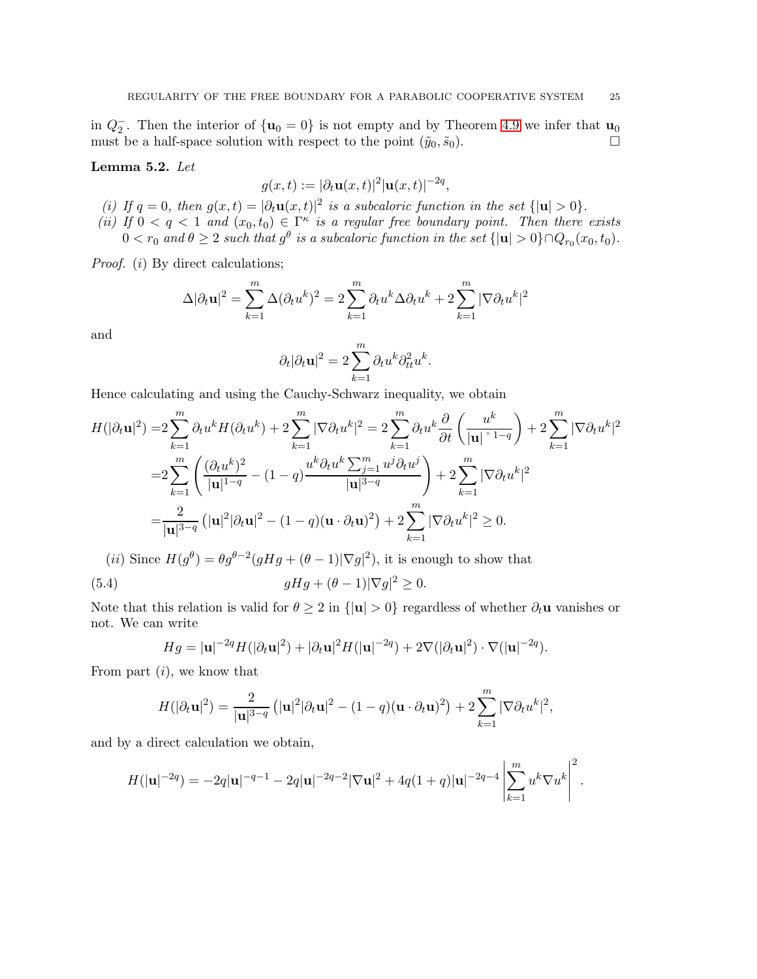in  $Q_2^-$ . Then the interior of  $\{u_0 = 0\}$  is not empty and by Theorem [4.9](#page-20-0) we infer that  $u_0$ must be a half-space solution with respect to the point  $(\tilde{y}_0, \tilde{s}_0)$ .

#### <span id="page-24-1"></span>Lemma 5.2. *Let*

$$
g(x,t) := |\partial_t \mathbf{u}(x,t)|^2 |\mathbf{u}(x,t)|^{-2q},
$$

- (*i*) If  $q = 0$ , then  $g(x,t) = |\partial_t \mathbf{u}(x,t)|^2$  is a subcaloric function in the set  $\{|\mathbf{u}| > 0\}$ .
- (*ii*) If  $0 < q < 1$  and  $(x_0, t_0) \in \Gamma^{\kappa}$  is a regular free boundary point. Then there exists  $0 < r_0$  and  $\theta \geq 2$  such that  $g^{\theta}$  is a subcaloric function in the set  $\{|\mathbf{u}| > 0\} \cap Q_{r_0}(x_0, t_0)$ .

*Proof.* (*i*) By direct calculations;

$$
\Delta |\partial_t \mathbf{u}|^2 = \sum_{k=1}^m \Delta (\partial_t u^k)^2 = 2 \sum_{k=1}^m \partial_t u^k \Delta \partial_t u^k + 2 \sum_{k=1}^m |\nabla \partial_t u^k|^2
$$

and

$$
\partial_t |\partial_t \mathbf{u}|^2 = 2 \sum_{k=1}^m \partial_t u^k \partial_{tt}^2 u^k.
$$

Hence calculating and using the Cauchy-Schwarz inequality, we obtain

$$
H(|\partial_t \mathbf{u}|^2) = 2 \sum_{k=1}^m \partial_t u^k H(\partial_t u^k) + 2 \sum_{k=1}^m |\nabla \partial_t u^k|^2 = 2 \sum_{k=1}^m \partial_t u^k \frac{\partial}{\partial t} \left( \frac{u^k}{|\mathbf{u}|^{\circ 1-q}} \right) + 2 \sum_{k=1}^m |\nabla \partial_t u^k|^2
$$
  

$$
= 2 \sum_{k=1}^m \left( \frac{(\partial_t u^k)^2}{|\mathbf{u}|^{1-q}} - (1-q) \frac{u^k \partial_t u^k \sum_{j=1}^m u^j \partial_t u^j}{|\mathbf{u}|^{3-q}} \right) + 2 \sum_{k=1}^m |\nabla \partial_t u^k|^2
$$
  

$$
= \frac{2}{|\mathbf{u}|^{3-q}} \left( |\mathbf{u}|^2 |\partial_t \mathbf{u}|^2 - (1-q)(\mathbf{u} \cdot \partial_t \mathbf{u})^2 \right) + 2 \sum_{k=1}^m |\nabla \partial_t u^k|^2 \ge 0.
$$

(*ii*) Since  $H(g^{\theta}) = \theta g^{\theta-2}(gHg + (\theta - 1)|\nabla g|^2)$ , it is enough to show that

(5.4) 
$$
gHg + (\theta - 1)|\nabla g|^2 \geq 0.
$$

Note that this relation is valid for  $\theta \geq 2$  in  $\{|{\bf u}| > 0\}$  regardless of whether  $\partial_t {\bf u}$  vanishes or not. We can write

<span id="page-24-0"></span>
$$
Hg = |\mathbf{u}|^{-2q}H(|\partial_t \mathbf{u}|^2) + |\partial_t \mathbf{u}|^2 H(|\mathbf{u}|^{-2q}) + 2\nabla(|\partial_t \mathbf{u}|^2) \cdot \nabla(|\mathbf{u}|^{-2q}).
$$

From part  $(i)$ , we know that

$$
H(|\partial_t \mathbf{u}|^2) = \frac{2}{|\mathbf{u}|^{3-q}} (|\mathbf{u}|^2 |\partial_t \mathbf{u}|^2 - (1-q)(\mathbf{u} \cdot \partial_t \mathbf{u})^2) + 2 \sum_{k=1}^m |\nabla \partial_t u^k|^2,
$$

and by a direct calculation we obtain,

$$
H(|\mathbf{u}|^{-2q}) = -2q|\mathbf{u}|^{-q-1} - 2q|\mathbf{u}|^{-2q-2}|\nabla \mathbf{u}|^2 + 4q(1+q)|\mathbf{u}|^{-2q-4}\left|\sum_{k=1}^m u^k \nabla u^k\right|^2.
$$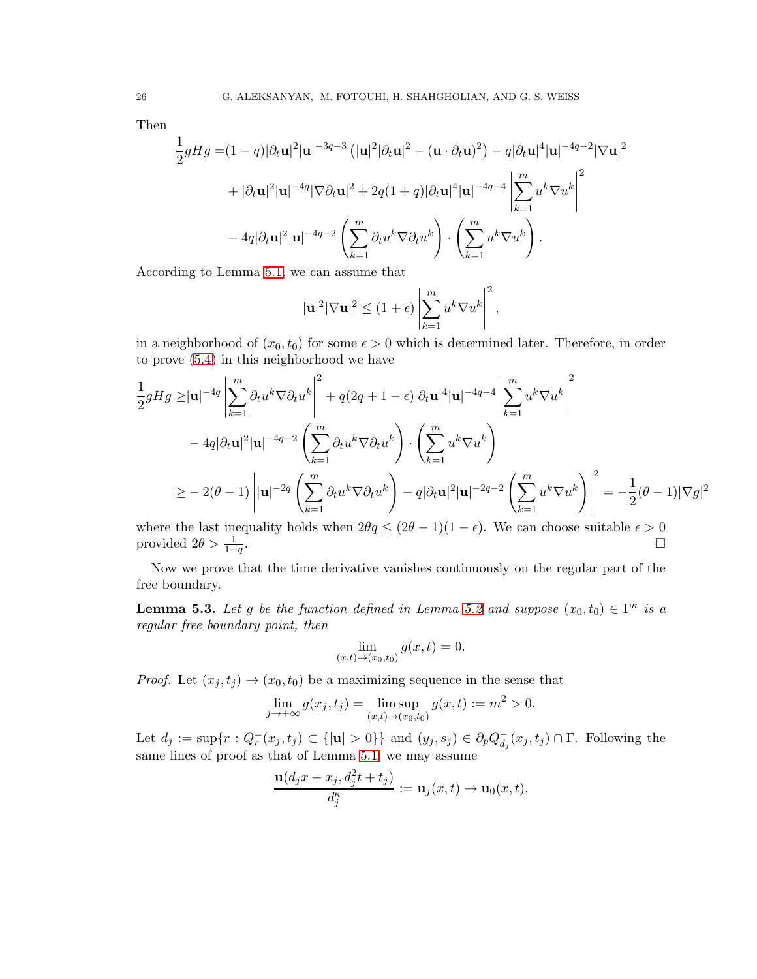Then

$$
\frac{1}{2}gHg = (1-q)|\partial_t \mathbf{u}|^2 |\mathbf{u}|^{-3q-3} \left( |\mathbf{u}|^2 |\partial_t \mathbf{u}|^2 - (\mathbf{u} \cdot \partial_t \mathbf{u})^2 \right) - q|\partial_t \mathbf{u}|^4 |\mathbf{u}|^{-4q-2} |\nabla \mathbf{u}|^2
$$

$$
+ |\partial_t \mathbf{u}|^2 |\mathbf{u}|^{-4q} |\nabla \partial_t \mathbf{u}|^2 + 2q(1+q)|\partial_t \mathbf{u}|^4 |\mathbf{u}|^{-4q-4} \left| \sum_{k=1}^m u^k \nabla u^k \right|^2
$$

$$
- 4q|\partial_t \mathbf{u}|^2 |\mathbf{u}|^{-4q-2} \left( \sum_{k=1}^m \partial_t u^k \nabla \partial_t u^k \right) \cdot \left( \sum_{k=1}^m u^k \nabla u^k \right).
$$

According to Lemma [5.1,](#page-23-3) we can assume that

$$
|\mathbf{u}|^2 |\nabla \mathbf{u}|^2 \le (1+\epsilon) \left| \sum_{k=1}^m u^k \nabla u^k \right|^2,
$$

in a neighborhood of  $(x_0, t_0)$  for some  $\epsilon > 0$  which is determined later. Therefore, in order to prove [\(5.4\)](#page-24-0) in this neighborhood we have

$$
\frac{1}{2}gHg \geq |\mathbf{u}|^{-4q} \left| \sum_{k=1}^{m} \partial_t u^k \nabla \partial_t u^k \right|^2 + q(2q+1-\epsilon) |\partial_t \mathbf{u}|^4 |\mathbf{u}|^{-4q-4} \left| \sum_{k=1}^{m} u^k \nabla u^k \right|^2
$$
  

$$
-4q |\partial_t \mathbf{u}|^2 |\mathbf{u}|^{-4q-2} \left( \sum_{k=1}^{m} \partial_t u^k \nabla \partial_t u^k \right) \cdot \left( \sum_{k=1}^{m} u^k \nabla u^k \right)
$$
  

$$
\geq -2(\theta - 1) \left| |\mathbf{u}|^{-2q} \left( \sum_{k=1}^{m} \partial_t u^k \nabla \partial_t u^k \right) - q |\partial_t \mathbf{u}|^2 |\mathbf{u}|^{-2q-2} \left( \sum_{k=1}^{m} u^k \nabla u^k \right) \right|^2 = -\frac{1}{2}(\theta - 1) |\nabla g|^2
$$

where the last inequality holds when  $2\theta q \leq (2\theta - 1)(1 - \epsilon)$ . We can choose suitable  $\epsilon > 0$  provided  $2\theta > \frac{1}{\epsilon}$ . provided  $2\theta > \frac{1}{1-q}$ .

Now we prove that the time derivative vanishes continuously on the regular part of the free boundary.

<span id="page-25-0"></span>**Lemma 5.3.** Let g be the function defined in Lemma [5.2](#page-24-1) and suppose  $(x_0, t_0) \in \Gamma^{\kappa}$  is a *regular free boundary point, then*

$$
\lim_{(x,t)\to(x_0,t_0)} g(x,t) = 0.
$$

*Proof.* Let  $(x_i, t_i) \rightarrow (x_0, t_0)$  be a maximizing sequence in the sense that

$$
\lim_{j \to +\infty} g(x_j, t_j) = \limsup_{(x,t) \to (x_0, t_0)} g(x, t) := m^2 > 0.
$$

Let  $d_j := \sup\{r : Q_r^-(x_j, t_j) \subset \{|\mathbf{u}| > 0\}\}\$ and  $(y_j, s_j) \in \partial_p Q_{d_j}^ \bar{d}_j(x_j, t_j) \cap \Gamma$ . Following the same lines of proof as that of Lemma [5.1,](#page-23-3) we may assume

$$
\frac{\mathbf{u}(d_jx + x_j, d_j^2t + t_j)}{d_j^{\kappa}} := \mathbf{u}_j(x, t) \to \mathbf{u}_0(x, t),
$$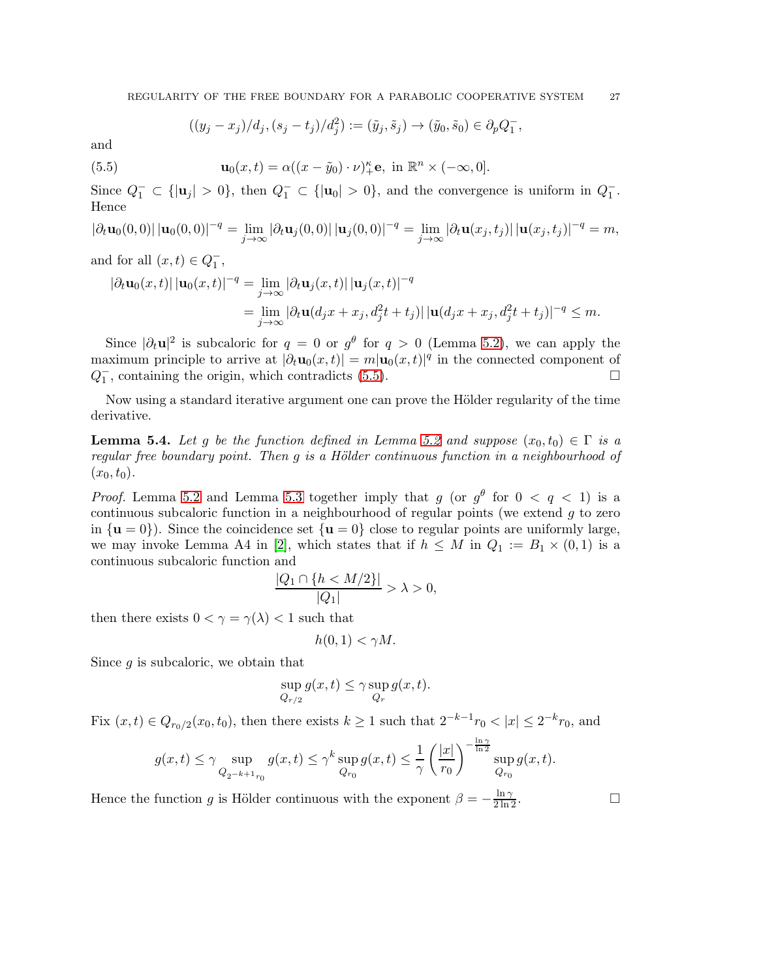<span id="page-26-0"></span>
$$
((y_j - x_j)/d_j, (s_j - t_j)/d_j^2) := (\tilde{y}_j, \tilde{s}_j) \to (\tilde{y}_0, \tilde{s}_0) \in \partial_p Q_1^-,
$$

and

(5.5) 
$$
\mathbf{u}_0(x,t) = \alpha((x-\tilde{y}_0)\cdot\nu)_+^{\kappa}\mathbf{e}, \text{ in } \mathbb{R}^n \times (-\infty,0].
$$

Since  $Q_1^- \subset \{ |u_j| > 0 \}$ , then  $Q_1^- \subset \{ |u_0| > 0 \}$ , and the convergence is uniform in  $Q_1^-$ . Hence

$$
|\partial_t \mathbf{u}_0(0,0)| \, |\mathbf{u}_0(0,0)|^{-q} = \lim_{j \to \infty} |\partial_t \mathbf{u}_j(0,0)| \, |\mathbf{u}_j(0,0)|^{-q} = \lim_{j \to \infty} |\partial_t \mathbf{u}(x_j,t_j)| \, |\mathbf{u}(x_j,t_j)|^{-q} = m,
$$

and for all  $(x,t) \in Q_1^-$ ,

$$
\begin{aligned} \left|\partial_t \mathbf{u}_0(x,t)\right| |\mathbf{u}_0(x,t)|^{-q} &= \lim_{j \to \infty} \left|\partial_t \mathbf{u}_j(x,t)\right| |\mathbf{u}_j(x,t)|^{-q} \\ &= \lim_{j \to \infty} \left|\partial_t \mathbf{u}(d_j x + x_j, d_j^2 t + t_j)\right| |\mathbf{u}(d_j x + x_j, d_j^2 t + t_j)|^{-q} \le m. \end{aligned}
$$

Since  $|\partial_t \mathbf{u}|^2$  is subcaloric for  $q = 0$  or  $g^{\theta}$  for  $q > 0$  (Lemma [5.2\)](#page-24-1), we can apply the maximum principle to arrive at  $|\partial_t \mathbf{u}_0(x,t)| = m |\mathbf{u}_0(x,t)|^q$  in the connected component of  $Q_1^-$ , containing the origin, which contradicts [\(5.5\)](#page-26-0).

Now using a standard iterative argument one can prove the Hölder regularity of the time derivative.

**Lemma 5.4.** Let g be the function defined in Lemma [5.2](#page-24-1) and suppose  $(x_0, t_0) \in \Gamma$  is a *regular free boundary point. Then* q *is a Hölder continuous function in a neighbourhood of*  $(x_0, t_0)$ .

*Proof.* Lemma [5.2](#page-24-1) and Lemma [5.3](#page-25-0) together imply that g (or  $g^{\theta}$  for  $0 < q < 1$ ) is a continuous subcaloric function in a neighbourhood of regular points (we extend  $g$  to zero in  $\{u = 0\}$ . Since the coincidence set  $\{u = 0\}$  close to regular points are uniformly large, we may invoke Lemma A4 in [\[2\]](#page-35-8), which states that if  $h \leq M$  in  $Q_1 := B_1 \times (0,1)$  is a continuous subcaloric function and

$$
\frac{|Q_1 \cap \{h < M/2\}|}{|Q_1|} > \lambda > 0,
$$

then there exists  $0 < \gamma = \gamma(\lambda) < 1$  such that

$$
h(0,1) < \gamma M.
$$

Since  $q$  is subcaloric, we obtain that

$$
\sup_{Q_{r/2}} g(x,t) \le \gamma \sup_{Q_r} g(x,t).
$$

Fix  $(x, t) \in Q_{r_0/2}(x_0, t_0)$ , then there exists  $k \ge 1$  such that  $2^{-k-1}r_0 < |x| \le 2^{-k}r_0$ , and

$$
g(x,t) \leq \gamma \sup_{Q_{2^{-k+1}r_0}} g(x,t) \leq \gamma^k \sup_{Q_{r_0}} g(x,t) \leq \frac{1}{\gamma} \left(\frac{|x|}{r_0}\right)^{-\frac{\ln \gamma}{\ln 2}} \sup_{Q_{r_0}} g(x,t).
$$

Hence the function g is Hölder continuous with the exponent  $\beta = -\frac{\ln \gamma}{2 \ln 2}$ .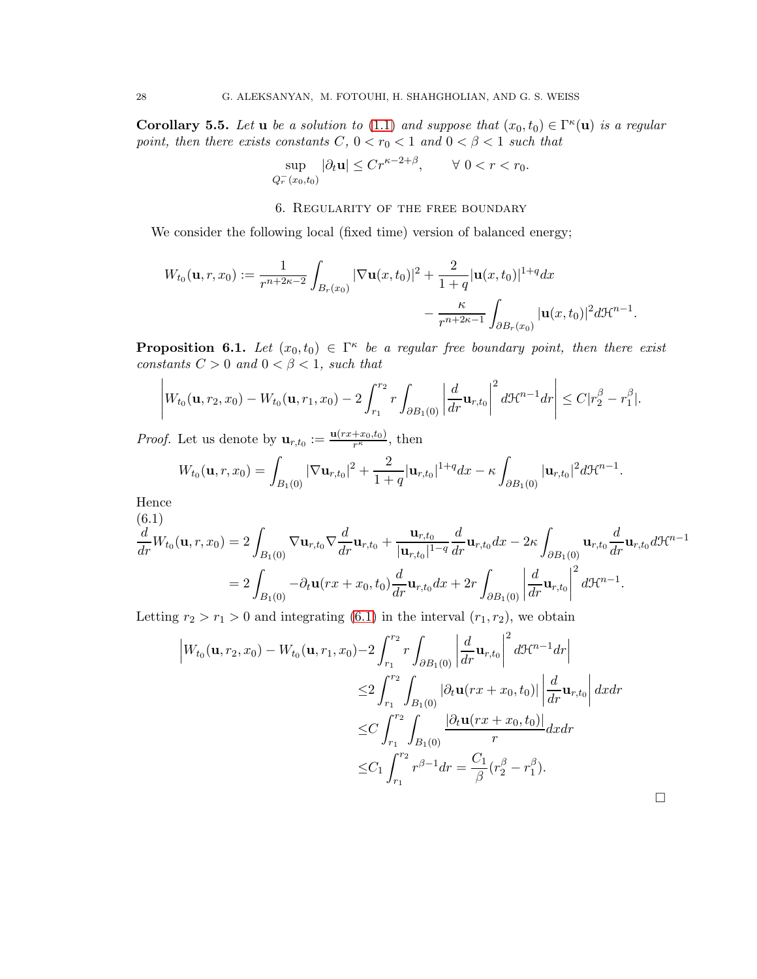<span id="page-27-2"></span>Corollary 5.5. Let **u** be a solution to [\(1.1\)](#page-0-2) and suppose that  $(x_0, t_0) \in \Gamma^{\kappa}(\mathbf{u})$  is a regular *point, then there exists constants*  $C, 0 < r_0 < 1$  *and*  $0 < \beta < 1$  *such that* 

$$
\sup_{Q_r^-(x_0,t_0)} |\partial_t \mathbf{u}| \le Cr^{\kappa - 2 + \beta}, \qquad \forall \ 0 < r < r_0.
$$

#### 6. Regularity of the free boundary

<span id="page-27-0"></span>We consider the following local (fixed time) version of balanced energy;

$$
W_{t_0}(\mathbf{u},r,x_0) := \frac{1}{r^{n+2\kappa-2}} \int_{B_r(x_0)} |\nabla \mathbf{u}(x,t_0)|^2 + \frac{2}{1+q} |\mathbf{u}(x,t_0)|^{1+q} dx
$$
  

$$
- \frac{\kappa}{r^{n+2\kappa-1}} \int_{\partial B_r(x_0)} |\mathbf{u}(x,t_0)|^2 d\mathcal{H}^{n-1}.
$$

<span id="page-27-3"></span>**Proposition 6.1.** Let  $(x_0, t_0) \in \Gamma^{\kappa}$  be a regular free boundary point, then there exist *constants*  $C > 0$  *and*  $0 < \beta < 1$ *, such that* 

$$
\left|W_{t_0}(\mathbf{u},r_2,x_0)-W_{t_0}(\mathbf{u},r_1,x_0)-2\int_{r_1}^{r_2}r\int_{\partial B_1(0)}\left|\frac{d}{dr}\mathbf{u}_{r,t_0}\right|^2d\mathfrak{H}^{n-1}dr\right|\leq C|r_2^{\beta}-r_1^{\beta}|.
$$

*Proof.* Let us denote by  $\mathbf{u}_{r,t_0} := \frac{\mathbf{u}(rx+xs_0,t_0)}{r^{\kappa}}$  $\frac{+x_0, t_0)}{r^{\kappa}}$ , then

$$
W_{t_0}(\mathbf{u},r,x_0)=\int_{B_1(0)}|\nabla \mathbf{u}_{r,t_0}|^2+\frac{2}{1+q}|\mathbf{u}_{r,t_0}|^{1+q}dx-\kappa\int_{\partial B_1(0)}|\mathbf{u}_{r,t_0}|^2d\mathcal{H}^{n-1}.
$$

Hence  $(a,1)$ 

<span id="page-27-1"></span>
$$
\frac{d}{dr}W_{t_0}(\mathbf{u},r,x_0) = 2\int_{B_1(0)} \nabla \mathbf{u}_{r,t_0} \nabla \frac{d}{dr} \mathbf{u}_{r,t_0} + \frac{\mathbf{u}_{r,t_0}}{|\mathbf{u}_{r,t_0}|^{1-q}} \frac{d}{dr} \mathbf{u}_{r,t_0} dx - 2\kappa \int_{\partial B_1(0)} \mathbf{u}_{r,t_0} \frac{d}{dr} \mathbf{u}_{r,t_0} d\mathcal{H}^{n-1}
$$
\n
$$
= 2\int_{B_1(0)} -\partial_t \mathbf{u}(rx + x_0, t_0) \frac{d}{dr} \mathbf{u}_{r,t_0} dx + 2r \int_{\partial B_1(0)} \left| \frac{d}{dr} \mathbf{u}_{r,t_0} \right|^2 d\mathcal{H}^{n-1}.
$$

Letting  $r_2 > r_1 > 0$  and integrating [\(6.1\)](#page-27-1) in the interval  $(r_1, r_2)$ , we obtain

$$
\begin{split} \left| W_{t_0}(\mathbf{u}, r_2, x_0) - W_{t_0}(\mathbf{u}, r_1, x_0) - 2 \int_{r_1}^{r_2} r \int_{\partial B_1(0)} \left| \frac{d}{dr} \mathbf{u}_{r, t_0} \right|^2 d\mathcal{H}^{n-1} dr \right| \\ &\leq 2 \int_{r_1}^{r_2} \int_{B_1(0)} |\partial_t \mathbf{u}(rx + x_0, t_0)| \left| \frac{d}{dr} \mathbf{u}_{r, t_0} \right| dx dr \\ &\leq C \int_{r_1}^{r_2} \int_{B_1(0)} \frac{|\partial_t \mathbf{u}(rx + x_0, t_0)|}{r} dx dr \\ &\leq C_1 \int_{r_1}^{r_2} r^{\beta - 1} dr = \frac{C_1}{\beta} (r_2^{\beta} - r_1^{\beta}). \end{split}
$$

 $\Box$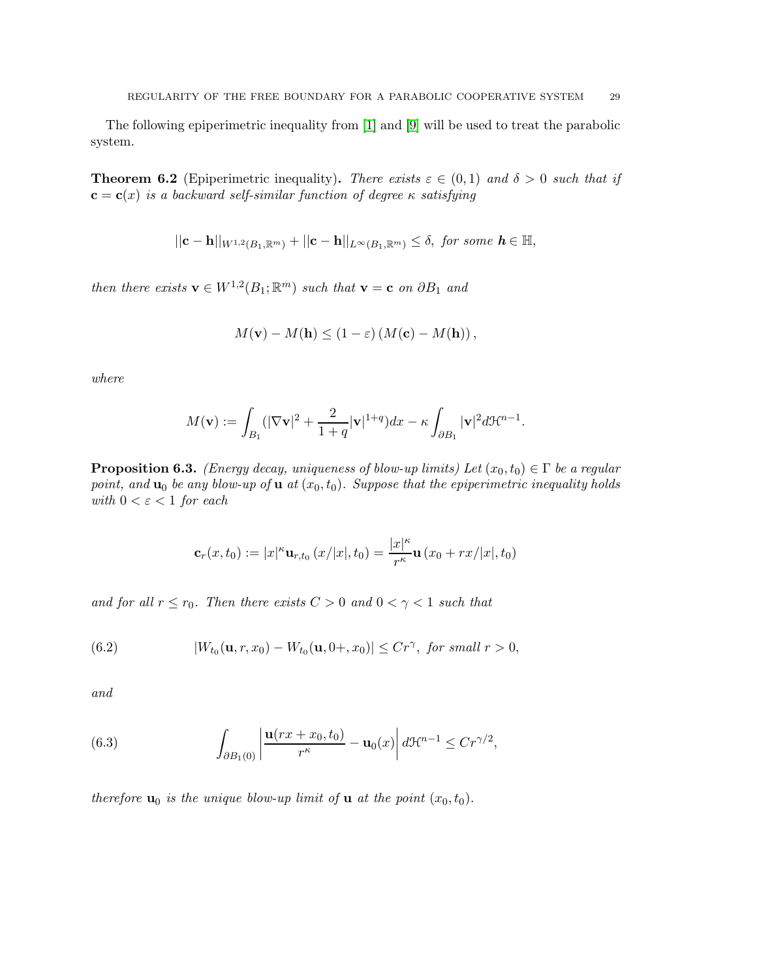The following epiperimetric inequality from [\[1\]](#page-35-2) and [\[9\]](#page-36-0) will be used to treat the parabolic system.

**Theorem 6.2** (Epiperimetric inequality). *There exists*  $\varepsilon \in (0,1)$  *and*  $\delta > 0$  *such that if*  $c = c(x)$  *is a backward self-similar function of degree*  $\kappa$  *satisfying* 

$$
||\mathbf{c}-\mathbf{h}||_{W^{1,2}(B_1,\mathbb{R}^m)}+||\mathbf{c}-\mathbf{h}||_{L^{\infty}(B_1,\mathbb{R}^m)}\leq \delta, \text{ for some } \mathbf{h}\in \mathbb{H},
$$

*then there exists*  $\mathbf{v} \in W^{1,2}(B_1; \mathbb{R}^m)$  *such that*  $\mathbf{v} = \mathbf{c}$  *on*  $\partial B_1$  *and* 

$$
M(\mathbf{v}) - M(\mathbf{h}) \le (1 - \varepsilon) \left( M(\mathbf{c}) - M(\mathbf{h}) \right),
$$

*where*

$$
M(\mathbf{v}) := \int_{B_1} (|\nabla \mathbf{v}|^2 + \frac{2}{1+q} |\mathbf{v}|^{1+q}) dx - \kappa \int_{\partial B_1} |\mathbf{v}|^2 d\mathcal{H}^{n-1}.
$$

**Proposition 6.3.** *(Energy decay, uniqueness of blow-up limits) Let*  $(x_0, t_0) \in \Gamma$  *be a regular point, and*  $\mathbf{u}_0$  *be any blow-up of*  $\mathbf{u}$  *at*  $(x_0, t_0)$ *. Suppose that the epiperimetric inequality holds with*  $0 < \varepsilon < 1$  *for each* 

$$
\mathbf{c}_r(x,t_0) := |x|^{\kappa} \mathbf{u}_{r,t_0} (x/|x|,t_0) = \frac{|x|^{\kappa}}{r^{\kappa}} \mathbf{u} (x_0 + rx/|x|,t_0)
$$

*and for all*  $r \leq r_0$ *. Then there exists*  $C > 0$  *and*  $0 < \gamma < 1$  *such that* 

<span id="page-28-0"></span>(6.2) 
$$
|W_{t_0}(\mathbf{u}, r, x_0) - W_{t_0}(\mathbf{u}, 0+, x_0)| \leq Cr^{\gamma}, \text{ for small } r > 0,
$$

*and*

<span id="page-28-1"></span>(6.3) 
$$
\int_{\partial B_1(0)} \left| \frac{\mathbf{u}(rx + x_0, t_0)}{r^{\kappa}} - \mathbf{u}_0(x) \right| d\mathcal{H}^{n-1} \leq C r^{\gamma/2},
$$

*therefore*  $\mathbf{u}_0$  *is the unique blow-up limit of*  $\mathbf{u}$  *at the point*  $(x_0, t_0)$ *.*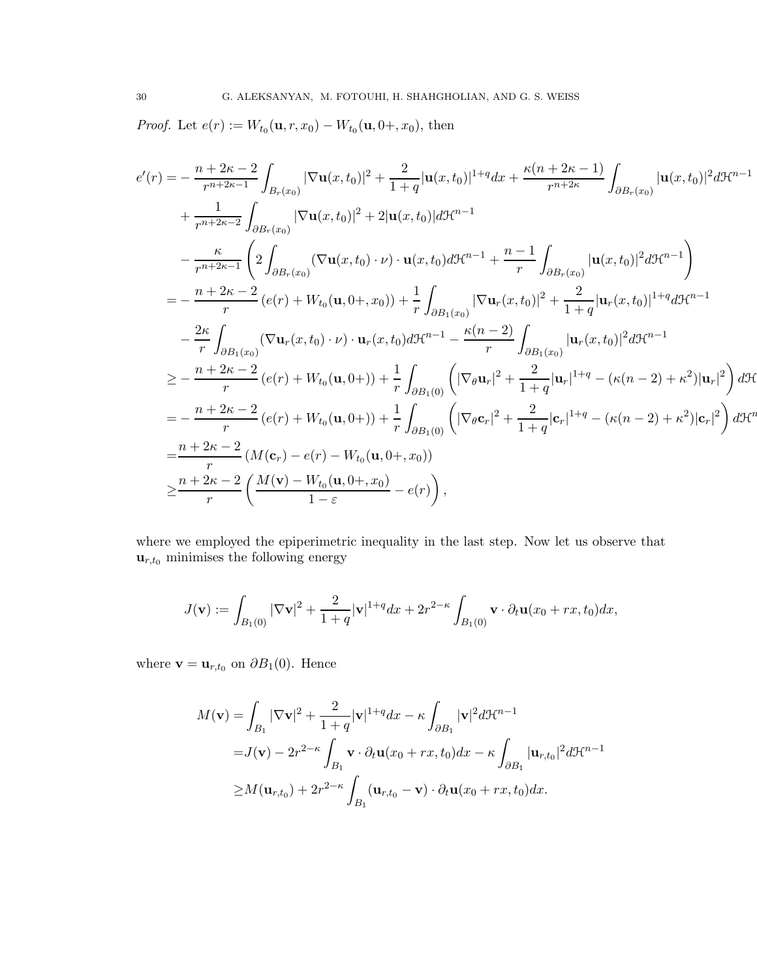*Proof.* Let  $e(r) := W_{t_0}(\mathbf{u}, r, x_0) - W_{t_0}(\mathbf{u}, 0+, x_0)$ , then

$$
e'(r) = -\frac{n+2\kappa-2}{r^{n+2\kappa-1}} \int_{B_r(x_0)} |\nabla \mathbf{u}(x, t_0)|^2 + \frac{2}{1+q} |\mathbf{u}(x, t_0)|^{1+q} dx + \frac{\kappa(n+2\kappa-1)}{r^{n+2\kappa}} \int_{\partial B_r(x_0)} |\mathbf{u}(x, t_0)|^2 d\mathcal{H}^{n-1}
$$
  
+ 
$$
\frac{1}{r^{n+2\kappa-2}} \int_{\partial B_r(x_0)} |\nabla \mathbf{u}(x, t_0)|^2 + 2 |\mathbf{u}(x, t_0)| d\mathcal{H}^{n-1}
$$
  
- 
$$
\frac{\kappa}{r^{n+2\kappa-1}} \left( 2 \int_{\partial B_r(x_0)} (\nabla \mathbf{u}(x, t_0) \cdot \nu) \cdot \mathbf{u}(x, t_0) d\mathcal{H}^{n-1} + \frac{n-1}{r} \int_{\partial B_r(x_0)} |\mathbf{u}(x, t_0)|^2 d\mathcal{H}^{n-1} \right)
$$
  
= 
$$
-\frac{n+2\kappa-2}{r} (e(r) + W_{t_0}(\mathbf{u}, 0+, x_0)) + \frac{1}{r} \int_{\partial B_1(x_0)} |\nabla \mathbf{u}_r(x, t_0)|^2 + \frac{2}{1+q} |\mathbf{u}_r(x, t_0)|^{1+q} d\mathcal{H}^{n-1}
$$
  
- 
$$
\frac{2\kappa}{r} \int_{\partial B_1(x_0)} (\nabla \mathbf{u}_r(x, t_0) \cdot \nu) \cdot \mathbf{u}_r(x, t_0) d\mathcal{H}^{n-1} - \frac{\kappa(n-2)}{r} \int_{\partial B_1(x_0)} |\mathbf{u}_r(x, t_0)|^2 d\mathcal{H}^{n-1}
$$
  

$$
\geq -\frac{n+2\kappa-2}{r} (e(r) + W_{t_0}(\mathbf{u}, 0+) + \frac{1}{r} \int_{\partial B_1(0)} \left( |\nabla_{\theta} \mathbf{u}_r|^2 + \frac{2}{1+q} |\mathbf{u}_r|^{1+q} - (\kappa(n-2) + \kappa^2) |\mathbf{u}_r|^2 \right) d\math
$$

where we employed the epiperimetric inequality in the last step. Now let us observe that  $\mathbf{u}_{r,t_0}$  minimises the following energy

$$
J(\mathbf{v}) := \int_{B_1(0)} |\nabla \mathbf{v}|^2 + \frac{2}{1+q} |\mathbf{v}|^{1+q} dx + 2r^{2-\kappa} \int_{B_1(0)} \mathbf{v} \cdot \partial_t \mathbf{u}(x_0 + rx, t_0) dx,
$$

where  $\mathbf{v} = \mathbf{u}_{r,t_0}$  on  $\partial B_1(0)$ . Hence

$$
M(\mathbf{v}) = \int_{B_1} |\nabla \mathbf{v}|^2 + \frac{2}{1+q} |\mathbf{v}|^{1+q} dx - \kappa \int_{\partial B_1} |\mathbf{v}|^2 d\mathcal{H}^{n-1}
$$
  
=  $J(\mathbf{v}) - 2r^{2-\kappa} \int_{B_1} \mathbf{v} \cdot \partial_t \mathbf{u}(x_0 + rx, t_0) dx - \kappa \int_{\partial B_1} |\mathbf{u}_{r,t_0}|^2 d\mathcal{H}^{n-1}$   
 $\geq M(\mathbf{u}_{r,t_0}) + 2r^{2-\kappa} \int_{B_1} (\mathbf{u}_{r,t_0} - \mathbf{v}) \cdot \partial_t \mathbf{u}(x_0 + rx, t_0) dx.$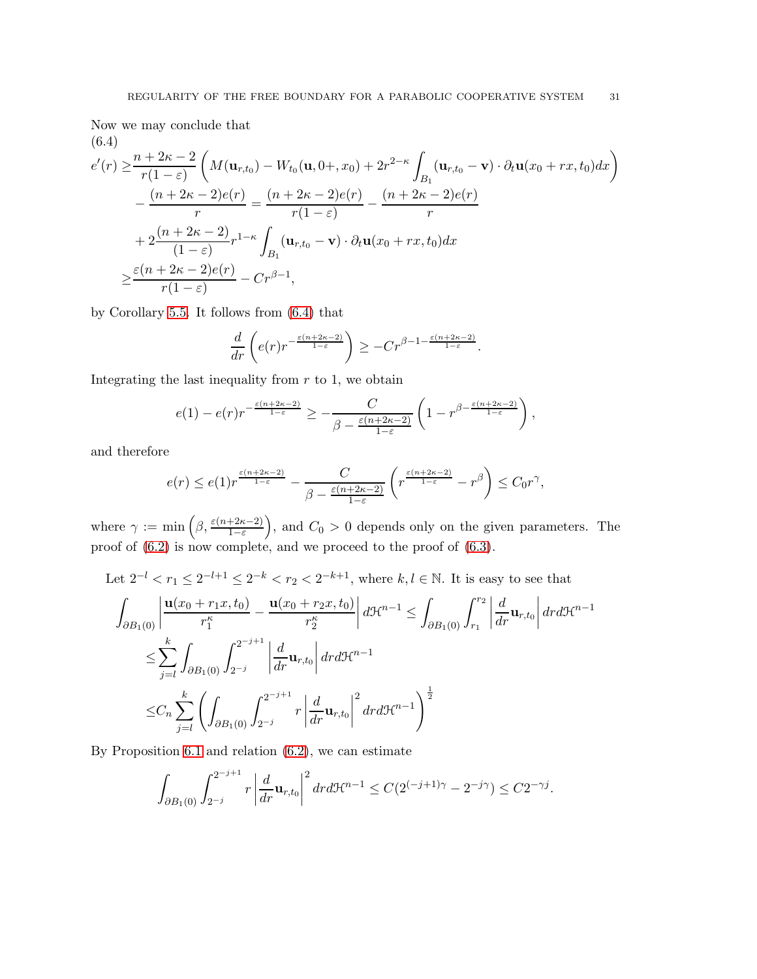Now we may conclude that (6.4)

<span id="page-30-0"></span>
$$
e'(r) \geq \frac{n+2\kappa-2}{r(1-\varepsilon)} \left( M(\mathbf{u}_{r,t_0}) - W_{t_0}(\mathbf{u}, 0+, x_0) + 2r^{2-\kappa} \int_{B_1} (\mathbf{u}_{r,t_0} - \mathbf{v}) \cdot \partial_t \mathbf{u}(x_0 + rx, t_0) dx \right)
$$
  

$$
- \frac{(n+2\kappa-2)e(r)}{r} = \frac{(n+2\kappa-2)e(r)}{r(1-\varepsilon)} - \frac{(n+2\kappa-2)e(r)}{r}
$$
  

$$
+ 2\frac{(n+2\kappa-2)}{(1-\varepsilon)}r^{1-\kappa} \int_{B_1} (\mathbf{u}_{r,t_0} - \mathbf{v}) \cdot \partial_t \mathbf{u}(x_0 + rx, t_0) dx
$$
  

$$
\geq \frac{\varepsilon(n+2\kappa-2)e(r)}{r(1-\varepsilon)} - Cr^{\beta-1},
$$

by Corollary [5.5.](#page-27-2) It follows from [\(6.4\)](#page-30-0) that

$$
\frac{d}{dr}\left(e(r)r^{-\frac{\varepsilon(n+2\kappa-2)}{1-\varepsilon}}\right)\geq -Cr^{\beta-1-\frac{\varepsilon(n+2\kappa-2)}{1-\varepsilon}}.
$$

Integrating the last inequality from  $r$  to 1, we obtain

$$
e(1) - e(r)r^{-\frac{\varepsilon(n+2\kappa-2)}{1-\varepsilon}} \geq -\frac{C}{\beta - \frac{\varepsilon(n+2\kappa-2)}{1-\varepsilon}} \left(1 - r^{\beta - \frac{\varepsilon(n+2\kappa-2)}{1-\varepsilon}}\right),
$$

and therefore

$$
e(r) \leq e(1)r^{\frac{\varepsilon(n+2\kappa-2)}{1-\varepsilon}} - \frac{C}{\beta - \frac{\varepsilon(n+2\kappa-2)}{1-\varepsilon}} \left(r^{\frac{\varepsilon(n+2\kappa-2)}{1-\varepsilon}} - r^{\beta}\right) \leq C_0 r^{\gamma},
$$

where  $\gamma := \min\left(\beta, \frac{\varepsilon(n+2\kappa-2)}{1-\varepsilon}\right)$ , and  $C_0 > 0$  depends only on the given parameters. The proof of  $(6.2)$  is now complete, and we proceed to the proof of  $(6.3)$ .

Let 
$$
2^{-l} < r_1 \leq 2^{-l+1} \leq 2^{-k} < r_2 < 2^{-k+1}
$$
, where  $k, l \in \mathbb{N}$ . It is easy to see that\n
$$
\int_{\partial B_1(0)} \left| \frac{\mathbf{u}(x_0 + r_1 x, t_0)}{r_1^{\kappa}} - \frac{\mathbf{u}(x_0 + r_2 x, t_0)}{r_2^{\kappa}} \right| d\mathcal{H}^{n-1} \leq \int_{\partial B_1(0)} \int_{r_1}^{r_2} \left| \frac{d}{dr} \mathbf{u}_{r, t_0} \right| dr d\mathcal{H}^{n-1}
$$
\n
$$
\leq \sum_{j=l}^{k} \int_{\partial B_1(0)} \int_{2^{-j}}^{2^{-j+1}} \left| \frac{d}{dr} \mathbf{u}_{r, t_0} \right| dr d\mathcal{H}^{n-1}
$$
\n
$$
\leq C_n \sum_{j=l}^{k} \left( \int_{\partial B_1(0)} \int_{2^{-j}}^{2^{-j+1}} r \left| \frac{d}{dr} \mathbf{u}_{r, t_0} \right|^2 dr d\mathcal{H}^{n-1} \right)^{\frac{1}{2}}
$$

By Proposition [6.1](#page-27-3) and relation [\(6.2\)](#page-28-0), we can estimate

$$
\int_{\partial B_1(0)} \int_{2^{-j}}^{2^{-j+1}} r \left| \frac{d}{dr} \mathbf{u}_{r,t_0} \right|^2 dr d\mathcal{H}^{n-1} \leq C(2^{(-j+1)\gamma} - 2^{-j\gamma}) \leq C2^{-\gamma j}.
$$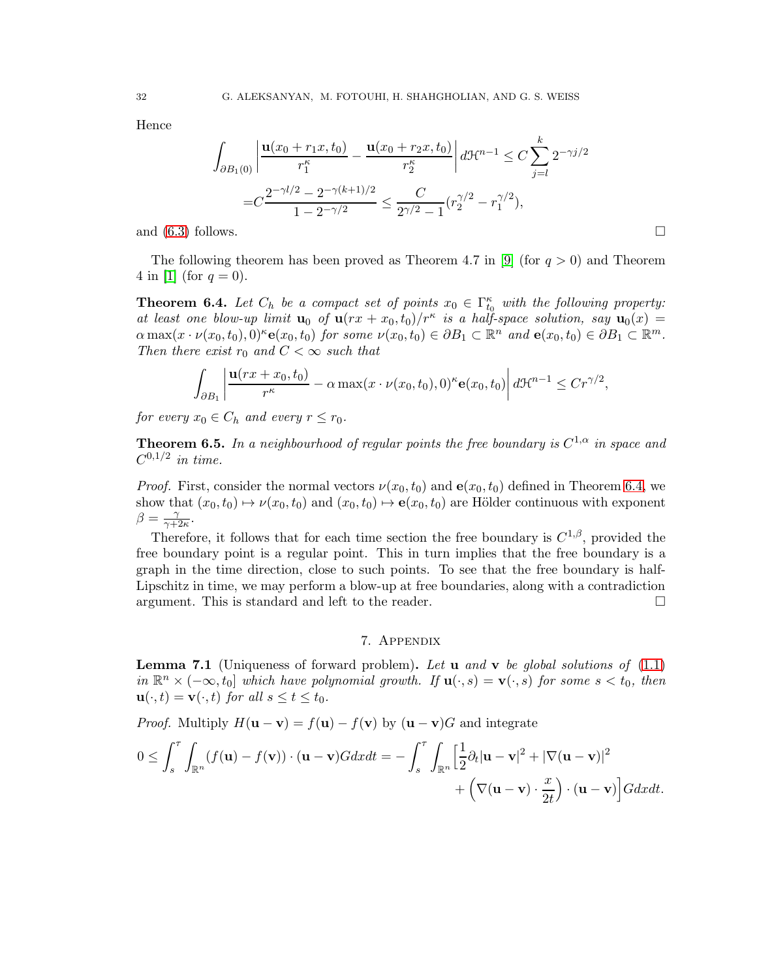Hence

$$
\int_{\partial B_1(0)} \left| \frac{\mathbf{u}(x_0 + r_1 x, t_0)}{r_1^{\kappa}} - \frac{\mathbf{u}(x_0 + r_2 x, t_0)}{r_2^{\kappa}} \right| d\mathcal{H}^{n-1} \leq C \sum_{j=l}^{k} 2^{-\gamma j/2}
$$

$$
= C \frac{2^{-\gamma l/2} - 2^{-\gamma (k+1)/2}}{1 - 2^{-\gamma/2}} \leq \frac{C}{2^{\gamma/2} - 1} (r_2^{\gamma/2} - r_1^{\gamma/2}),
$$

and  $(6.3)$  follows.

The following theorem has been proved as Theorem 4.7 in [\[9\]](#page-36-0) (for  $q > 0$ ) and Theorem 4 in [\[1\]](#page-35-2) (for  $q = 0$ ).

<span id="page-31-2"></span>**Theorem 6.4.** Let  $C_h$  be a compact set of points  $x_0 \in \Gamma_{t_0}^{\kappa}$  with the following property: *at least one blow-up limit*  $\mathbf{u}_0$  *of*  $\mathbf{u}(rx + x_0, t_0)/r^{\kappa}$  *is a half-space solution, say*  $\mathbf{u}_0(x) =$  $\alpha \max(x \cdot \nu(x_0, t_0), 0)^{\kappa} e(x_0, t_0)$  *for some*  $\nu(x_0, t_0) \in \partial B_1 \subset \mathbb{R}^n$  *and*  $e(x_0, t_0) \in \partial B_1 \subset \mathbb{R}^m$ *. Then there exist*  $r_0$  *and*  $C < \infty$  *such that* 

$$
\int_{\partial B_1} \left| \frac{\mathbf{u}(rx + x_0, t_0)}{r^{\kappa}} - \alpha \max(x \cdot \nu(x_0, t_0), 0)^{\kappa} \mathbf{e}(x_0, t_0) \right| d\mathcal{H}^{n-1} \leq C r^{\gamma/2},
$$

*for every*  $x_0 \in C_h$  *and every*  $r \leq r_0$ *.* 

<span id="page-31-1"></span>**Theorem 6.5.** In a neighbourhood of regular points the free boundary is  $C^{1,\alpha}$  in space and  $C^{0,1/2}$  *in time.* 

*Proof.* First, consider the normal vectors  $\nu(x_0, t_0)$  and  $\mathbf{e}(x_0, t_0)$  defined in Theorem [6.4,](#page-31-2) we show that  $(x_0, t_0) \mapsto \nu(x_0, t_0)$  and  $(x_0, t_0) \mapsto e(x_0, t_0)$  are Hölder continuous with exponent  $\beta = \frac{\gamma}{\gamma + \gamma}$  $\frac{\gamma}{\gamma+2\kappa}$ .

Therefore, it follows that for each time section the free boundary is  $C^{1,\beta}$ , provided the free boundary point is a regular point. This in turn implies that the free boundary is a graph in the time direction, close to such points. To see that the free boundary is half-Lipschitz in time, we may perform a blow-up at free boundaries, along with a contradiction argument. This is standard and left to the reader.

### 7. Appendix

<span id="page-31-3"></span><span id="page-31-0"></span>Lemma 7.1 (Uniqueness of forward problem). *Let* u *and* v *be global solutions of* [\(1.1\)](#page-0-2)  $in \mathbb{R}^n \times (-\infty, t_0]$  *which have polynomial growth.* If  $\mathbf{u}(\cdot, s) = \mathbf{v}(\cdot, s)$  *for some*  $s < t_0$ *, then*  $\mathbf{u}(\cdot,t) = \mathbf{v}(\cdot,t)$  *for all*  $s \le t \le t_0$ *.* 

*Proof.* Multiply  $H(\mathbf{u} - \mathbf{v}) = f(\mathbf{u}) - f(\mathbf{v})$  by  $(\mathbf{u} - \mathbf{v})G$  and integrate

$$
0 \leq \int_s^\tau \int_{\mathbb{R}^n} (f(\mathbf{u}) - f(\mathbf{v})) \cdot (\mathbf{u} - \mathbf{v}) G dx dt = - \int_s^\tau \int_{\mathbb{R}^n} \left[ \frac{1}{2} \partial_t |\mathbf{u} - \mathbf{v}|^2 + |\nabla (\mathbf{u} - \mathbf{v})|^2 + \left( \nabla (\mathbf{u} - \mathbf{v}) \cdot \frac{x}{2t} \right) \cdot (\mathbf{u} - \mathbf{v}) \right] G dx dt.
$$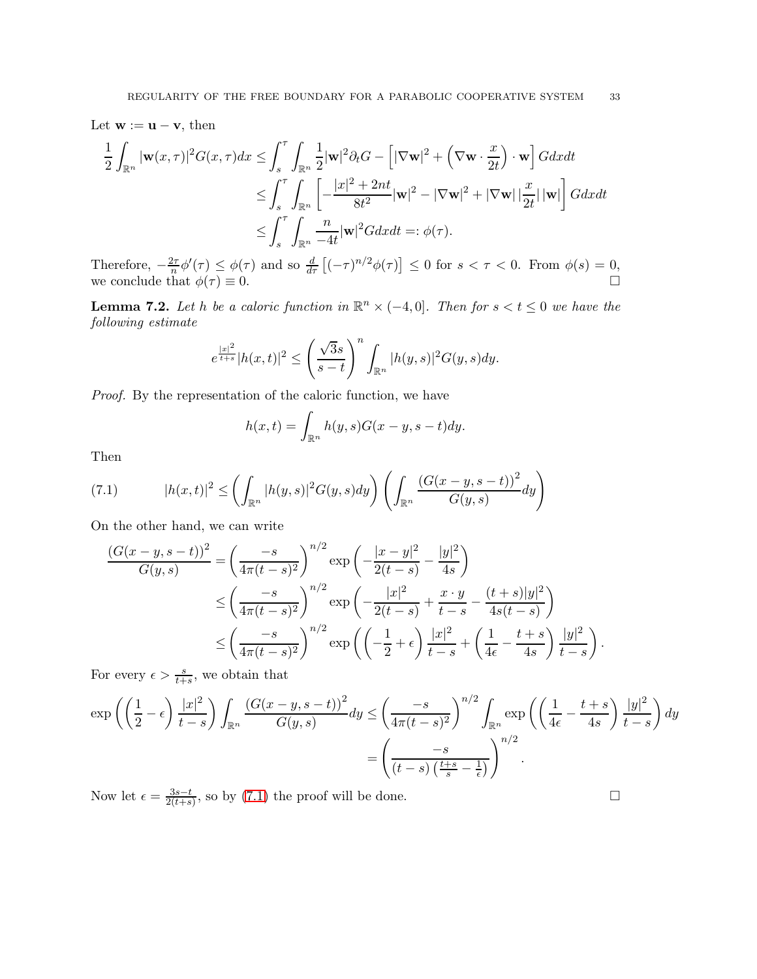Let  $\mathbf{w} := \mathbf{u} - \mathbf{v}$ , then

$$
\frac{1}{2} \int_{\mathbb{R}^n} |\mathbf{w}(x,\tau)|^2 G(x,\tau) dx \le \int_s^{\tau} \int_{\mathbb{R}^n} \frac{1}{2} |\mathbf{w}|^2 \partial_t G - \left[ |\nabla \mathbf{w}|^2 + \left( \nabla \mathbf{w} \cdot \frac{x}{2t} \right) \cdot \mathbf{w} \right] G dx dt
$$
  
\n
$$
\le \int_s^{\tau} \int_{\mathbb{R}^n} \left[ -\frac{|x|^2 + 2nt}{8t^2} |\mathbf{w}|^2 - |\nabla \mathbf{w}|^2 + |\nabla \mathbf{w}| |\frac{x}{2t}| |\mathbf{w}| \right] G dx dt
$$
  
\n
$$
\le \int_s^{\tau} \int_{\mathbb{R}^n} \frac{n}{-4t} |\mathbf{w}|^2 G dx dt =: \phi(\tau).
$$

Therefore,  $-\frac{2\tau}{n}\phi'(\tau) \leq \phi(\tau)$  and so  $\frac{d}{d\tau}\left[(-\tau)^{n/2}\phi(\tau)\right] \leq 0$  for  $s < \tau < 0$ . From  $\phi(s) = 0$ , we conclude that  $\phi(\tau) \equiv 0$ .

<span id="page-32-0"></span>**Lemma 7.2.** Let h be a caloric function in  $\mathbb{R}^n \times (-4,0]$ . Then for  $s < t \leq 0$  we have the *following estimate*

$$
e^{\frac{|x|^2}{t+s}}|h(x,t)|^2 \le \left(\frac{\sqrt{3}s}{s-t}\right)^n \int_{\mathbb{R}^n} |h(y,s)|^2 G(y,s) dy.
$$

*Proof.* By the representation of the caloric function, we have

$$
h(x,t) = \int_{\mathbb{R}^n} h(y,s)G(x-y,s-t)dy.
$$

Then

<span id="page-32-1"></span>(7.1) 
$$
|h(x,t)|^2 \leq \left(\int_{\mathbb{R}^n} |h(y,s)|^2 G(y,s) dy\right) \left(\int_{\mathbb{R}^n} \frac{(G(x-y,s-t))^2}{G(y,s)} dy\right)
$$

On the other hand, we can write

$$
\frac{(G(x - y, s - t))^{2}}{G(y, s)} = \left(\frac{-s}{4\pi(t - s)^{2}}\right)^{n/2} \exp\left(-\frac{|x - y|^{2}}{2(t - s)} - \frac{|y|^{2}}{4s}\right)
$$
  
\n
$$
\leq \left(\frac{-s}{4\pi(t - s)^{2}}\right)^{n/2} \exp\left(-\frac{|x|^{2}}{2(t - s)} + \frac{x \cdot y}{t - s} - \frac{(t + s)|y|^{2}}{4s(t - s)}\right)
$$
  
\n
$$
\leq \left(\frac{-s}{4\pi(t - s)^{2}}\right)^{n/2} \exp\left(\left(-\frac{1}{2} + \epsilon\right) \frac{|x|^{2}}{t - s} + \left(\frac{1}{4\epsilon} - \frac{t + s}{4s}\right) \frac{|y|^{2}}{t - s}\right).
$$

For every  $\epsilon > \frac{s}{t+s}$ , we obtain that

$$
\exp\left(\left(\frac{1}{2}-\epsilon\right)\frac{|x|^2}{t-s}\right)\int_{\mathbb{R}^n}\frac{\left(G(x-y,s-t)\right)^2}{G(y,s)}dy \le \left(\frac{-s}{4\pi(t-s)^2}\right)^{n/2}\int_{\mathbb{R}^n}\exp\left(\left(\frac{1}{4\epsilon}-\frac{t+s}{4s}\right)\frac{|y|^2}{t-s}\right)dy
$$

$$
=\left(\frac{-s}{(t-s)\left(\frac{t+s}{s}-\frac{1}{\epsilon}\right)}\right)^{n/2}.
$$

Now let  $\epsilon = \frac{3s-t}{2(t+s)}$  $\frac{3s-t}{2(t+s)}$ , so by [\(7.1\)](#page-32-1) the proof will be done.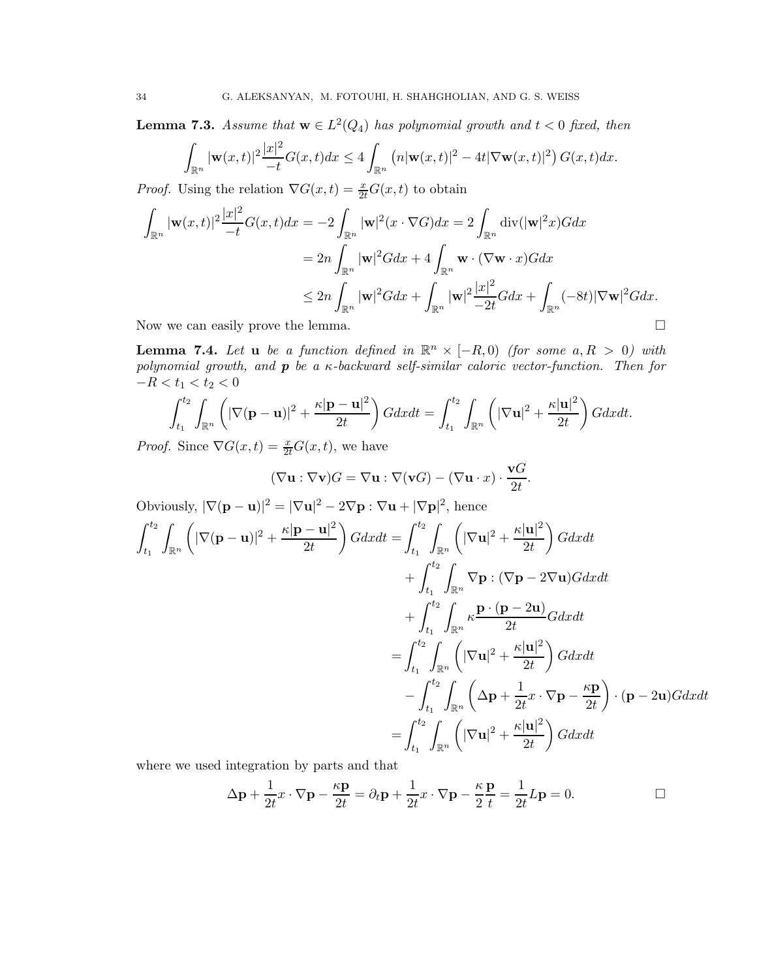<span id="page-33-1"></span>**Lemma 7.3.** *Assume that*  $\mathbf{w} \in L^2(Q_4)$  *has polynomial growth and*  $t < 0$  *fixed, then* 

$$
\int_{\mathbb{R}^n} |\mathbf{w}(x,t)|^2 \frac{|x|^2}{-t} G(x,t) dx \le 4 \int_{\mathbb{R}^n} \left( n |\mathbf{w}(x,t)|^2 - 4t |\nabla \mathbf{w}(x,t)|^2 \right) G(x,t) dx.
$$

*Proof.* Using the relation  $\nabla G(x,t) = \frac{x}{2t}G(x,t)$  to obtain

$$
\int_{\mathbb{R}^n} |\mathbf{w}(x,t)|^2 \frac{|x|^2}{-t} G(x,t) dx = -2 \int_{\mathbb{R}^n} |\mathbf{w}|^2 (x \cdot \nabla G) dx = 2 \int_{\mathbb{R}^n} \text{div}(|\mathbf{w}|^2 x) G dx
$$

$$
= 2n \int_{\mathbb{R}^n} |\mathbf{w}|^2 G dx + 4 \int_{\mathbb{R}^n} \mathbf{w} \cdot (\nabla \mathbf{w} \cdot x) G dx
$$

$$
\leq 2n \int_{\mathbb{R}^n} |\mathbf{w}|^2 G dx + \int_{\mathbb{R}^n} |\mathbf{w}|^2 \frac{|x|^2}{-2t} G dx + \int_{\mathbb{R}^n} (-8t) |\nabla \mathbf{w}|^2 G dx.
$$

Now we can easily prove the lemma.

<span id="page-33-0"></span>**Lemma 7.4.** Let **u** be a function defined in  $\mathbb{R}^n \times [-R, 0)$  (for some  $a, R > 0$ ) with *polynomial growth, and* p *be a* κ*-backward self-similar caloric vector-function. Then for*  $-R < t_1 < t_2 < 0$ 

$$
\int_{t_1}^{t_2} \int_{\mathbb{R}^n} \left( |\nabla (\mathbf{p} - \mathbf{u})|^2 + \frac{\kappa |\mathbf{p} - \mathbf{u}|^2}{2t} \right) G dx dt = \int_{t_1}^{t_2} \int_{\mathbb{R}^n} \left( |\nabla \mathbf{u}|^2 + \frac{\kappa |\mathbf{u}|^2}{2t} \right) G dx dt.
$$

*Proof.* Since  $\nabla G(x,t) = \frac{x}{2t}G(x,t)$ , we have

$$
(\nabla \mathbf{u} : \nabla \mathbf{v})G = \nabla \mathbf{u} : \nabla(\mathbf{v}G) - (\nabla \mathbf{u} \cdot x) \cdot \frac{\mathbf{v}G}{2t}.
$$

Obviously,  $|\nabla(\mathbf{p}-\mathbf{u})|^2 = |\nabla \mathbf{u}|^2 - 2\nabla \mathbf{p} : \nabla \mathbf{u} + |\nabla \mathbf{p}|^2$ , hence

$$
\int_{t_1}^{t_2} \int_{\mathbb{R}^n} \left( |\nabla (\mathbf{p} - \mathbf{u})|^2 + \frac{\kappa |\mathbf{p} - \mathbf{u}|^2}{2t} \right) G dx dt = \int_{t_1}^{t_2} \int_{\mathbb{R}^n} \left( |\nabla \mathbf{u}|^2 + \frac{\kappa |\mathbf{u}|^2}{2t} \right) G dx dt
$$
  
+ 
$$
\int_{t_1}^{t_2} \int_{\mathbb{R}^n} \nabla \mathbf{p} : (\nabla \mathbf{p} - 2\nabla \mathbf{u}) G dx dt
$$
  
+ 
$$
\int_{t_1}^{t_2} \int_{\mathbb{R}^n} \kappa \frac{\mathbf{p} \cdot (\mathbf{p} - 2\mathbf{u})}{2t} G dx dt
$$
  
= 
$$
\int_{t_1}^{t_2} \int_{\mathbb{R}^n} \left( |\nabla \mathbf{u}|^2 + \frac{\kappa |\mathbf{u}|^2}{2t} \right) G dx dt
$$
  
- 
$$
\int_{t_1}^{t_2} \int_{\mathbb{R}^n} \left( \Delta \mathbf{p} + \frac{1}{2t} x \cdot \nabla \mathbf{p} - \frac{\kappa \mathbf{p}}{2t} \right) \cdot (\mathbf{p} - 2\mathbf{u}) G dx dt
$$
  
= 
$$
\int_{t_1}^{t_2} \int_{\mathbb{R}^n} \left( |\nabla \mathbf{u}|^2 + \frac{\kappa |\mathbf{u}|^2}{2t} \right) G dx dt
$$

where we used integration by parts and that

$$
\Delta \mathbf{p} + \frac{1}{2t} x \cdot \nabla \mathbf{p} - \frac{\kappa \mathbf{p}}{2t} = \partial_t \mathbf{p} + \frac{1}{2t} x \cdot \nabla \mathbf{p} - \frac{\kappa}{2} \frac{\mathbf{p}}{t} = \frac{1}{2t} L \mathbf{p} = 0.
$$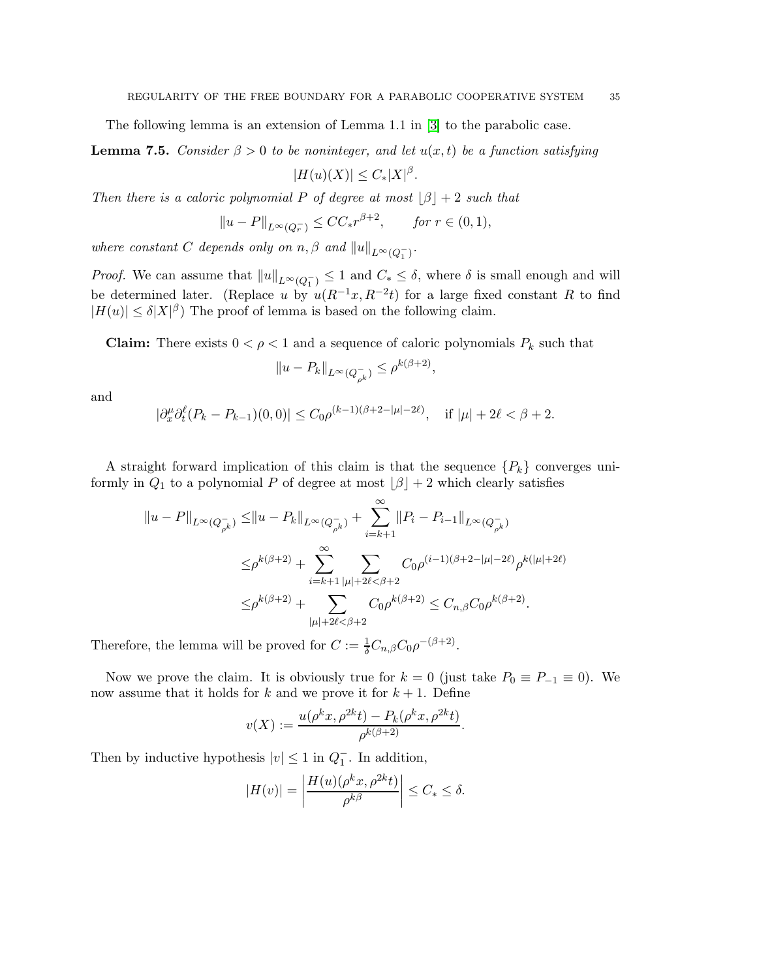The following lemma is an extension of Lemma 1.1 in [\[3\]](#page-35-7) to the parabolic case.

<span id="page-34-0"></span>**Lemma 7.5.** *Consider*  $\beta > 0$  *to be noninteger, and let*  $u(x, t)$  *be a function satisfying* 

$$
|H(u)(X)| \leq C_*|X|^{\beta}.
$$

*Then there is a caloric polynomial* P *of degree at most*  $|\beta| + 2$  *such that* 

$$
||u - P||_{L^{\infty}(Q_r^-)} \leq CC_* r^{\beta+2}, \quad \text{for } r \in (0, 1),
$$

*where constant* C depends only on  $n, \beta$  and  $||u||_{L^{\infty}(Q_{1}^{-})}$ .

*Proof.* We can assume that  $||u||_{L^{\infty}(Q_1^-)} \leq 1$  and  $C_* \leq \delta$ , where  $\delta$  is small enough and will be determined later. (Replace u by  $u(R^{-1}x, R^{-2}t)$  for a large fixed constant R to find  $|H(u)| \leq \delta |X|^{\beta}$ ) The proof of lemma is based on the following claim.

**Claim:** There exists  $0 < \rho < 1$  and a sequence of caloric polynomials  $P_k$  such that

$$
||u - P_k||_{L^{\infty}(Q_{\rho^k}^-)} \leq \rho^{k(\beta+2)},
$$

and

$$
|\partial_x^{\mu} \partial_t^{\ell} (P_k - P_{k-1})(0,0)| \le C_0 \rho^{(k-1)(\beta + 2 - |\mu| - 2\ell)}, \quad \text{if } |\mu| + 2\ell < \beta + 2.
$$

A straight forward implication of this claim is that the sequence  $\{P_k\}$  converges uniformly in  $Q_1$  to a polynomial P of degree at most  $\lfloor \beta \rfloor + 2$  which clearly satisfies

$$
\begin{aligned}\n||u - P||_{L^{\infty}(Q_{\rho^k}^-)} \leq &||u - P_k||_{L^{\infty}(Q_{\rho^k}^-)} + \sum_{i=k+1}^{\infty} ||P_i - P_{i-1}||_{L^{\infty}(Q_{\rho^k}^-)} \\
\leq & \rho^{k(\beta+2)} + \sum_{i=k+1}^{\infty} \sum_{|\mu|+2\ell < \beta+2} C_0 \rho^{(i-1)(\beta+2-|\mu|-2\ell)} \rho^{k(|\mu|+2\ell)} \\
\leq & \rho^{k(\beta+2)} + \sum_{|\mu|+2\ell < \beta+2} C_0 \rho^{k(\beta+2)} \leq C_{n,\beta} C_0 \rho^{k(\beta+2)}.\n\end{aligned}
$$

Therefore, the lemma will be proved for  $C := \frac{1}{\delta} C_{n,\beta} C_0 \rho^{-(\beta+2)}$ .

Now we prove the claim. It is obviously true for  $k = 0$  (just take  $P_0 \equiv P_{-1} \equiv 0$ ). We now assume that it holds for k and we prove it for  $k + 1$ . Define

$$
v(X) := \frac{u(\rho^k x, \rho^{2k} t) - P_k(\rho^k x, \rho^{2k} t)}{\rho^{k(\beta+2)}}.
$$

Then by inductive hypothesis  $|v| \leq 1$  in  $Q_1^-$ . In addition,

$$
|H(v)| = \left| \frac{H(u)(\rho^k x, \rho^{2k} t)}{\rho^{k\beta}} \right| \le C_* \le \delta.
$$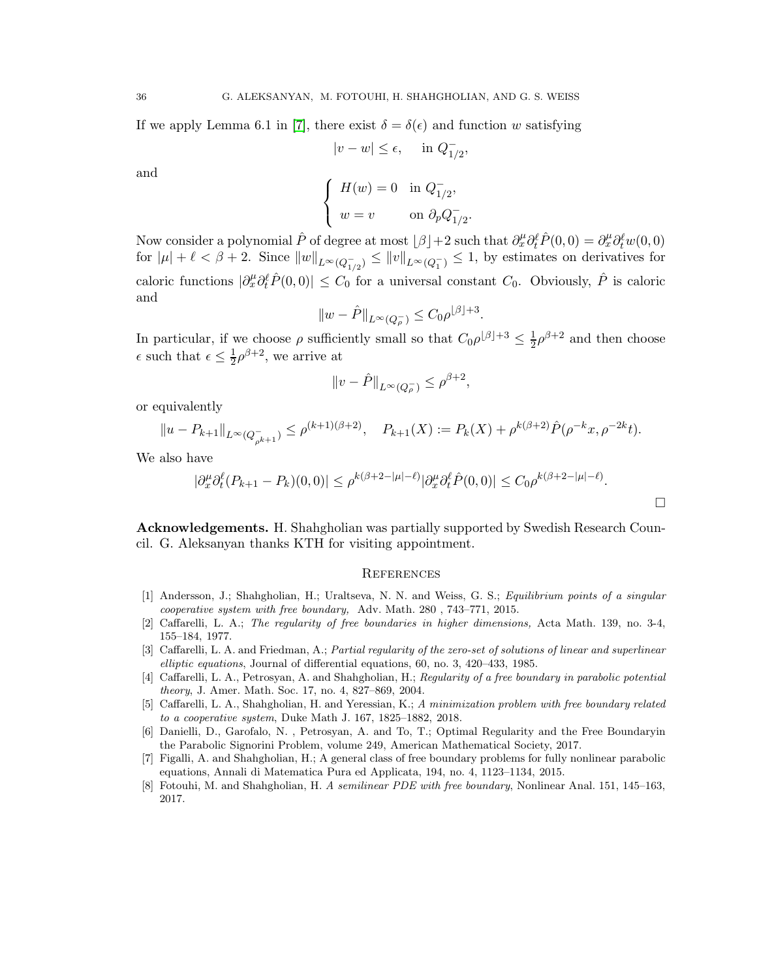If we apply Lemma 6.1 in [\[7\]](#page-35-9), there exist  $\delta = \delta(\epsilon)$  and function w satisfying

$$
|v - w| \le \epsilon, \quad \text{ in } Q_{1/2}^-,
$$

and

$$
\begin{cases}\nH(w) = 0 & \text{in } Q_{1/2}^-, \\
w = v & \text{on } \partial_p Q_{1/2}^-.\n\end{cases}
$$

.

Now consider a polynomial  $\hat{P}$  of degree at most  $[\beta]+2$  such that  $\partial_x^{\mu}\partial_t^{\ell}\hat{P}(0,0) = \partial_x^{\mu}\partial_t^{\ell}w(0,0)$ for  $|\mu| + \ell < \beta + 2$ . Since  $||w||_{L^{\infty}(Q_{1/2}^{-})} \le ||w||_{L^{\infty}(Q_{1}^{-})} \le 1$ , by estimates on derivatives for caloric functions  $|\partial_x^{\mu}\partial_t^{\ell} \hat{P}(0,0)| \leq C_0$  for a universal constant  $C_0$ . Obviously,  $\hat{P}$  is caloric and

$$
||w - \hat{P}||_{L^{\infty}(Q_{\rho}^{-})} \leq C_{0}\rho^{\lfloor \beta \rfloor + 3}.
$$

In particular, if we choose  $\rho$  sufficiently small so that  $C_0 \rho^{[\beta]+3} \leq \frac{1}{2}$  $\frac{1}{2}\rho^{\beta+2}$  and then choose  $\epsilon$  such that  $\epsilon \leq \frac{1}{2}$  $\frac{1}{2}\rho^{\beta+2}$ , we arrive at

$$
||v-\hat{P}||_{L^{\infty}(Q_{\rho}^-)}\leq \rho^{\beta+2},
$$

or equivalently

$$
||u - P_{k+1}||_{L^{\infty}(Q_{\rho^{k+1}}^{-})} \le \rho^{(k+1)(\beta+2)}, \quad P_{k+1}(X) := P_k(X) + \rho^{k(\beta+2)} \hat{P}(\rho^{-k}x, \rho^{-2k}t).
$$

We also have

$$
|\partial_x^{\mu} \partial_t^{\ell} (P_{k+1} - P_k)(0,0)| \le \rho^{k(\beta + 2 - |\mu| - \ell)} |\partial_x^{\mu} \partial_t^{\ell} \hat{P}(0,0)| \le C_0 \rho^{k(\beta + 2 - |\mu| - \ell)}.
$$

 $\Box$ 

<span id="page-35-0"></span>Acknowledgements. H. Shahgholian was partially supported by Swedish Research Council. G. Aleksanyan thanks KTH for visiting appointment.

# <span id="page-35-1"></span>**REFERENCES**

- <span id="page-35-2"></span>[1] Andersson, J.; Shahgholian, H.; Uraltseva, N. N. and Weiss, G. S.; Equilibrium points of a singular cooperative system with free boundary, Adv. Math. 280 , 743–771, 2015.
- <span id="page-35-8"></span>[2] Caffarelli, L. A.; The regularity of free boundaries in higher dimensions, Acta Math. 139, no. 3-4, 155–184, 1977.
- <span id="page-35-7"></span>[3] Caffarelli, L. A. and Friedman, A.; Partial regularity of the zero-set of solutions of linear and superlinear elliptic equations, Journal of differential equations, 60, no. 3, 420–433, 1985.
- <span id="page-35-5"></span>[4] Caffarelli, L. A., Petrosyan, A. and Shahgholian, H.; Regularity of a free boundary in parabolic potential theory, J. Amer. Math. Soc. 17, no. 4, 827–869, 2004.
- <span id="page-35-3"></span>[5] Caffarelli, L. A., Shahgholian, H. and Yeressian, K.; A minimization problem with free boundary related to a cooperative system, Duke Math J. 167, 1825–1882, 2018.
- <span id="page-35-6"></span>[6] Danielli, D., Garofalo, N. , Petrosyan, A. and To, T.; Optimal Regularity and the Free Boundaryin the Parabolic Signorini Problem, volume 249, American Mathematical Society, 2017.
- <span id="page-35-9"></span>[7] Figalli, A. and Shahgholian, H.; A general class of free boundary problems for fully nonlinear parabolic equations, Annali di Matematica Pura ed Applicata, 194, no. 4, 1123–1134, 2015.
- <span id="page-35-4"></span>[8] Fotouhi, M. and Shahgholian, H. A semilinear PDE with free boundary, Nonlinear Anal. 151, 145–163, 2017.